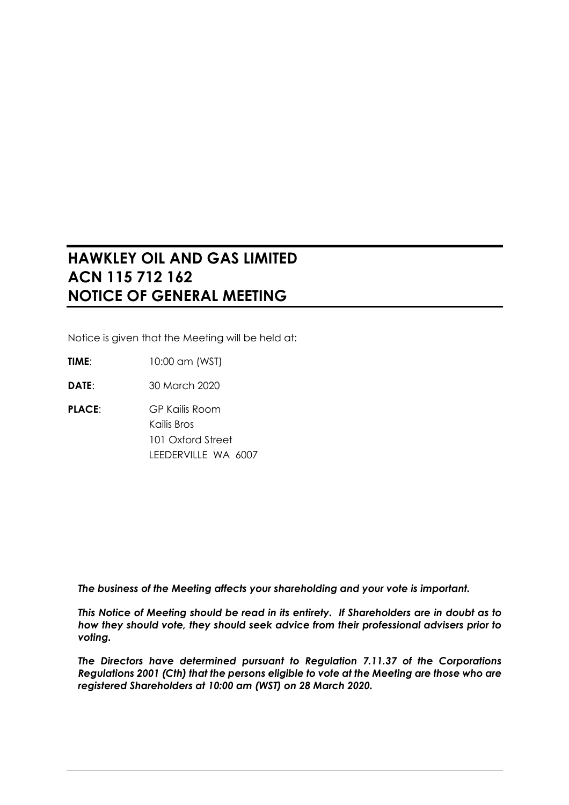# **HAWKLEY OIL AND GAS LIMITED ACN 115 712 162 NOTICE OF GENERAL MEETING**

Notice is given that the Meeting will be held at:

**TIME**: 10:00 am (WST)

**DATE**: 30 March 2020

**PLACE:** GP Kailis Room Kailis Bros 101 Oxford Street LEEDERVILLE WA 6007

*The business of the Meeting affects your shareholding and your vote is important.*

*This Notice of Meeting should be read in its entirety. If Shareholders are in doubt as to how they should vote, they should seek advice from their professional advisers prior to voting.* 

*The Directors have determined pursuant to Regulation 7.11.37 of the Corporations Regulations 2001 (Cth) that the persons eligible to vote at the Meeting are those who are registered Shareholders at 10:00 am (WST) on 28 March 2020.*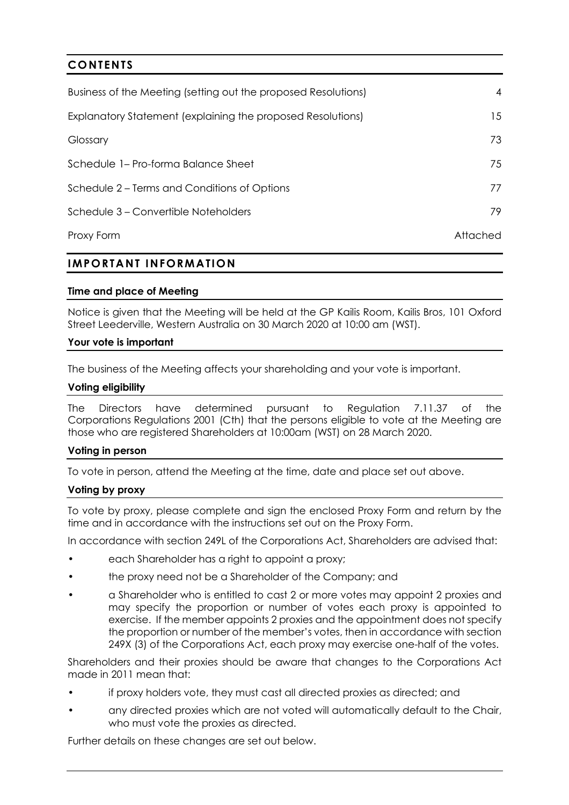| <b>CONTENTS</b>                                                |          |
|----------------------------------------------------------------|----------|
| Business of the Meeting (setting out the proposed Resolutions) | 4        |
| Explanatory Statement (explaining the proposed Resolutions)    | 15       |
| Glossary                                                       | 73       |
| Schedule 1– Pro-forma Balance Sheet                            | 75       |
| Schedule 2 – Terms and Conditions of Options                   | 77       |
| Schedule 3 – Convertible Noteholders                           | 79       |
| Proxy Form                                                     | Attached |

## **IMPORTANT INFORMATION**

## **Time and place of Meeting**

Notice is given that the Meeting will be held at the GP Kailis Room, Kailis Bros, 101 Oxford Street Leederville, Western Australia on 30 March 2020 at 10:00 am (WST).

#### **Your vote is important**

The business of the Meeting affects your shareholding and your vote is important.

#### **Voting eligibility**

The Directors have determined pursuant to Regulation 7.11.37 of the Corporations Regulations 2001 (Cth) that the persons eligible to vote at the Meeting are those who are registered Shareholders at 10:00am (WST) on 28 March 2020.

#### **Voting in person**

To vote in person, attend the Meeting at the time, date and place set out above.

#### **Voting by proxy**

To vote by proxy, please complete and sign the enclosed Proxy Form and return by the time and in accordance with the instructions set out on the Proxy Form.

In accordance with section 249L of the Corporations Act, Shareholders are advised that:

- each Shareholder has a right to appoint a proxy;
- the proxy need not be a Shareholder of the Company; and
- a Shareholder who is entitled to cast 2 or more votes may appoint 2 proxies and may specify the proportion or number of votes each proxy is appointed to exercise. If the member appoints 2 proxies and the appointment does not specify the proportion or number of the member's votes, then in accordance with section 249X (3) of the Corporations Act, each proxy may exercise one-half of the votes.

Shareholders and their proxies should be aware that changes to the Corporations Act made in 2011 mean that:

- if proxy holders vote, they must cast all directed proxies as directed; and
- any directed proxies which are not voted will automatically default to the Chair, who must vote the proxies as directed.

Further details on these changes are set out below.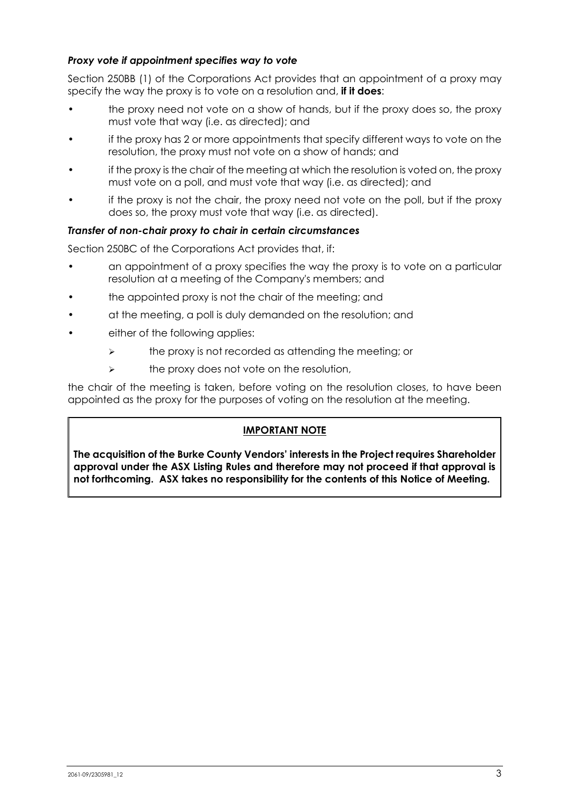## *Proxy vote if appointment specifies way to vote*

Section 250BB (1) of the Corporations Act provides that an appointment of a proxy may specify the way the proxy is to vote on a resolution and, **if it does**:

- the proxy need not vote on a show of hands, but if the proxy does so, the proxy must vote that way (i.e. as directed); and
- if the proxy has 2 or more appointments that specify different ways to vote on the resolution, the proxy must not vote on a show of hands; and
- if the proxy is the chair of the meeting at which the resolution is voted on, the proxy must vote on a poll, and must vote that way (i.e. as directed); and
- if the proxy is not the chair, the proxy need not vote on the poll, but if the proxy does so, the proxy must vote that way (i.e. as directed).

#### *Transfer of non-chair proxy to chair in certain circumstances*

Section 250BC of the Corporations Act provides that, if:

- an appointment of a proxy specifies the way the proxy is to vote on a particular resolution at a meeting of the Company's members; and
- the appointed proxy is not the chair of the meeting; and
- at the meeting, a poll is duly demanded on the resolution; and
- either of the following applies:
	- $\triangleright$  the proxy is not recorded as attending the meeting; or
	- $\triangleright$  the proxy does not vote on the resolution,

the chair of the meeting is taken, before voting on the resolution closes, to have been appointed as the proxy for the purposes of voting on the resolution at the meeting.

### **IMPORTANT NOTE**

**The acquisition of the Burke County Vendors' interests in the Project requires Shareholder approval under the ASX Listing Rules and therefore may not proceed if that approval is not forthcoming. ASX takes no responsibility for the contents of this Notice of Meeting.**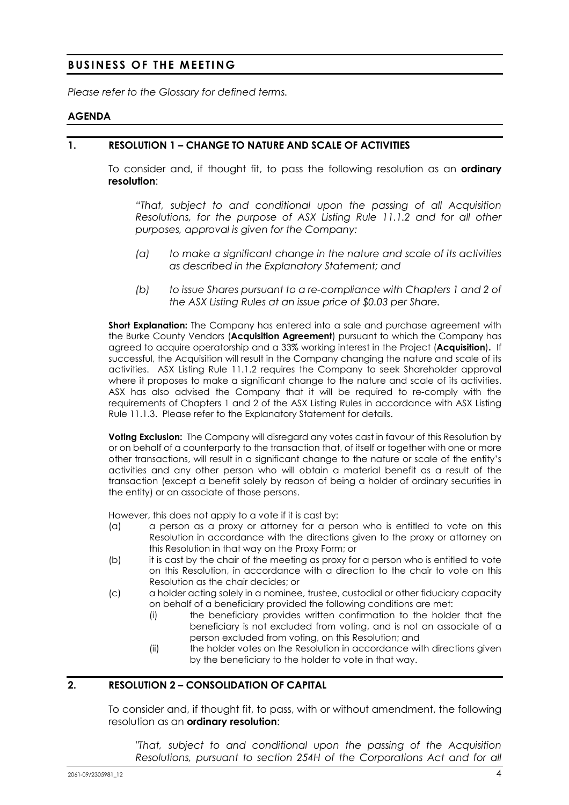## **BUSINESS OF THE MEETING**

*Please refer to the Glossary for defined terms.* 

#### **AGENDA**

#### **1. RESOLUTION 1 – CHANGE TO NATURE AND SCALE OF ACTIVITIES**

To consider and, if thought fit, to pass the following resolution as an **ordinary resolution**:

*"That, subject to and conditional upon the passing of all Acquisition Resolutions, for the purpose of ASX Listing Rule 11.1.2 and for all other purposes, approval is given for the Company:* 

- *(a) to make a significant change in the nature and scale of its activities as described in the Explanatory Statement; and*
- *(b) to issue Shares pursuant to a re-compliance with Chapters 1 and 2 of the ASX Listing Rules at an issue price of \$0.03 per Share.*

**Short Explanation:** The Company has entered into a sale and purchase agreement with the Burke County Vendors (**Acquisition Agreement**) pursuant to which the Company has agreed to acquire operatorship and a 33% working interest in the Project (**Acquisition**)**.** If successful, the Acquisition will result in the Company changing the nature and scale of its activities. ASX Listing Rule 11.1.2 requires the Company to seek Shareholder approval where it proposes to make a significant change to the nature and scale of its activities. ASX has also advised the Company that it will be required to re-comply with the requirements of Chapters 1 and 2 of the ASX Listing Rules in accordance with ASX Listing Rule 11.1.3. Please refer to the Explanatory Statement for details.

**Voting Exclusion:** The Company will disregard any votes cast in favour of this Resolution by or on behalf of a counterparty to the transaction that, of itself or together with one or more other transactions, will result in a significant change to the nature or scale of the entity's activities and any other person who will obtain a material benefit as a result of the transaction (except a benefit solely by reason of being a holder of ordinary securities in the entity) or an associate of those persons.

However, this does not apply to a vote if it is cast by:

- (a) a person as a proxy or attorney for a person who is entitled to vote on this Resolution in accordance with the directions given to the proxy or attorney on this Resolution in that way on the Proxy Form; or
- (b) it is cast by the chair of the meeting as proxy for a person who is entitled to vote on this Resolution, in accordance with a direction to the chair to vote on this Resolution as the chair decides; or
- (c) a holder acting solely in a nominee, trustee, custodial or other fiduciary capacity on behalf of a beneficiary provided the following conditions are met:
	- (i) the beneficiary provides written confirmation to the holder that the beneficiary is not excluded from voting, and is not an associate of a person excluded from voting, on this Resolution; and
	- (ii) the holder votes on the Resolution in accordance with directions given by the beneficiary to the holder to vote in that way.

## **2. RESOLUTION 2 – CONSOLIDATION OF CAPITAL**

To consider and, if thought fit, to pass, with or without amendment, the following resolution as an **ordinary resolution**:

*"That, subject to and conditional upon the passing of the Acquisition Resolutions, pursuant to section 254H of the Corporations Act and for all*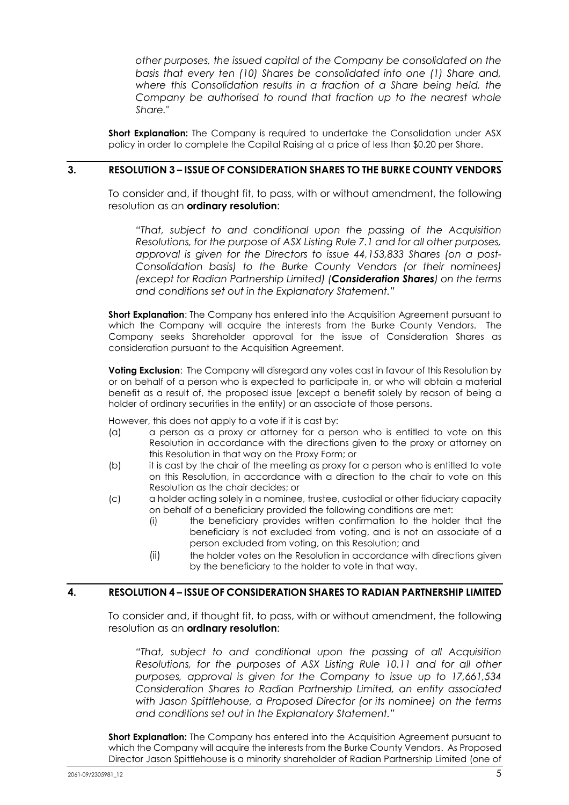*other purposes, the issued capital of the Company be consolidated on the basis that every ten (10) Shares be consolidated into one (1) Share and, where this Consolidation results in a fraction of a Share being held, the Company be authorised to round that fraction up to the nearest whole Share."* 

**Short Explanation:** The Company is required to undertake the Consolidation under ASX policy in order to complete the Capital Raising at a price of less than \$0.20 per Share.

### **3. RESOLUTION 3 – ISSUE OF CONSIDERATION SHARES TO THE BURKE COUNTY VENDORS**

To consider and, if thought fit, to pass, with or without amendment, the following resolution as an **ordinary resolution**:

*"That, subject to and conditional upon the passing of the Acquisition Resolutions, for the purpose of ASX Listing Rule 7.1 and for all other purposes, approval is given for the Directors to issue 44,153,833 Shares (on a post-Consolidation basis) to the Burke County Vendors (or their nominees) (except for Radian Partnership Limited) (Consideration Shares) on the terms and conditions set out in the Explanatory Statement."* 

**Short Explanation:** The Company has entered into the Acquisition Agreement pursuant to which the Company will acquire the interests from the Burke County Vendors. The Company seeks Shareholder approval for the issue of Consideration Shares as consideration pursuant to the Acquisition Agreement.

**Voting Exclusion**: The Company will disregard any votes cast in favour of this Resolution by or on behalf of a person who is expected to participate in, or who will obtain a material benefit as a result of, the proposed issue (except a benefit solely by reason of being a holder of ordinary securities in the entity) or an associate of those persons.

However, this does not apply to a vote if it is cast by:

- (a) a person as a proxy or attorney for a person who is entitled to vote on this Resolution in accordance with the directions given to the proxy or attorney on this Resolution in that way on the Proxy Form; or
- (b) it is cast by the chair of the meeting as proxy for a person who is entitled to vote on this Resolution, in accordance with a direction to the chair to vote on this Resolution as the chair decides; or
- (c) a holder acting solely in a nominee, trustee, custodial or other fiduciary capacity on behalf of a beneficiary provided the following conditions are met:
	- (i) the beneficiary provides written confirmation to the holder that the beneficiary is not excluded from voting, and is not an associate of a person excluded from voting, on this Resolution; and
	- (ii) the holder votes on the Resolution in accordance with directions given by the beneficiary to the holder to vote in that way.

#### **4. RESOLUTION 4 – ISSUE OF CONSIDERATION SHARES TO RADIAN PARTNERSHIP LIMITED**

To consider and, if thought fit, to pass, with or without amendment, the following resolution as an **ordinary resolution**:

*"That, subject to and conditional upon the passing of all Acquisition Resolutions, for the purposes of ASX Listing Rule 10.11 and for all other purposes, approval is given for the Company to issue up to 17,661,534 Consideration Shares to Radian Partnership Limited, an entity associated with Jason Spittlehouse, a Proposed Director (or its nominee) on the terms and conditions set out in the Explanatory Statement."* 

**Short Explanation:** The Company has entered into the Acquisition Agreement pursuant to which the Company will acquire the interests from the Burke County Vendors. As Proposed Director Jason Spittlehouse is a minority shareholder of Radian Partnership Limited (one of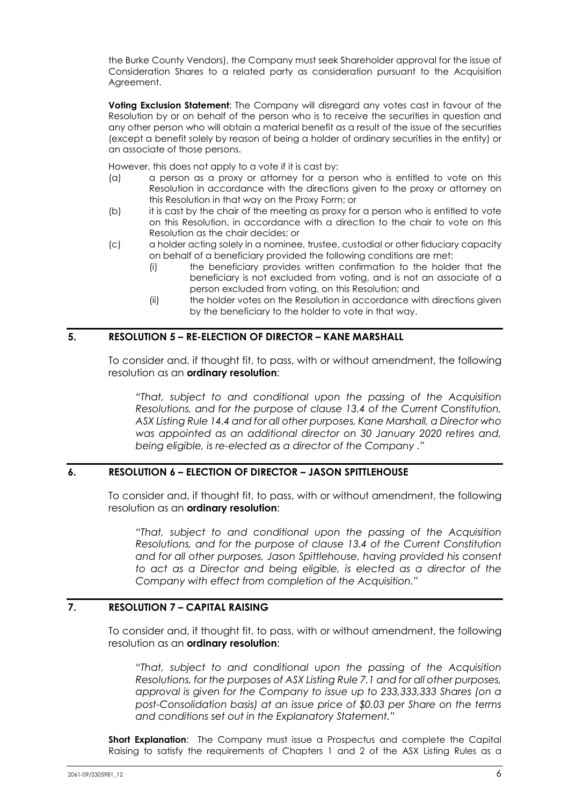the Burke County Vendors), the Company must seek Shareholder approval for the issue of Consideration Shares to a related party as consideration pursuant to the Acquisition Agreement.

**Voting Exclusion Statement**: The Company will disregard any votes cast in favour of the Resolution by or on behalf of the person who is to receive the securities in question and any other person who will obtain a material benefit as a result of the issue of the securities (except a benefit solely by reason of being a holder of ordinary securities in the entity) or an associate of those persons.

However, this does not apply to a vote if it is cast by:

- (a) a person as a proxy or attorney for a person who is entitled to vote on this Resolution in accordance with the directions given to the proxy or attorney on this Resolution in that way on the Proxy Form; or
- (b) it is cast by the chair of the meeting as proxy for a person who is entitled to vote on this Resolution, in accordance with a direction to the chair to vote on this Resolution as the chair decides; or
- (c) a holder acting solely in a nominee, trustee, custodial or other fiduciary capacity on behalf of a beneficiary provided the following conditions are met:
	- (i) the beneficiary provides written confirmation to the holder that the beneficiary is not excluded from voting, and is not an associate of a person excluded from voting, on this Resolution; and
	- (ii) the holder votes on the Resolution in accordance with directions given by the beneficiary to the holder to vote in that way.

## **5. RESOLUTION 5 – RE-ELECTION OF DIRECTOR – KANE MARSHALL**

To consider and, if thought fit, to pass, with or without amendment, the following resolution as an **ordinary resolution**:

*"That, subject to and conditional upon the passing of the Acquisition Resolutions, and for the purpose of clause 13.4 of the Current Constitution, ASX Listing Rule 14.4 and for all other purposes, Kane Marshall, a Director who was appointed as an additional director on 30 January 2020 retires and, being eligible, is re-elected as a director of the Company ."* 

#### **6. RESOLUTION 6 – ELECTION OF DIRECTOR – JASON SPITTLEHOUSE**

To consider and, if thought fit, to pass, with or without amendment, the following resolution as an **ordinary resolution**:

*"That, subject to and conditional upon the passing of the Acquisition Resolutions, and for the purpose of clause 13.4 of the Current Constitution and for all other purposes, Jason Spittlehouse, having provided his consent to act as a Director and being eligible, is elected as a director of the Company with effect from completion of the Acquisition."* 

## **7. RESOLUTION 7 – CAPITAL RAISING**

To consider and, if thought fit, to pass, with or without amendment, the following resolution as an **ordinary resolution**:

*"That, subject to and conditional upon the passing of the Acquisition Resolutions, for the purposes of ASX Listing Rule 7.1 and for all other purposes, approval is given for the Company to issue up to 233,333,333 Shares (on a post-Consolidation basis) at an issue price of \$0.03 per Share on the terms and conditions set out in the Explanatory Statement."* 

**Short Explanation:** The Company must issue a Prospectus and complete the Capital Raising to satisfy the requirements of Chapters 1 and 2 of the ASX Listing Rules as a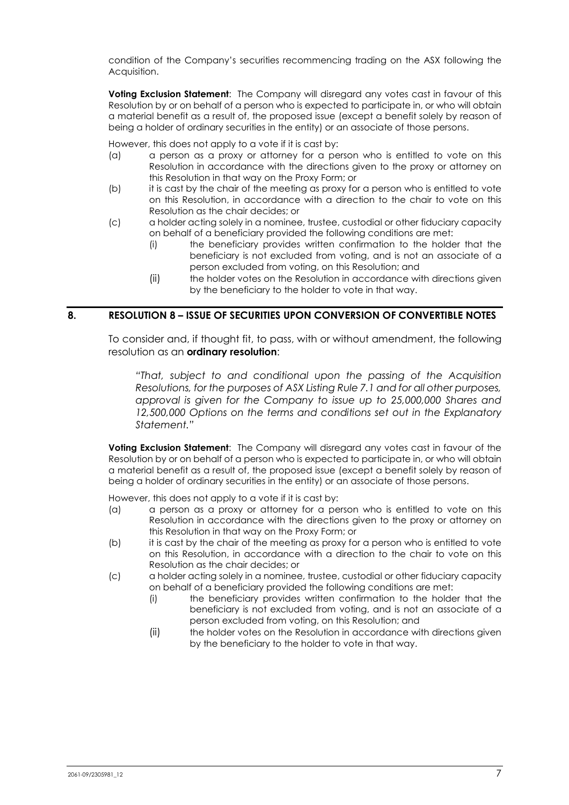condition of the Company's securities recommencing trading on the ASX following the Acquisition.

**Voting Exclusion Statement**: The Company will disregard any votes cast in favour of this Resolution by or on behalf of a person who is expected to participate in, or who will obtain a material benefit as a result of, the proposed issue (except a benefit solely by reason of being a holder of ordinary securities in the entity) or an associate of those persons.

However, this does not apply to a vote if it is cast by:

- (a) a person as a proxy or attorney for a person who is entitled to vote on this Resolution in accordance with the directions given to the proxy or attorney on this Resolution in that way on the Proxy Form; or
- (b) it is cast by the chair of the meeting as proxy for a person who is entitled to vote on this Resolution, in accordance with a direction to the chair to vote on this Resolution as the chair decides; or
- (c) a holder acting solely in a nominee, trustee, custodial or other fiduciary capacity on behalf of a beneficiary provided the following conditions are met:
	- (i) the beneficiary provides written confirmation to the holder that the beneficiary is not excluded from voting, and is not an associate of a person excluded from voting, on this Resolution; and
	- (ii) the holder votes on the Resolution in accordance with directions given by the beneficiary to the holder to vote in that way.

#### **8. RESOLUTION 8 – ISSUE OF SECURITIES UPON CONVERSION OF CONVERTIBLE NOTES**

To consider and, if thought fit, to pass, with or without amendment, the following resolution as an **ordinary resolution**:

*"That, subject to and conditional upon the passing of the Acquisition Resolutions, for the purposes of ASX Listing Rule 7.1 and for all other purposes, approval is given for the Company to issue up to 25,000,000 Shares and 12,500,000 Options on the terms and conditions set out in the Explanatory Statement."* 

**Voting Exclusion Statement**: The Company will disregard any votes cast in favour of the Resolution by or on behalf of a person who is expected to participate in, or who will obtain a material benefit as a result of, the proposed issue (except a benefit solely by reason of being a holder of ordinary securities in the entity) or an associate of those persons.

However, this does not apply to a vote if it is cast by:

- (a) a person as a proxy or attorney for a person who is entitled to vote on this Resolution in accordance with the directions given to the proxy or attorney on this Resolution in that way on the Proxy Form; or
- (b) it is cast by the chair of the meeting as proxy for a person who is entitled to vote on this Resolution, in accordance with a direction to the chair to vote on this Resolution as the chair decides; or
- (c) a holder acting solely in a nominee, trustee, custodial or other fiduciary capacity on behalf of a beneficiary provided the following conditions are met:
	- (i) the beneficiary provides written confirmation to the holder that the beneficiary is not excluded from voting, and is not an associate of a person excluded from voting, on this Resolution; and
	- (ii) the holder votes on the Resolution in accordance with directions given by the beneficiary to the holder to vote in that way.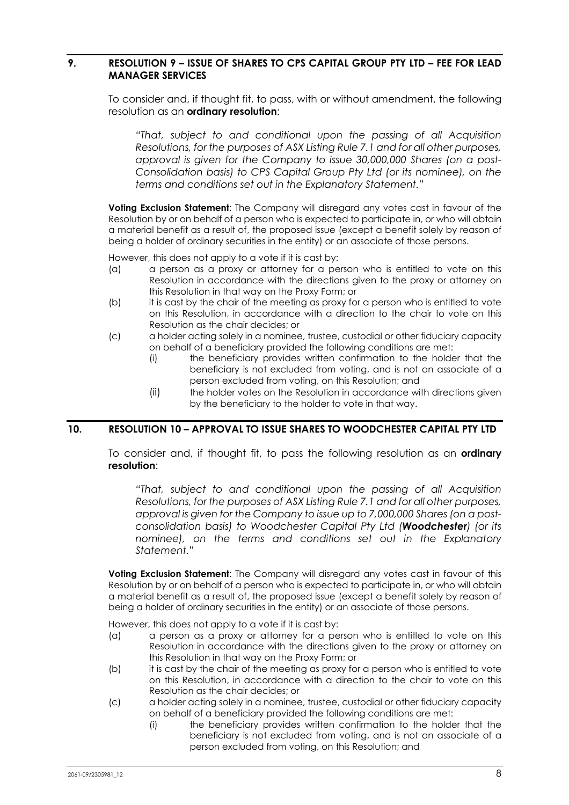### **9. RESOLUTION 9 – ISSUE OF SHARES TO CPS CAPITAL GROUP PTY LTD – FEE FOR LEAD MANAGER SERVICES**

To consider and, if thought fit, to pass, with or without amendment, the following resolution as an **ordinary resolution**:

*"That, subject to and conditional upon the passing of all Acquisition Resolutions, for the purposes of ASX Listing Rule 7.1 and for all other purposes, approval is given for the Company to issue 30,000,000 Shares (on a post-Consolidation basis) to CPS Capital Group Pty Ltd (or its nominee), on the terms and conditions set out in the Explanatory Statement."* 

**Voting Exclusion Statement**: The Company will disregard any votes cast in favour of the Resolution by or on behalf of a person who is expected to participate in, or who will obtain a material benefit as a result of, the proposed issue (except a benefit solely by reason of being a holder of ordinary securities in the entity) or an associate of those persons.

However, this does not apply to a vote if it is cast by:

- (a) a person as a proxy or attorney for a person who is entitled to vote on this Resolution in accordance with the directions given to the proxy or attorney on this Resolution in that way on the Proxy Form; or
- (b) it is cast by the chair of the meeting as proxy for a person who is entitled to vote on this Resolution, in accordance with a direction to the chair to vote on this Resolution as the chair decides; or
- (c) a holder acting solely in a nominee, trustee, custodial or other fiduciary capacity on behalf of a beneficiary provided the following conditions are met:
	- (i) the beneficiary provides written confirmation to the holder that the beneficiary is not excluded from voting, and is not an associate of a person excluded from voting, on this Resolution; and
	- (ii) the holder votes on the Resolution in accordance with directions given by the beneficiary to the holder to vote in that way.

#### **10. RESOLUTION 10 – APPROVAL TO ISSUE SHARES TO WOODCHESTER CAPITAL PTY LTD**

To consider and, if thought fit, to pass the following resolution as an **ordinary resolution**:

*"That, subject to and conditional upon the passing of all Acquisition Resolutions, for the purposes of ASX Listing Rule 7.1 and for all other purposes, approval is given for the Company to issue up to 7,000,000 Shares (on a postconsolidation basis) to Woodchester Capital Pty Ltd (Woodchester) (or its nominee), on the terms and conditions set out in the Explanatory Statement."* 

**Voting Exclusion Statement**: The Company will disregard any votes cast in favour of this Resolution by or on behalf of a person who is expected to participate in, or who will obtain a material benefit as a result of, the proposed issue (except a benefit solely by reason of being a holder of ordinary securities in the entity) or an associate of those persons.

However, this does not apply to a vote if it is cast by:

- (a) a person as a proxy or attorney for a person who is entitled to vote on this Resolution in accordance with the directions given to the proxy or attorney on this Resolution in that way on the Proxy Form; or
- (b) it is cast by the chair of the meeting as proxy for a person who is entitled to vote on this Resolution, in accordance with a direction to the chair to vote on this Resolution as the chair decides; or
- (c) a holder acting solely in a nominee, trustee, custodial or other fiduciary capacity on behalf of a beneficiary provided the following conditions are met:
	- (i) the beneficiary provides written confirmation to the holder that the beneficiary is not excluded from voting, and is not an associate of a person excluded from voting, on this Resolution; and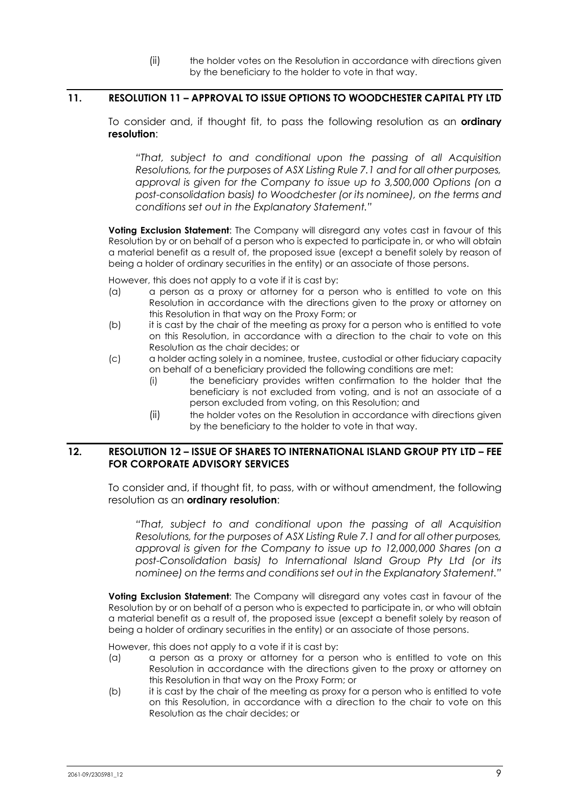(ii) the holder votes on the Resolution in accordance with directions given by the beneficiary to the holder to vote in that way.

#### **11. RESOLUTION 11 – APPROVAL TO ISSUE OPTIONS TO WOODCHESTER CAPITAL PTY LTD**

To consider and, if thought fit, to pass the following resolution as an **ordinary resolution**:

*"That, subject to and conditional upon the passing of all Acquisition Resolutions, for the purposes of ASX Listing Rule 7.1 and for all other purposes, approval is given for the Company to issue up to 3,500,000 Options (on a post-consolidation basis) to Woodchester (or its nominee), on the terms and conditions set out in the Explanatory Statement."* 

**Voting Exclusion Statement**: The Company will disregard any votes cast in favour of this Resolution by or on behalf of a person who is expected to participate in, or who will obtain a material benefit as a result of, the proposed issue (except a benefit solely by reason of being a holder of ordinary securities in the entity) or an associate of those persons.

However, this does not apply to a vote if it is cast by:

- (a) a person as a proxy or attorney for a person who is entitled to vote on this Resolution in accordance with the directions given to the proxy or attorney on this Resolution in that way on the Proxy Form; or
- (b) it is cast by the chair of the meeting as proxy for a person who is entitled to vote on this Resolution, in accordance with a direction to the chair to vote on this Resolution as the chair decides; or
- (c) a holder acting solely in a nominee, trustee, custodial or other fiduciary capacity on behalf of a beneficiary provided the following conditions are met:
	- (i) the beneficiary provides written confirmation to the holder that the beneficiary is not excluded from voting, and is not an associate of a person excluded from voting, on this Resolution; and
	- (ii) the holder votes on the Resolution in accordance with directions given by the beneficiary to the holder to vote in that way.

#### **12. RESOLUTION 12 – ISSUE OF SHARES TO INTERNATIONAL ISLAND GROUP PTY LTD – FEE FOR CORPORATE ADVISORY SERVICES**

To consider and, if thought fit, to pass, with or without amendment, the following resolution as an **ordinary resolution**:

*"That, subject to and conditional upon the passing of all Acquisition Resolutions, for the purposes of ASX Listing Rule 7.1 and for all other purposes, approval is given for the Company to issue up to 12,000,000 Shares (on a post-Consolidation basis) to International Island Group Pty Ltd (or its nominee) on the terms and conditions set out in the Explanatory Statement."* 

**Voting Exclusion Statement**: The Company will disregard any votes cast in favour of the Resolution by or on behalf of a person who is expected to participate in, or who will obtain a material benefit as a result of, the proposed issue (except a benefit solely by reason of being a holder of ordinary securities in the entity) or an associate of those persons.

However, this does not apply to a vote if it is cast by:

- (a) a person as a proxy or attorney for a person who is entitled to vote on this Resolution in accordance with the directions given to the proxy or attorney on this Resolution in that way on the Proxy Form; or
- (b) it is cast by the chair of the meeting as proxy for a person who is entitled to vote on this Resolution, in accordance with a direction to the chair to vote on this Resolution as the chair decides; or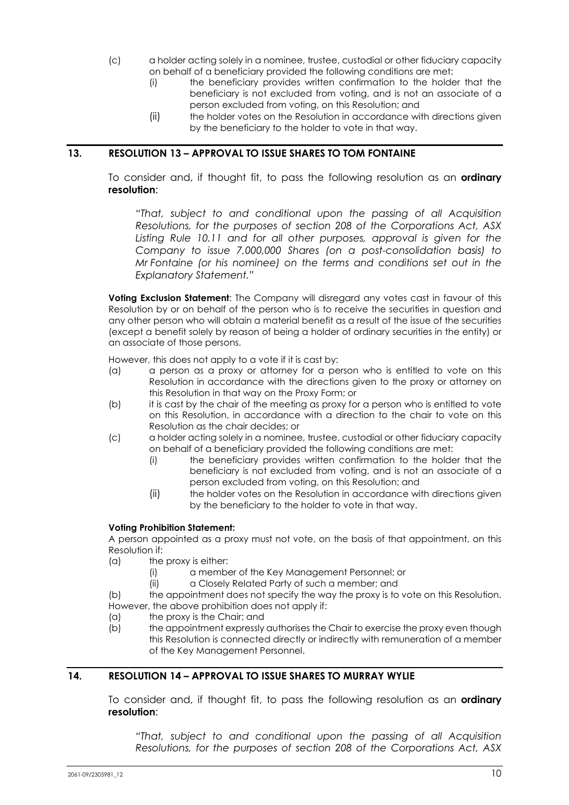- (c) a holder acting solely in a nominee, trustee, custodial or other fiduciary capacity on behalf of a beneficiary provided the following conditions are met:
	- (i) the beneficiary provides written confirmation to the holder that the beneficiary is not excluded from voting, and is not an associate of a person excluded from voting, on this Resolution; and
	- (ii) the holder votes on the Resolution in accordance with directions given by the beneficiary to the holder to vote in that way.

## **13. RESOLUTION 13 – APPROVAL TO ISSUE SHARES TO TOM FONTAINE**

To consider and, if thought fit, to pass the following resolution as an **ordinary resolution**:

*"That, subject to and conditional upon the passing of all Acquisition Resolutions, for the purposes of section 208 of the Corporations Act, ASX*  Listing Rule 10.11 and for all other purposes, approval is given for the *Company to issue 7,000,000 Shares (on a post-consolidation basis) to Mr Fontaine (or his nominee) on the terms and conditions set out in the Explanatory Statement."* 

**Voting Exclusion Statement**: The Company will disregard any votes cast in favour of this Resolution by or on behalf of the person who is to receive the securities in question and any other person who will obtain a material benefit as a result of the issue of the securities (except a benefit solely by reason of being a holder of ordinary securities in the entity) or an associate of those persons.

However, this does not apply to a vote if it is cast by:

- (a) a person as a proxy or attorney for a person who is entitled to vote on this Resolution in accordance with the directions given to the proxy or attorney on this Resolution in that way on the Proxy Form; or
- (b) it is cast by the chair of the meeting as proxy for a person who is entitled to vote on this Resolution, in accordance with a direction to the chair to vote on this Resolution as the chair decides; or
- (c) a holder acting solely in a nominee, trustee, custodial or other fiduciary capacity on behalf of a beneficiary provided the following conditions are met:
	- (i) the beneficiary provides written confirmation to the holder that the beneficiary is not excluded from voting, and is not an associate of a person excluded from voting, on this Resolution; and
	- (ii) the holder votes on the Resolution in accordance with directions given by the beneficiary to the holder to vote in that way.

#### **Voting Prohibition Statement:**

A person appointed as a proxy must not vote, on the basis of that appointment, on this Resolution if:

- (a) the proxy is either:
	- (i) a member of the Key Management Personnel; or
	- (ii) a Closely Related Party of such a member; and

(b) the appointment does not specify the way the proxy is to vote on this Resolution. However, the above prohibition does not apply if:

- (a) the proxy is the Chair; and
- (b) the appointment expressly authorises the Chair to exercise the proxy even though this Resolution is connected directly or indirectly with remuneration of a member of the Key Management Personnel.

## **14. RESOLUTION 14 – APPROVAL TO ISSUE SHARES TO MURRAY WYLIE**

To consider and, if thought fit, to pass the following resolution as an **ordinary resolution**:

*"That, subject to and conditional upon the passing of all Acquisition Resolutions, for the purposes of section 208 of the Corporations Act, ASX*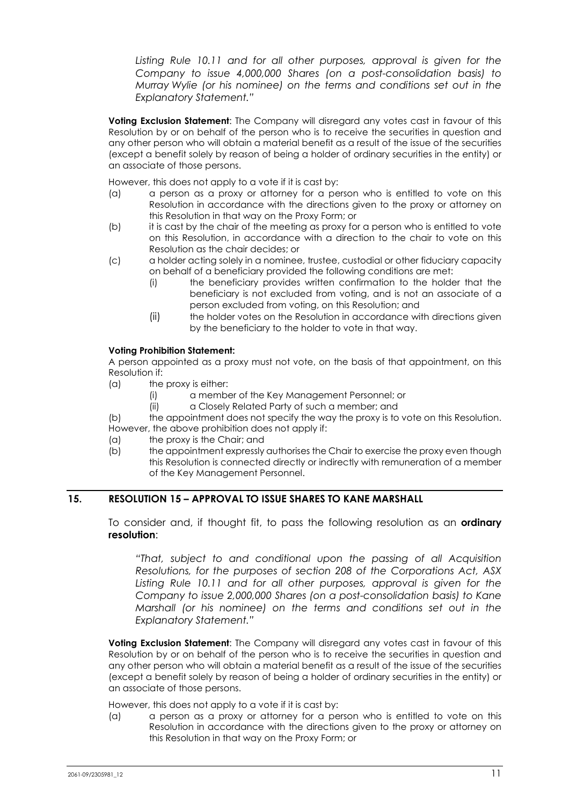Listing Rule 10.11 and for all other purposes, approval is given for the *Company to issue 4,000,000 Shares (on a post-consolidation basis) to Murray Wylie (or his nominee) on the terms and conditions set out in the Explanatory Statement."* 

**Voting Exclusion Statement**: The Company will disregard any votes cast in favour of this Resolution by or on behalf of the person who is to receive the securities in question and any other person who will obtain a material benefit as a result of the issue of the securities (except a benefit solely by reason of being a holder of ordinary securities in the entity) or an associate of those persons.

However, this does not apply to a vote if it is cast by:

- (a) a person as a proxy or attorney for a person who is entitled to vote on this Resolution in accordance with the directions given to the proxy or attorney on this Resolution in that way on the Proxy Form; or
- (b) it is cast by the chair of the meeting as proxy for a person who is entitled to vote on this Resolution, in accordance with a direction to the chair to vote on this Resolution as the chair decides; or
- (c) a holder acting solely in a nominee, trustee, custodial or other fiduciary capacity on behalf of a beneficiary provided the following conditions are met:
	- (i) the beneficiary provides written confirmation to the holder that the beneficiary is not excluded from voting, and is not an associate of a person excluded from voting, on this Resolution; and
	- (ii) the holder votes on the Resolution in accordance with directions given by the beneficiary to the holder to vote in that way.

#### **Voting Prohibition Statement:**

A person appointed as a proxy must not vote, on the basis of that appointment, on this Resolution if:

- $(a)$  the proxy is either:
	- (i) a member of the Key Management Personnel; or
	- (ii) a Closely Related Party of such a member; and

(b) the appointment does not specify the way the proxy is to vote on this Resolution. However, the above prohibition does not apply if:

- (a) the proxy is the Chair; and
- (b) the appointment expressly authorises the Chair to exercise the proxy even though this Resolution is connected directly or indirectly with remuneration of a member of the Key Management Personnel.

## **15. RESOLUTION 15 – APPROVAL TO ISSUE SHARES TO KANE MARSHALL**

To consider and, if thought fit, to pass the following resolution as an **ordinary resolution**:

*"That, subject to and conditional upon the passing of all Acquisition Resolutions, for the purposes of section 208 of the Corporations Act, ASX Listing Rule 10.11 and for all other purposes, approval is given for the Company to issue 2,000,000 Shares (on a post-consolidation basis) to Kane Marshall (or his nominee) on the terms and conditions set out in the Explanatory Statement."* 

**Voting Exclusion Statement**: The Company will disregard any votes cast in favour of this Resolution by or on behalf of the person who is to receive the securities in question and any other person who will obtain a material benefit as a result of the issue of the securities (except a benefit solely by reason of being a holder of ordinary securities in the entity) or an associate of those persons.

However, this does not apply to a vote if it is cast by:

(a) a person as a proxy or attorney for a person who is entitled to vote on this Resolution in accordance with the directions given to the proxy or attorney on this Resolution in that way on the Proxy Form; or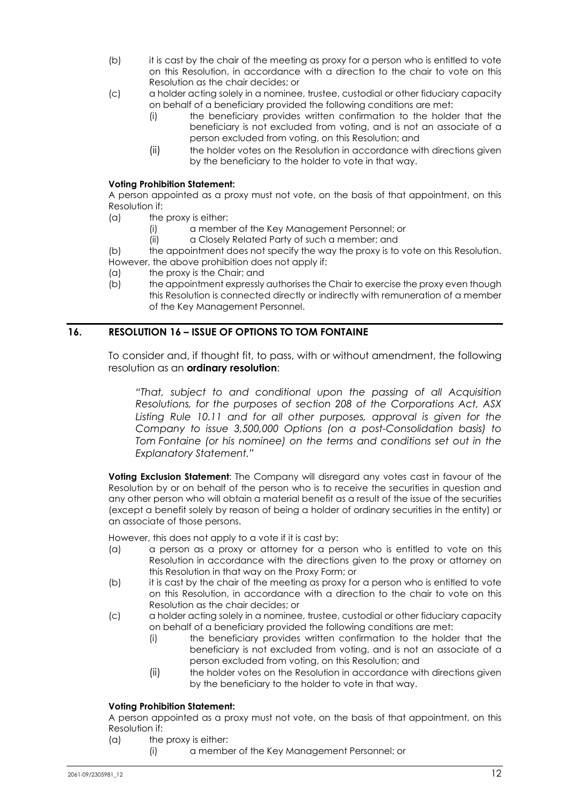- (b) it is cast by the chair of the meeting as proxy for a person who is entitled to vote on this Resolution, in accordance with a direction to the chair to vote on this Resolution as the chair decides; or
- (c) a holder acting solely in a nominee, trustee, custodial or other fiduciary capacity on behalf of a beneficiary provided the following conditions are met:
	- (i) the beneficiary provides written confirmation to the holder that the beneficiary is not excluded from voting, and is not an associate of a person excluded from voting, on this Resolution; and
	- (ii) the holder votes on the Resolution in accordance with directions given by the beneficiary to the holder to vote in that way.

#### **Voting Prohibition Statement:**

A person appointed as a proxy must not vote, on the basis of that appointment, on this Resolution if:

- (a) the proxy is either:
	- (i) a member of the Key Management Personnel; or
	- (ii) a Closely Related Party of such a member; and

(b) the appointment does not specify the way the proxy is to vote on this Resolution. However, the above prohibition does not apply if:

- (a) the proxy is the Chair; and
- (b) the appointment expressly authorises the Chair to exercise the proxy even though this Resolution is connected directly or indirectly with remuneration of a member of the Key Management Personnel.

#### **16. RESOLUTION 16 – ISSUE OF OPTIONS TO TOM FONTAINE**

To consider and, if thought fit, to pass, with or without amendment, the following resolution as an **ordinary resolution**:

*"That, subject to and conditional upon the passing of all Acquisition Resolutions, for the purposes of section 208 of the Corporations Act, ASX*  Listing Rule 10.11 and for all other purposes, approval is given for the *Company to issue 3,500,000 Options (on a post-Consolidation basis) to Tom Fontaine (or his nominee) on the terms and conditions set out in the Explanatory Statement."* 

**Voting Exclusion Statement**: The Company will disregard any votes cast in favour of the Resolution by or on behalf of the person who is to receive the securities in question and any other person who will obtain a material benefit as a result of the issue of the securities (except a benefit solely by reason of being a holder of ordinary securities in the entity) or an associate of those persons.

However, this does not apply to a vote if it is cast by:

- (a) a person as a proxy or attorney for a person who is entitled to vote on this Resolution in accordance with the directions given to the proxy or attorney on this Resolution in that way on the Proxy Form; or
- (b) it is cast by the chair of the meeting as proxy for a person who is entitled to vote on this Resolution, in accordance with a direction to the chair to vote on this Resolution as the chair decides; or
- (c) a holder acting solely in a nominee, trustee, custodial or other fiduciary capacity on behalf of a beneficiary provided the following conditions are met:
	- (i) the beneficiary provides written confirmation to the holder that the beneficiary is not excluded from voting, and is not an associate of a person excluded from voting, on this Resolution; and
	- (ii) the holder votes on the Resolution in accordance with directions given by the beneficiary to the holder to vote in that way.

#### **Voting Prohibition Statement:**

A person appointed as a proxy must not vote, on the basis of that appointment, on this Resolution if:

- (a) the proxy is either:
	- (i) a member of the Key Management Personnel; or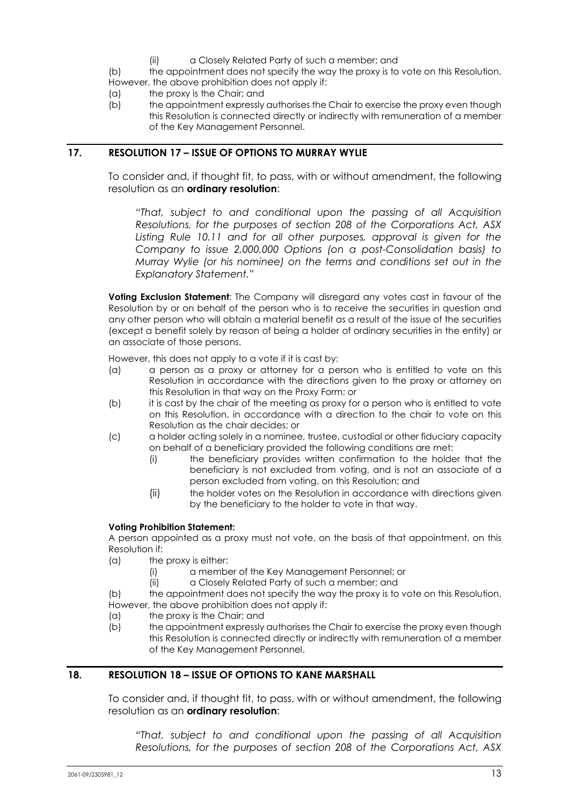(ii) a Closely Related Party of such a member; and

(b) the appointment does not specify the way the proxy is to vote on this Resolution. However, the above prohibition does not apply if:

- (a) the proxy is the Chair; and
- (b) the appointment expressly authorises the Chair to exercise the proxy even though this Resolution is connected directly or indirectly with remuneration of a member of the Key Management Personnel.

## **17. RESOLUTION 17 – ISSUE OF OPTIONS TO MURRAY WYLIE**

To consider and, if thought fit, to pass, with or without amendment, the following resolution as an **ordinary resolution**:

*"That, subject to and conditional upon the passing of all Acquisition Resolutions, for the purposes of section 208 of the Corporations Act, ASX*  Listing Rule 10.11 and for all other purposes, approval is given for the *Company to issue 2,000,000 Options (on a post-Consolidation basis) to Murray Wylie (or his nominee) on the terms and conditions set out in the Explanatory Statement."* 

**Voting Exclusion Statement**: The Company will disregard any votes cast in favour of the Resolution by or on behalf of the person who is to receive the securities in question and any other person who will obtain a material benefit as a result of the issue of the securities (except a benefit solely by reason of being a holder of ordinary securities in the entity) or an associate of those persons.

However, this does not apply to a vote if it is cast by:

- (a) a person as a proxy or attorney for a person who is entitled to vote on this Resolution in accordance with the directions given to the proxy or attorney on this Resolution in that way on the Proxy Form; or
- (b) it is cast by the chair of the meeting as proxy for a person who is entitled to vote on this Resolution, in accordance with a direction to the chair to vote on this Resolution as the chair decides; or
- (c) a holder acting solely in a nominee, trustee, custodial or other fiduciary capacity on behalf of a beneficiary provided the following conditions are met:
	- (i) the beneficiary provides written confirmation to the holder that the beneficiary is not excluded from voting, and is not an associate of a person excluded from voting, on this Resolution; and
	- (ii) the holder votes on the Resolution in accordance with directions given by the beneficiary to the holder to vote in that way.

#### **Voting Prohibition Statement:**

A person appointed as a proxy must not vote, on the basis of that appointment, on this Resolution if:

- (a) the proxy is either:
	- (i) a member of the Key Management Personnel; or
	- (ii) a Closely Related Party of such a member; and

(b) the appointment does not specify the way the proxy is to vote on this Resolution. However, the above prohibition does not apply if:

- (a) the proxy is the Chair; and
- (b) the appointment expressly authorises the Chair to exercise the proxy even though this Resolution is connected directly or indirectly with remuneration of a member of the Key Management Personnel.

## **18. RESOLUTION 18 – ISSUE OF OPTIONS TO KANE MARSHALL**

To consider and, if thought fit, to pass, with or without amendment, the following resolution as an **ordinary resolution**:

*"That, subject to and conditional upon the passing of all Acquisition Resolutions, for the purposes of section 208 of the Corporations Act, ASX*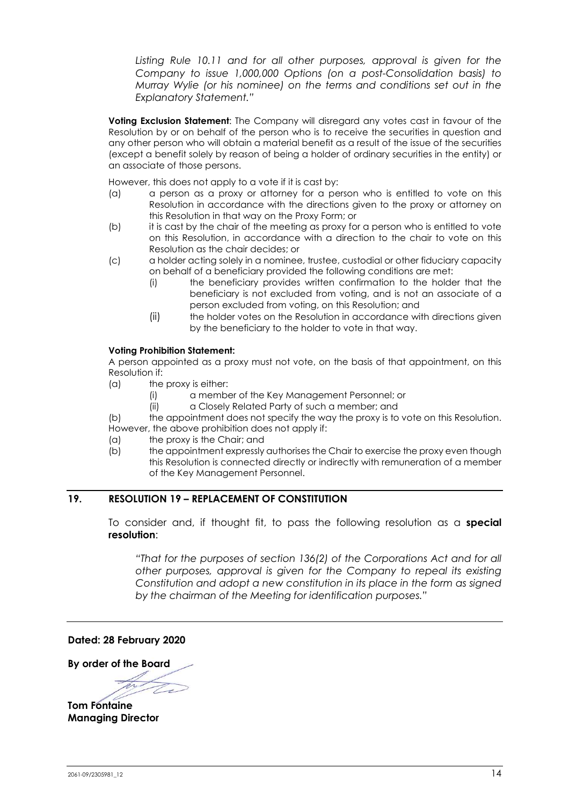Listing Rule 10.11 and for all other purposes, approval is given for the *Company to issue 1,000,000 Options (on a post-Consolidation basis) to Murray Wylie (or his nominee) on the terms and conditions set out in the Explanatory Statement."* 

**Voting Exclusion Statement**: The Company will disregard any votes cast in favour of the Resolution by or on behalf of the person who is to receive the securities in question and any other person who will obtain a material benefit as a result of the issue of the securities (except a benefit solely by reason of being a holder of ordinary securities in the entity) or an associate of those persons.

However, this does not apply to a vote if it is cast by:

- (a) a person as a proxy or attorney for a person who is entitled to vote on this Resolution in accordance with the directions given to the proxy or attorney on this Resolution in that way on the Proxy Form; or
- (b) it is cast by the chair of the meeting as proxy for a person who is entitled to vote on this Resolution, in accordance with a direction to the chair to vote on this Resolution as the chair decides; or
- (c) a holder acting solely in a nominee, trustee, custodial or other fiduciary capacity on behalf of a beneficiary provided the following conditions are met:
	- (i) the beneficiary provides written confirmation to the holder that the beneficiary is not excluded from voting, and is not an associate of a person excluded from voting, on this Resolution; and
	- (ii) the holder votes on the Resolution in accordance with directions given by the beneficiary to the holder to vote in that way.

#### **Voting Prohibition Statement:**

A person appointed as a proxy must not vote, on the basis of that appointment, on this Resolution if:

- $(a)$  the proxy is either:
	- (i) a member of the Key Management Personnel; or
	- (ii) a Closely Related Party of such a member; and

(b) the appointment does not specify the way the proxy is to vote on this Resolution. However, the above prohibition does not apply if:

- (a) the proxy is the Chair; and
- (b) the appointment expressly authorises the Chair to exercise the proxy even though this Resolution is connected directly or indirectly with remuneration of a member of the Key Management Personnel.

#### **19. RESOLUTION 19 – REPLACEMENT OF CONSTITUTION**

To consider and, if thought fit, to pass the following resolution as a **special resolution**:

*"That for the purposes of section 136(2) of the Corporations Act and for all other purposes, approval is given for the Company to repeal its existing Constitution and adopt a new constitution in its place in the form as signed by the chairman of the Meeting for identification purposes."* 

**Dated: 28 February 2020** 

**By order of the Board** 

**Tom Fontaine Managing Director**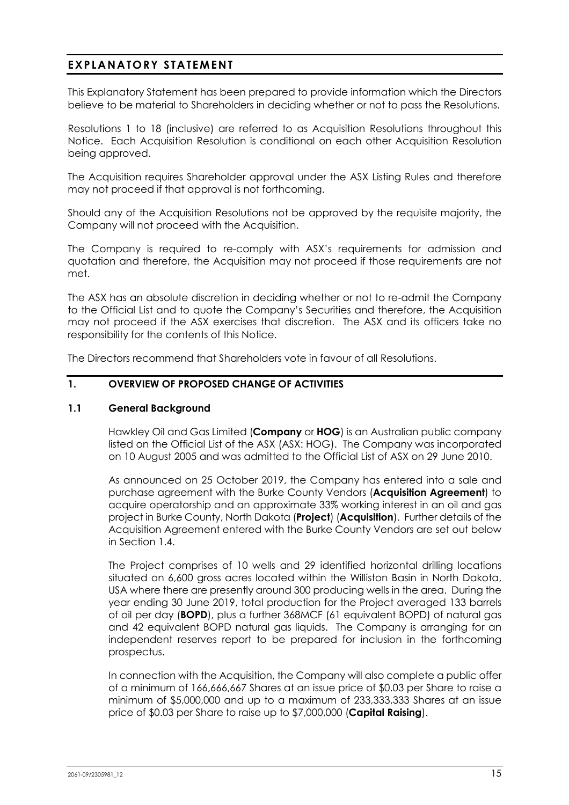## **EXPLANATORY STATEMENT**

This Explanatory Statement has been prepared to provide information which the Directors believe to be material to Shareholders in deciding whether or not to pass the Resolutions.

Resolutions 1 to 18 (inclusive) are referred to as Acquisition Resolutions throughout this Notice. Each Acquisition Resolution is conditional on each other Acquisition Resolution being approved.

The Acquisition requires Shareholder approval under the ASX Listing Rules and therefore may not proceed if that approval is not forthcoming.

Should any of the Acquisition Resolutions not be approved by the requisite majority, the Company will not proceed with the Acquisition.

The Company is required to re-comply with ASX's requirements for admission and quotation and therefore, the Acquisition may not proceed if those requirements are not met.

The ASX has an absolute discretion in deciding whether or not to re-admit the Company to the Official List and to quote the Company's Securities and therefore, the Acquisition may not proceed if the ASX exercises that discretion. The ASX and its officers take no responsibility for the contents of this Notice.

The Directors recommend that Shareholders vote in favour of all Resolutions.

## **1. OVERVIEW OF PROPOSED CHANGE OF ACTIVITIES**

#### **1.1 General Background**

Hawkley Oil and Gas Limited (**Company** or **HOG**) is an Australian public company listed on the Official List of the ASX (ASX: HOG). The Company was incorporated on 10 August 2005 and was admitted to the Official List of ASX on 29 June 2010.

As announced on 25 October 2019, the Company has entered into a sale and purchase agreement with the Burke County Vendors (**Acquisition Agreement**) to acquire operatorship and an approximate 33% working interest in an oil and gas project in Burke County, North Dakota (**Project**) (**Acquisition**). Further details of the Acquisition Agreement entered with the Burke County Vendors are set out below in Section 1.4.

The Project comprises of 10 wells and 29 identified horizontal drilling locations situated on 6,600 gross acres located within the Williston Basin in North Dakota, USA where there are presently around 300 producing wells in the area. During the year ending 30 June 2019, total production for the Project averaged 133 barrels of oil per day (**BOPD**), plus a further 368MCF (61 equivalent BOPD) of natural gas and 42 equivalent BOPD natural gas liquids. The Company is arranging for an independent reserves report to be prepared for inclusion in the forthcoming prospectus.

In connection with the Acquisition, the Company will also complete a public offer of a minimum of 166,666,667 Shares at an issue price of \$0.03 per Share to raise a minimum of \$5,000,000 and up to a maximum of 233,333,333 Shares at an issue price of \$0.03 per Share to raise up to \$7,000,000 (**Capital Raising**).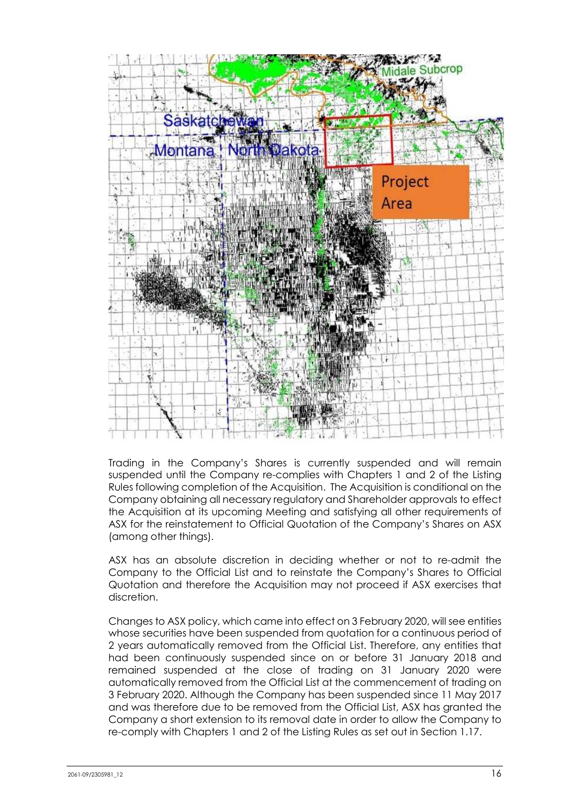

Trading in the Company's Shares is currently suspended and will remain suspended until the Company re-complies with Chapters 1 and 2 of the Listing Rules following completion of the Acquisition. The Acquisition is conditional on the Company obtaining all necessary regulatory and Shareholder approvals to effect the Acquisition at its upcoming Meeting and satisfying all other requirements of ASX for the reinstatement to Official Quotation of the Company's Shares on ASX (among other things).

ASX has an absolute discretion in deciding whether or not to re-admit the Company to the Official List and to reinstate the Company's Shares to Official Quotation and therefore the Acquisition may not proceed if ASX exercises that discretion.

Changes to ASX policy, which came into effect on 3 February 2020, will see entities whose securities have been suspended from quotation for a continuous period of 2 years automatically removed from the Official List. Therefore, any entities that had been continuously suspended since on or before 31 January 2018 and remained suspended at the close of trading on 31 January 2020 were automatically removed from the Official List at the commencement of trading on 3 February 2020. Although the Company has been suspended since 11 May 2017 and was therefore due to be removed from the Official List, ASX has granted the Company a short extension to its removal date in order to allow the Company to re-comply with Chapters 1 and 2 of the Listing Rules as set out in Section 1.17.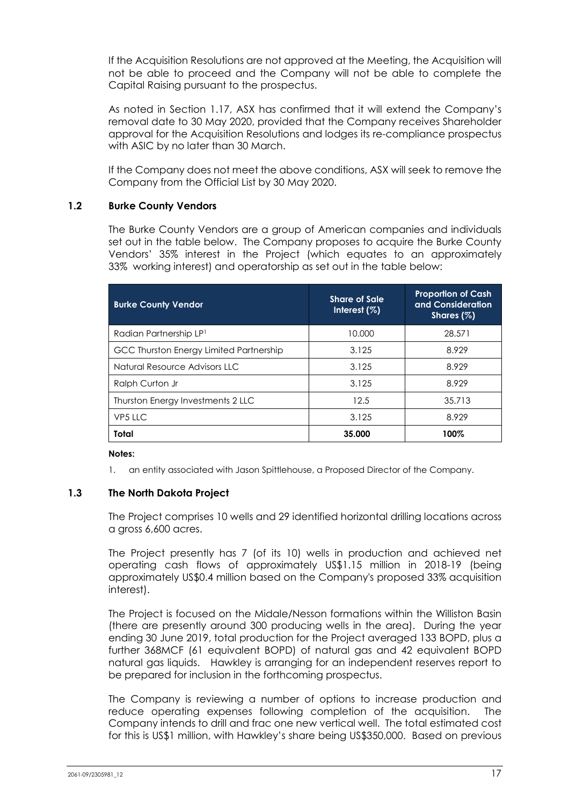If the Acquisition Resolutions are not approved at the Meeting, the Acquisition will not be able to proceed and the Company will not be able to complete the Capital Raising pursuant to the prospectus.

As noted in Section 1.17, ASX has confirmed that it will extend the Company's removal date to 30 May 2020, provided that the Company receives Shareholder approval for the Acquisition Resolutions and lodges its re-compliance prospectus with ASIC by no later than 30 March.

If the Company does not meet the above conditions, ASX will seek to remove the Company from the Official List by 30 May 2020.

#### **1.2 Burke County Vendors**

The Burke County Vendors are a group of American companies and individuals set out in the table below. The Company proposes to acquire the Burke County Vendors' 35% interest in the Project (which equates to an approximately 33% working interest) and operatorship as set out in the table below:

| <b>Burke County Vendor</b>              | <b>Share of Sale</b><br>Interest $(\%)$ | <b>Proportion of Cash</b><br>and Consideration<br>Shares $(\%)$ |
|-----------------------------------------|-----------------------------------------|-----------------------------------------------------------------|
| Radian Partnership LP <sup>1</sup>      | 10.000                                  | 28.571                                                          |
| GCC Thurston Energy Limited Partnership | 3.125                                   | 8.929                                                           |
| Natural Resource Advisors LLC           | 3.125                                   | 8.929                                                           |
| Ralph Curton Jr                         | 3.125                                   | 8.929                                                           |
| Thurston Energy Investments 2 LLC       | 12.5                                    | 35.713                                                          |
| VP5 LLC                                 | 3.125                                   | 8.929                                                           |
| Total                                   | 35,000                                  | 100%                                                            |

#### **Notes:**

1. an entity associated with Jason Spittlehouse, a Proposed Director of the Company.

#### **1.3 The North Dakota Project**

The Project comprises 10 wells and 29 identified horizontal drilling locations across a gross 6,600 acres.

The Project presently has 7 (of its 10) wells in production and achieved net operating cash flows of approximately US\$1.15 million in 2018-19 (being approximately US\$0.4 million based on the Company's proposed 33% acquisition interest).

The Project is focused on the Midale/Nesson formations within the Williston Basin (there are presently around 300 producing wells in the area). During the year ending 30 June 2019, total production for the Project averaged 133 BOPD, plus a further 368MCF (61 equivalent BOPD) of natural gas and 42 equivalent BOPD natural gas liquids. Hawkley is arranging for an independent reserves report to be prepared for inclusion in the forthcoming prospectus.

The Company is reviewing a number of options to increase production and reduce operating expenses following completion of the acquisition. The Company intends to drill and frac one new vertical well. The total estimated cost for this is US\$1 million, with Hawkley's share being US\$350,000. Based on previous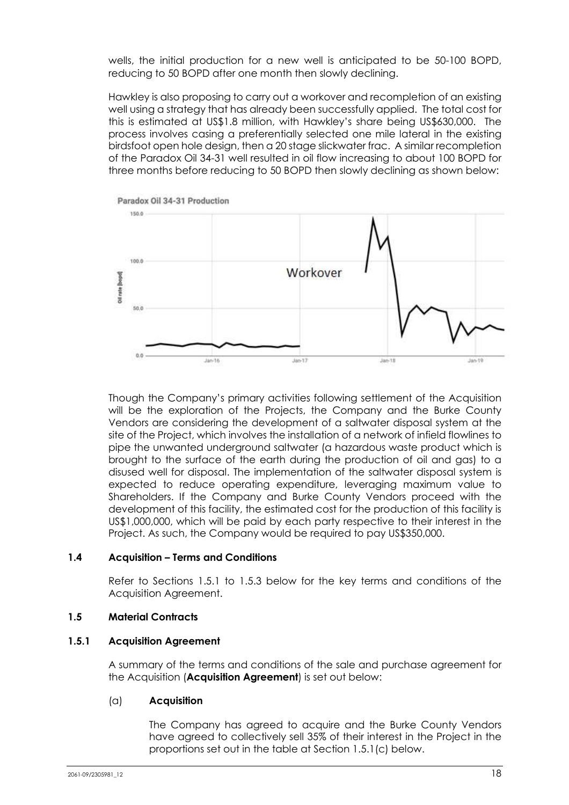wells, the initial production for a new well is anticipated to be 50-100 BOPD, reducing to 50 BOPD after one month then slowly declining.

Hawkley is also proposing to carry out a workover and recompletion of an existing well using a strategy that has already been successfully applied. The total cost for this is estimated at US\$1.8 million, with Hawkley's share being US\$630,000. The process involves casing a preferentially selected one mile lateral in the existing birdsfoot open hole design, then a 20 stage slickwater frac. A similar recompletion of the Paradox Oil 34-31 well resulted in oil flow increasing to about 100 BOPD for three months before reducing to 50 BOPD then slowly declining as shown below:



Though the Company's primary activities following settlement of the Acquisition will be the exploration of the Projects, the Company and the Burke County Vendors are considering the development of a saltwater disposal system at the site of the Project, which involves the installation of a network of infield flowlines to pipe the unwanted underground saltwater (a hazardous waste product which is brought to the surface of the earth during the production of oil and gas) to a disused well for disposal. The implementation of the saltwater disposal system is expected to reduce operating expenditure, leveraging maximum value to Shareholders. If the Company and Burke County Vendors proceed with the development of this facility, the estimated cost for the production of this facility is US\$1,000,000, which will be paid by each party respective to their interest in the Project. As such, the Company would be required to pay US\$350,000.

#### **1.4 Acquisition – Terms and Conditions**

Refer to Sections 1.5.1 to 1.5.3 below for the key terms and conditions of the Acquisition Agreement.

#### **1.5 Material Contracts**

#### **1.5.1 Acquisition Agreement**

A summary of the terms and conditions of the sale and purchase agreement for the Acquisition (**Acquisition Agreement**) is set out below:

#### (a) **Acquisition**

The Company has agreed to acquire and the Burke County Vendors have agreed to collectively sell 35% of their interest in the Project in the proportions set out in the table at Section 1.5.1(c) below.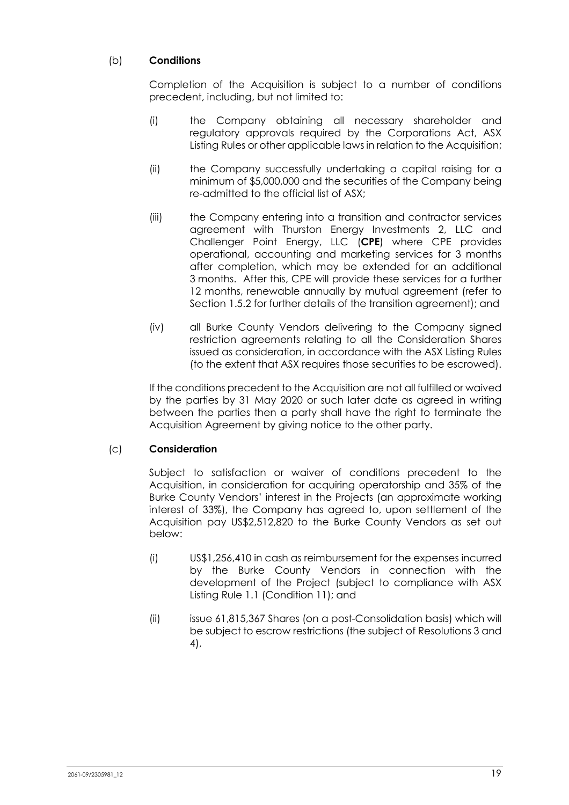## (b) **Conditions**

Completion of the Acquisition is subject to a number of conditions precedent, including, but not limited to:

- (i) the Company obtaining all necessary shareholder and regulatory approvals required by the Corporations Act, ASX Listing Rules or other applicable laws in relation to the Acquisition;
- (ii) the Company successfully undertaking a capital raising for a minimum of \$5,000,000 and the securities of the Company being re-admitted to the official list of ASX;
- (iii) the Company entering into a transition and contractor services agreement with Thurston Energy Investments 2, LLC and Challenger Point Energy, LLC (**CPE**) where CPE provides operational, accounting and marketing services for 3 months after completion, which may be extended for an additional 3 months. After this, CPE will provide these services for a further 12 months, renewable annually by mutual agreement (refer to Section 1.5.2 for further details of the transition agreement); and
- (iv) all Burke County Vendors delivering to the Company signed restriction agreements relating to all the Consideration Shares issued as consideration, in accordance with the ASX Listing Rules (to the extent that ASX requires those securities to be escrowed).

If the conditions precedent to the Acquisition are not all fulfilled or waived by the parties by 31 May 2020 or such later date as agreed in writing between the parties then a party shall have the right to terminate the Acquisition Agreement by giving notice to the other party.

## (c) **Consideration**

Subject to satisfaction or waiver of conditions precedent to the Acquisition, in consideration for acquiring operatorship and 35% of the Burke County Vendors' interest in the Projects (an approximate working interest of 33%), the Company has agreed to, upon settlement of the Acquisition pay US\$2,512,820 to the Burke County Vendors as set out below:

- (i) US\$1,256,410 in cash as reimbursement for the expenses incurred by the Burke County Vendors in connection with the development of the Project (subject to compliance with ASX Listing Rule 1.1 (Condition 11); and
- (ii) issue 61,815,367 Shares (on a post-Consolidation basis) which will be subject to escrow restrictions (the subject of Resolutions 3 and 4),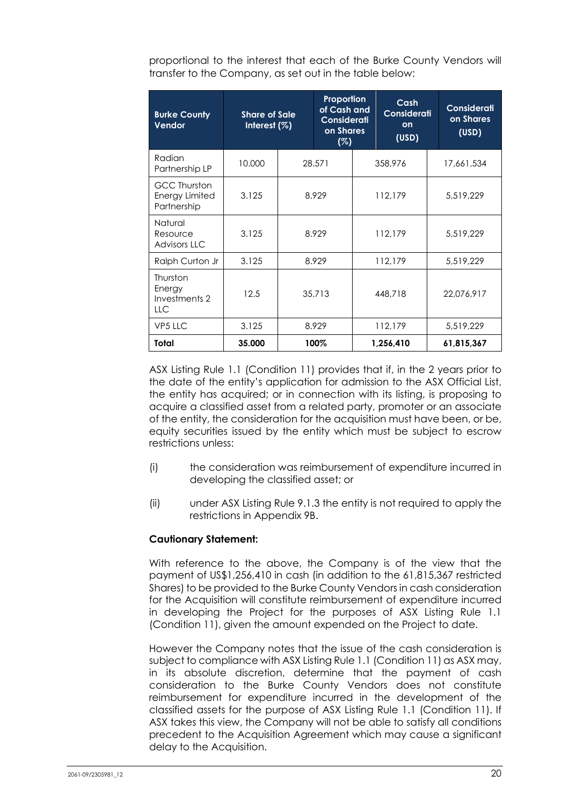proportional to the interest that each of the Burke County Vendors will transfer to the Company, as set out in the table below:

| <b>Burke County</b><br><b>Vendor</b>                        | <b>Share of Sale</b><br>Interest $(\%)$ | Proportion<br>of Cash and<br>Considerati<br>on Shares<br>(%) |  |         | Cash<br>Considerati<br>on<br>(USD) | Considerati<br>on Shares<br>(USD) |
|-------------------------------------------------------------|-----------------------------------------|--------------------------------------------------------------|--|---------|------------------------------------|-----------------------------------|
| Radian<br>Partnership LP                                    | 10.000                                  | 28.571                                                       |  |         | 358,976                            | 17,661,534                        |
| <b>GCC Thurston</b><br><b>Energy Limited</b><br>Partnership | 3.125                                   | 8.929                                                        |  | 112,179 |                                    | 5,519,229                         |
| Natural<br>Resource<br><b>Advisors LLC</b>                  | 3.125                                   | 8.929                                                        |  |         | 112,179                            | 5.519.229                         |
| Ralph Curton Jr                                             | 3.125                                   | 8.929                                                        |  |         | 112,179                            | 5,519,229                         |
| Thurston<br>Energy<br>Investments 2<br><b>LLC</b>           | 12.5                                    | 35.713                                                       |  |         | 448,718                            | 22,076,917                        |
| VP5 LLC                                                     | 3.125                                   | 8.929                                                        |  |         | 112,179                            | 5,519,229                         |
| Total                                                       | 35.000                                  | 100%                                                         |  |         | 1,256,410                          | 61,815,367                        |

ASX Listing Rule 1.1 (Condition 11) provides that if, in the 2 years prior to the date of the entity's application for admission to the ASX Official List, the entity has acquired; or in connection with its listing, is proposing to acquire a classified asset from a related party, promoter or an associate of the entity, the consideration for the acquisition must have been, or be, equity securities issued by the entity which must be subject to escrow restrictions unless:

- (i) the consideration was reimbursement of expenditure incurred in developing the classified asset; or
- (ii) under ASX Listing Rule 9.1.3 the entity is not required to apply the restrictions in Appendix 9B.

#### **Cautionary Statement:**

With reference to the above, the Company is of the view that the payment of US\$1,256,410 in cash (in addition to the 61,815,367 restricted Shares) to be provided to the Burke County Vendors in cash consideration for the Acquisition will constitute reimbursement of expenditure incurred in developing the Project for the purposes of ASX Listing Rule 1.1 (Condition 11), given the amount expended on the Project to date.

However the Company notes that the issue of the cash consideration is subject to compliance with ASX Listing Rule 1.1 (Condition 11) as ASX may, in its absolute discretion, determine that the payment of cash consideration to the Burke County Vendors does not constitute reimbursement for expenditure incurred in the development of the classified assets for the purpose of ASX Listing Rule 1.1 (Condition 11). If ASX takes this view, the Company will not be able to satisfy all conditions precedent to the Acquisition Agreement which may cause a significant delay to the Acquisition.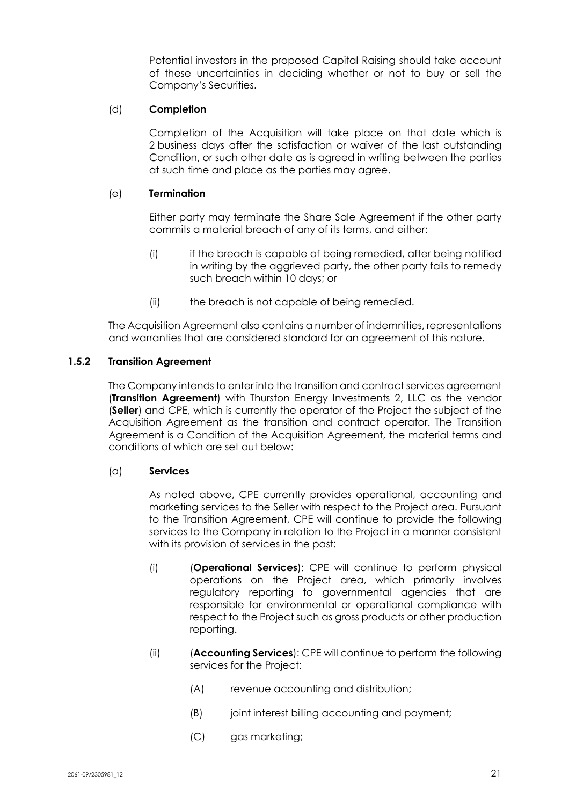Potential investors in the proposed Capital Raising should take account of these uncertainties in deciding whether or not to buy or sell the Company's Securities.

### (d) **Completion**

Completion of the Acquisition will take place on that date which is 2 business days after the satisfaction or waiver of the last outstanding Condition, or such other date as is agreed in writing between the parties at such time and place as the parties may agree.

#### (e) **Termination**

Either party may terminate the Share Sale Agreement if the other party commits a material breach of any of its terms, and either:

- (i) if the breach is capable of being remedied, after being notified in writing by the aggrieved party, the other party fails to remedy such breach within 10 days; or
- (ii) the breach is not capable of being remedied.

The Acquisition Agreement also contains a number of indemnities, representations and warranties that are considered standard for an agreement of this nature.

## **1.5.2 Transition Agreement**

The Company intends to enter into the transition and contract services agreement (**Transition Agreement**) with Thurston Energy Investments 2, LLC as the vendor (**Seller**) and CPE, which is currently the operator of the Project the subject of the Acquisition Agreement as the transition and contract operator. The Transition Agreement is a Condition of the Acquisition Agreement, the material terms and conditions of which are set out below:

#### (a) **Services**

As noted above, CPE currently provides operational, accounting and marketing services to the Seller with respect to the Project area. Pursuant to the Transition Agreement, CPE will continue to provide the following services to the Company in relation to the Project in a manner consistent with its provision of services in the past:

- (i) (**Operational Services**): CPE will continue to perform physical operations on the Project area, which primarily involves regulatory reporting to governmental agencies that are responsible for environmental or operational compliance with respect to the Project such as gross products or other production reporting.
- (ii) (**Accounting Services**): CPE will continue to perform the following services for the Project:
	- (A) revenue accounting and distribution;
	- (B) joint interest billing accounting and payment;
	- (C) gas marketing;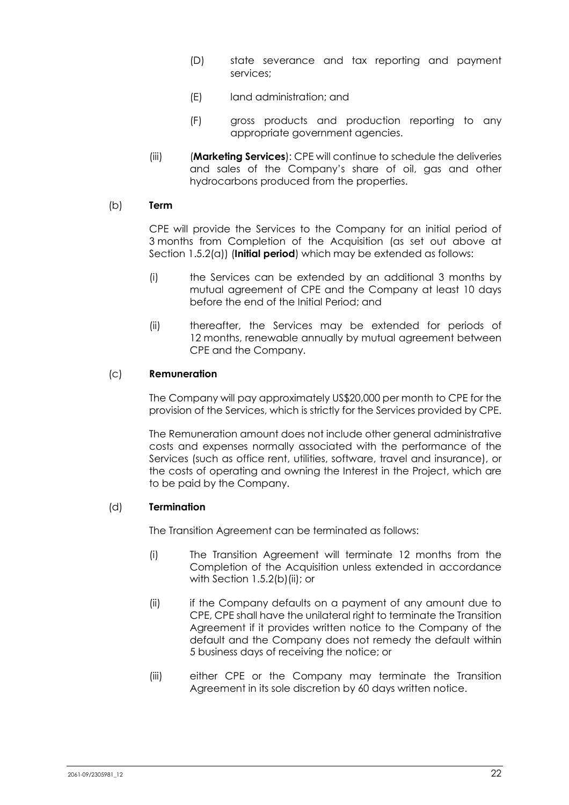- (D) state severance and tax reporting and payment services;
- (E) land administration; and
- (F) gross products and production reporting to any appropriate government agencies.
- (iii) (**Marketing Services**): CPE will continue to schedule the deliveries and sales of the Company's share of oil, gas and other hydrocarbons produced from the properties.

### (b) **Term**

CPE will provide the Services to the Company for an initial period of 3 months from Completion of the Acquisition (as set out above at Section 1.5.2(a)) (**Initial period**) which may be extended as follows:

- (i) the Services can be extended by an additional 3 months by mutual agreement of CPE and the Company at least 10 days before the end of the Initial Period; and
- (ii) thereafter, the Services may be extended for periods of 12 months, renewable annually by mutual agreement between CPE and the Company.

## (c) **Remuneration**

The Company will pay approximately US\$20,000 per month to CPE for the provision of the Services, which is strictly for the Services provided by CPE.

The Remuneration amount does not include other general administrative costs and expenses normally associated with the performance of the Services (such as office rent, utilities, software, travel and insurance), or the costs of operating and owning the Interest in the Project, which are to be paid by the Company.

#### (d) **Termination**

The Transition Agreement can be terminated as follows:

- (i) The Transition Agreement will terminate 12 months from the Completion of the Acquisition unless extended in accordance with Section 1.5.2(b)(ii); or
- (ii) if the Company defaults on a payment of any amount due to CPE, CPE shall have the unilateral right to terminate the Transition Agreement if it provides written notice to the Company of the default and the Company does not remedy the default within 5 business days of receiving the notice; or
- (iii) either CPE or the Company may terminate the Transition Agreement in its sole discretion by 60 days written notice.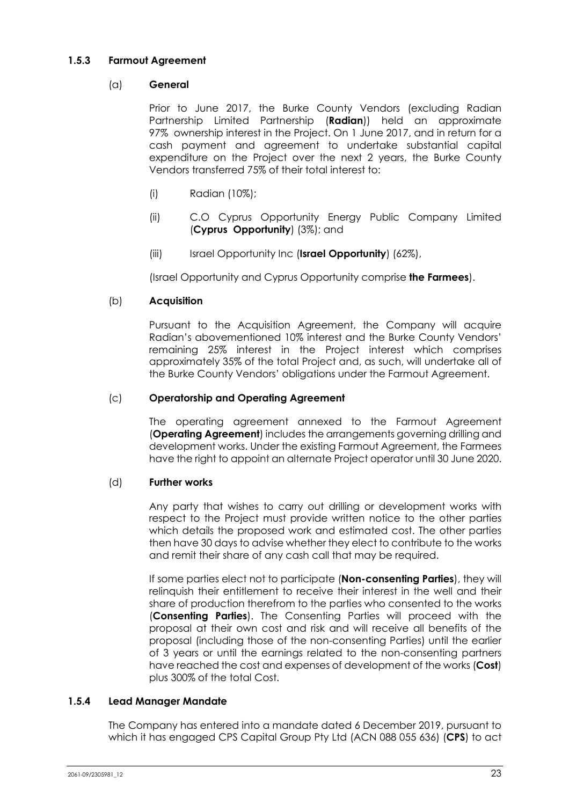## **1.5.3 Farmout Agreement**

### (a) **General**

Prior to June 2017, the Burke County Vendors (excluding Radian Partnership Limited Partnership (**Radian**)) held an approximate 97% ownership interest in the Project. On 1 June 2017, and in return for a cash payment and agreement to undertake substantial capital expenditure on the Project over the next 2 years, the Burke County Vendors transferred 75% of their total interest to:

- (i) Radian (10%);
- (ii) C.O Cyprus Opportunity Energy Public Company Limited (**Cyprus Opportunity**) (3%); and
- (iii) Israel Opportunity Inc (**Israel Opportunity**) (62%),

(Israel Opportunity and Cyprus Opportunity comprise **the Farmees**).

## (b) **Acquisition**

Pursuant to the Acquisition Agreement, the Company will acquire Radian's abovementioned 10% interest and the Burke County Vendors' remaining 25% interest in the Project interest which comprises approximately 35% of the total Project and, as such, will undertake all of the Burke County Vendors' obligations under the Farmout Agreement.

## (c) **Operatorship and Operating Agreement**

The operating agreement annexed to the Farmout Agreement (**Operating Agreement**) includes the arrangements governing drilling and development works. Under the existing Farmout Agreement, the Farmees have the right to appoint an alternate Project operator until 30 June 2020.

#### (d) **Further works**

Any party that wishes to carry out drilling or development works with respect to the Project must provide written notice to the other parties which details the proposed work and estimated cost. The other parties then have 30 days to advise whether they elect to contribute to the works and remit their share of any cash call that may be required.

If some parties elect not to participate (**Non-consenting Parties**), they will relinquish their entitlement to receive their interest in the well and their share of production therefrom to the parties who consented to the works (**Consenting Parties**). The Consenting Parties will proceed with the proposal at their own cost and risk and will receive all benefits of the proposal (including those of the non-consenting Parties) until the earlier of 3 years or until the earnings related to the non-consenting partners have reached the cost and expenses of development of the works (**Cost**) plus 300% of the total Cost.

#### **1.5.4 Lead Manager Mandate**

The Company has entered into a mandate dated 6 December 2019, pursuant to which it has engaged CPS Capital Group Pty Ltd (ACN 088 055 636) (**CPS**) to act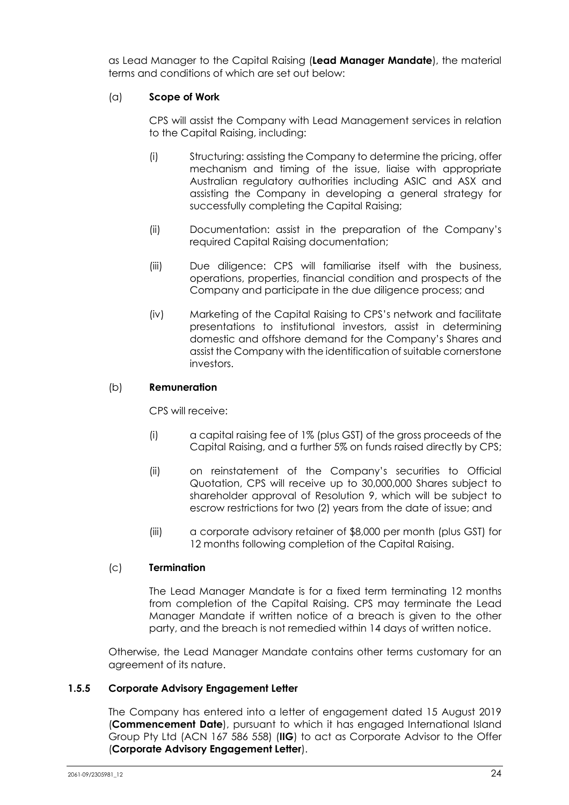as Lead Manager to the Capital Raising (**Lead Manager Mandate**), the material terms and conditions of which are set out below:

## (a) **Scope of Work**

CPS will assist the Company with Lead Management services in relation to the Capital Raising, including:

- (i) Structuring: assisting the Company to determine the pricing, offer mechanism and timing of the issue, liaise with appropriate Australian regulatory authorities including ASIC and ASX and assisting the Company in developing a general strategy for successfully completing the Capital Raising;
- (ii) Documentation: assist in the preparation of the Company's required Capital Raising documentation;
- (iii) Due diligence: CPS will familiarise itself with the business, operations, properties, financial condition and prospects of the Company and participate in the due diligence process; and
- (iv) Marketing of the Capital Raising to CPS's network and facilitate presentations to institutional investors, assist in determining domestic and offshore demand for the Company's Shares and assist the Company with the identification of suitable cornerstone investors.

### (b) **Remuneration**

CPS will receive:

- (i) a capital raising fee of 1% (plus GST) of the gross proceeds of the Capital Raising, and a further 5% on funds raised directly by CPS;
- (ii) on reinstatement of the Company's securities to Official Quotation, CPS will receive up to 30,000,000 Shares subject to shareholder approval of Resolution 9, which will be subject to escrow restrictions for two (2) years from the date of issue; and
- (iii) a corporate advisory retainer of \$8,000 per month (plus GST) for 12 months following completion of the Capital Raising.

#### (c) **Termination**

The Lead Manager Mandate is for a fixed term terminating 12 months from completion of the Capital Raising. CPS may terminate the Lead Manager Mandate if written notice of a breach is given to the other party, and the breach is not remedied within 14 days of written notice.

Otherwise, the Lead Manager Mandate contains other terms customary for an agreement of its nature.

#### **1.5.5 Corporate Advisory Engagement Letter**

The Company has entered into a letter of engagement dated 15 August 2019 (**Commencement Date**), pursuant to which it has engaged International Island Group Pty Ltd (ACN 167 586 558) (**IIG**) to act as Corporate Advisor to the Offer (**Corporate Advisory Engagement Letter**).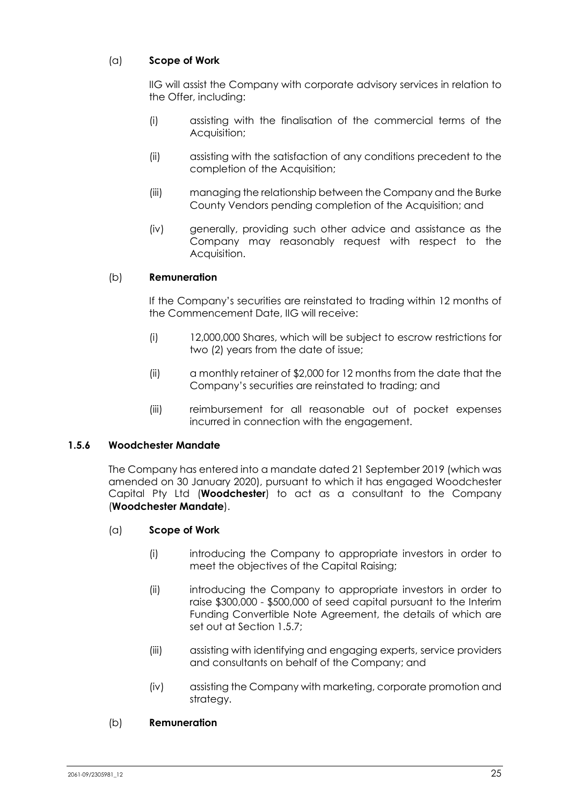## (a) **Scope of Work**

IIG will assist the Company with corporate advisory services in relation to the Offer, including:

- (i) assisting with the finalisation of the commercial terms of the Acquisition;
- (ii) assisting with the satisfaction of any conditions precedent to the completion of the Acquisition;
- (iii) managing the relationship between the Company and the Burke County Vendors pending completion of the Acquisition; and
- (iv) generally, providing such other advice and assistance as the Company may reasonably request with respect to the Acquisition.

## (b) **Remuneration**

If the Company's securities are reinstated to trading within 12 months of the Commencement Date, IIG will receive:

- (i) 12,000,000 Shares, which will be subject to escrow restrictions for two (2) years from the date of issue;
- (ii) a monthly retainer of \$2,000 for 12 months from the date that the Company's securities are reinstated to trading; and
- (iii) reimbursement for all reasonable out of pocket expenses incurred in connection with the engagement.

#### **1.5.6 Woodchester Mandate**

The Company has entered into a mandate dated 21 September 2019 (which was amended on 30 January 2020), pursuant to which it has engaged Woodchester Capital Pty Ltd (**Woodchester**) to act as a consultant to the Company (**Woodchester Mandate**).

#### (a) **Scope of Work**

- (i) introducing the Company to appropriate investors in order to meet the objectives of the Capital Raising;
- (ii) introducing the Company to appropriate investors in order to raise \$300,000 - \$500,000 of seed capital pursuant to the Interim Funding Convertible Note Agreement, the details of which are set out at Section 1.5.7;
- (iii) assisting with identifying and engaging experts, service providers and consultants on behalf of the Company; and
- (iv) assisting the Company with marketing, corporate promotion and strategy.

#### (b) **Remuneration**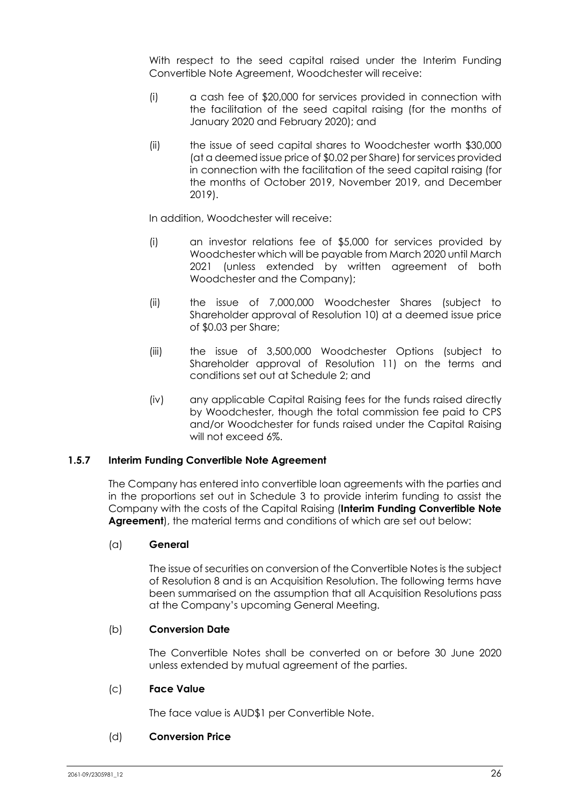With respect to the seed capital raised under the Interim Funding Convertible Note Agreement, Woodchester will receive:

- (i) a cash fee of \$20,000 for services provided in connection with the facilitation of the seed capital raising (for the months of January 2020 and February 2020); and
- (ii) the issue of seed capital shares to Woodchester worth \$30,000 (at a deemed issue price of \$0.02 per Share) for services provided in connection with the facilitation of the seed capital raising (for the months of October 2019, November 2019, and December 2019).

In addition, Woodchester will receive:

- (i) an investor relations fee of \$5,000 for services provided by Woodchester which will be payable from March 2020 until March 2021 (unless extended by written agreement of both Woodchester and the Company);
- (ii) the issue of 7,000,000 Woodchester Shares (subject to Shareholder approval of Resolution 10) at a deemed issue price of \$0.03 per Share;
- (iii) the issue of 3,500,000 Woodchester Options (subject to Shareholder approval of Resolution 11) on the terms and conditions set out at Schedule 2; and
- (iv) any applicable Capital Raising fees for the funds raised directly by Woodchester, though the total commission fee paid to CPS and/or Woodchester for funds raised under the Capital Raising will not exceed 6%.

#### **1.5.7 Interim Funding Convertible Note Agreement**

The Company has entered into convertible loan agreements with the parties and in the proportions set out in Schedule 3 to provide interim funding to assist the Company with the costs of the Capital Raising (**Interim Funding Convertible Note Agreement**), the material terms and conditions of which are set out below:

#### (a) **General**

The issue of securities on conversion of the Convertible Notes is the subject of Resolution 8 and is an Acquisition Resolution. The following terms have been summarised on the assumption that all Acquisition Resolutions pass at the Company's upcoming General Meeting.

#### (b) **Conversion Date**

The Convertible Notes shall be converted on or before 30 June 2020 unless extended by mutual agreement of the parties.

#### (c) **Face Value**

The face value is AUD\$1 per Convertible Note.

### (d) **Conversion Price**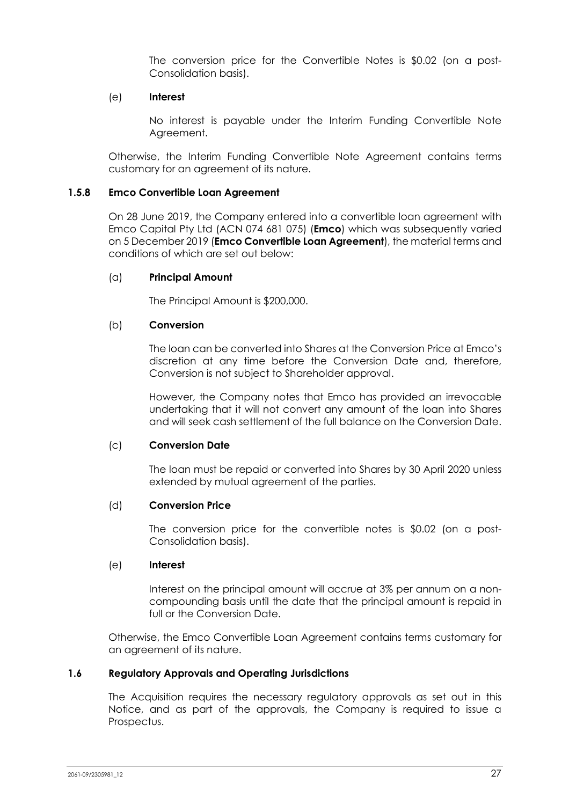The conversion price for the Convertible Notes is \$0.02 (on a post-Consolidation basis).

#### (e) **Interest**

No interest is payable under the Interim Funding Convertible Note Agreement.

Otherwise, the Interim Funding Convertible Note Agreement contains terms customary for an agreement of its nature.

#### **1.5.8 Emco Convertible Loan Agreement**

On 28 June 2019, the Company entered into a convertible loan agreement with Emco Capital Pty Ltd (ACN 074 681 075) (**Emco**) which was subsequently varied on 5 December 2019 (**Emco Convertible Loan Agreement**), the material terms and conditions of which are set out below:

#### (a) **Principal Amount**

The Principal Amount is \$200,000.

#### (b) **Conversion**

The loan can be converted into Shares at the Conversion Price at Emco's discretion at any time before the Conversion Date and, therefore, Conversion is not subject to Shareholder approval.

However, the Company notes that Emco has provided an irrevocable undertaking that it will not convert any amount of the loan into Shares and will seek cash settlement of the full balance on the Conversion Date.

#### (c) **Conversion Date**

The loan must be repaid or converted into Shares by 30 April 2020 unless extended by mutual agreement of the parties.

#### (d) **Conversion Price**

The conversion price for the convertible notes is \$0.02 (on a post-Consolidation basis).

#### (e) **Interest**

Interest on the principal amount will accrue at 3% per annum on a noncompounding basis until the date that the principal amount is repaid in full or the Conversion Date.

Otherwise, the Emco Convertible Loan Agreement contains terms customary for an agreement of its nature.

#### **1.6 Regulatory Approvals and Operating Jurisdictions**

The Acquisition requires the necessary regulatory approvals as set out in this Notice, and as part of the approvals, the Company is required to issue a Prospectus.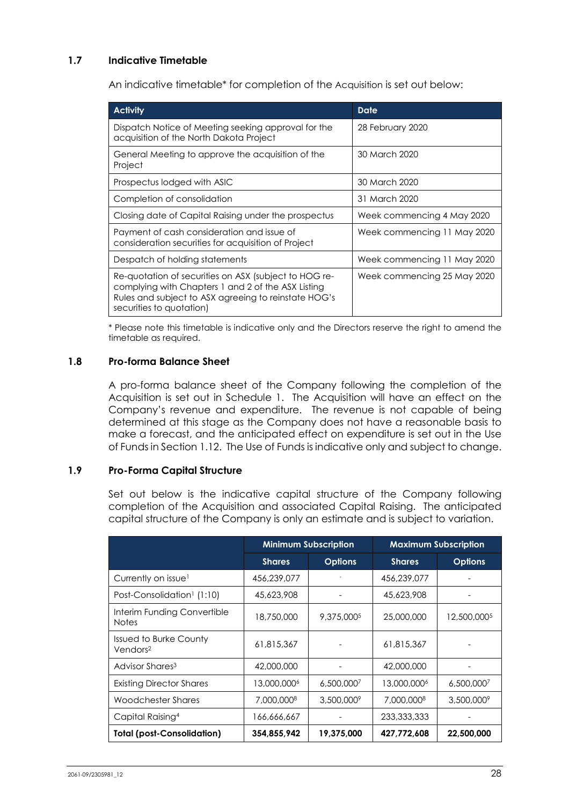## **1.7 Indicative Timetable**

An indicative timetable\* for completion of the Acquisition is set out below:

| <b>Activity</b>                                                                                                                                                                                 | Date                        |
|-------------------------------------------------------------------------------------------------------------------------------------------------------------------------------------------------|-----------------------------|
| Dispatch Notice of Meeting seeking approval for the<br>acquisition of the North Dakota Project                                                                                                  | 28 February 2020            |
| General Meeting to approve the acquisition of the<br>Project                                                                                                                                    | 30 March 2020               |
| Prospectus lodged with ASIC                                                                                                                                                                     | 30 March 2020               |
| Completion of consolidation                                                                                                                                                                     | 31 March 2020               |
| Closing date of Capital Raising under the prospectus                                                                                                                                            | Week commencing 4 May 2020  |
| Payment of cash consideration and issue of<br>consideration securities for acquisition of Project                                                                                               | Week commencing 11 May 2020 |
| Despatch of holding statements                                                                                                                                                                  | Week commencing 11 May 2020 |
| Re-quotation of securities on ASX (subject to HOG re-<br>complying with Chapters 1 and 2 of the ASX Listing<br>Rules and subject to ASX agreeing to reinstate HOG's<br>securities to quotation) | Week commencing 25 May 2020 |

\* Please note this timetable is indicative only and the Directors reserve the right to amend the timetable as required.

## **1.8 Pro-forma Balance Sheet**

A pro-forma balance sheet of the Company following the completion of the Acquisition is set out in Schedule 1. The Acquisition will have an effect on the Company's revenue and expenditure. The revenue is not capable of being determined at this stage as the Company does not have a reasonable basis to make a forecast, and the anticipated effect on expenditure is set out in the Use of Funds in Section 1.12. The Use of Funds is indicative only and subject to change.

#### **1.9 Pro-Forma Capital Structure**

Set out below is the indicative capital structure of the Company following completion of the Acquisition and associated Capital Raising. The anticipated capital structure of the Company is only an estimate and is subject to variation.

|                                                       | <b>Minimum Subscription</b> |                | <b>Maximum Subscription</b> |                |
|-------------------------------------------------------|-----------------------------|----------------|-----------------------------|----------------|
|                                                       | <b>Shares</b>               | <b>Options</b> | <b>Shares</b>               | <b>Options</b> |
| Currently on issue <sup>1</sup>                       | 456,239,077                 |                | 456,239,077                 |                |
| Post-Consolidation <sup>1</sup> (1:10)                | 45,623,908                  |                | 45,623,908                  |                |
| Interim Funding Convertible<br><b>Notes</b>           | 18,750,000                  | 9,375,0005     | 25,000,000                  | 12,500,0005    |
| <b>Issued to Burke County</b><br>Vendors <sup>2</sup> | 61,815,367                  |                | 61,815,367                  |                |
| Advisor Shares <sup>3</sup>                           | 42,000,000                  |                | 42,000,000                  |                |
| <b>Existing Director Shares</b>                       | 13,000,000 <sup>6</sup>     | 6,500,0007     | 13,000,0006                 | 6,500,0007     |
| Woodchester Shares                                    | 7,000,0008                  | 3,500,0009     | 7,000,0008                  | 3,500,0009     |
| Capital Raising <sup>4</sup>                          | 166,666,667                 |                | 233, 333, 333               |                |
| <b>Total (post-Consolidation)</b>                     | 354,855,942                 | 19,375,000     | 427,772,608                 | 22,500,000     |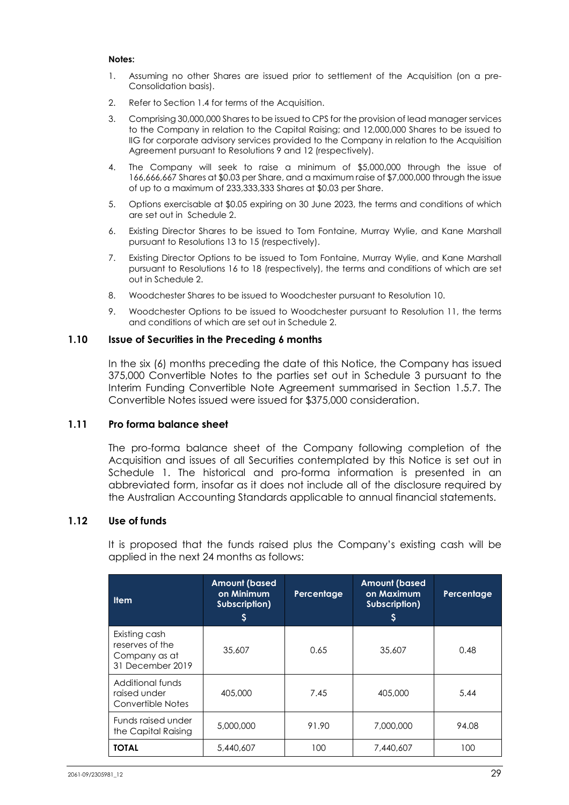#### **Notes:**

- 1. Assuming no other Shares are issued prior to settlement of the Acquisition (on a pre-Consolidation basis).
- 2. Refer to Section 1.4 for terms of the Acquisition.
- 3. Comprising 30,000,000 Shares to be issued to CPS for the provision of lead manager services to the Company in relation to the Capital Raising; and 12,000,000 Shares to be issued to IIG for corporate advisory services provided to the Company in relation to the Acquisition Agreement pursuant to Resolutions 9 and 12 (respectively).
- 4. The Company will seek to raise a minimum of \$5,000,000 through the issue of 166,666,667 Shares at \$0.03 per Share, and a maximum raise of \$7,000,000 through the issue of up to a maximum of 233,333,333 Shares at \$0.03 per Share.
- 5. Options exercisable at \$0.05 expiring on 30 June 2023, the terms and conditions of which are set out in Schedule 2.
- 6. Existing Director Shares to be issued to Tom Fontaine, Murray Wylie, and Kane Marshall pursuant to Resolutions 13 to 15 (respectively).
- 7. Existing Director Options to be issued to Tom Fontaine, Murray Wylie, and Kane Marshall pursuant to Resolutions 16 to 18 (respectively), the terms and conditions of which are set out in Schedule 2.
- 8. Woodchester Shares to be issued to Woodchester pursuant to Resolution 10.
- 9. Woodchester Options to be issued to Woodchester pursuant to Resolution 11, the terms and conditions of which are set out in Schedule 2.

## **1.10 Issue of Securities in the Preceding 6 months**

In the six (6) months preceding the date of this Notice, the Company has issued 375,000 Convertible Notes to the parties set out in Schedule 3 pursuant to the Interim Funding Convertible Note Agreement summarised in Section 1.5.7. The Convertible Notes issued were issued for \$375,000 consideration.

#### **1.11 Pro forma balance sheet**

The pro-forma balance sheet of the Company following completion of the Acquisition and issues of all Securities contemplated by this Notice is set out in Schedule 1. The historical and pro-forma information is presented in an abbreviated form, insofar as it does not include all of the disclosure required by the Australian Accounting Standards applicable to annual financial statements.

#### **1.12 Use of funds**

It is proposed that the funds raised plus the Company's existing cash will be applied in the next 24 months as follows:

| <b>Item</b>                                                           | <b>Amount (based</b><br>on Minimum<br>Subscription) | Percentage | <b>Amount (based</b><br>on Maximum<br>Subscription)<br>S | Percentage |
|-----------------------------------------------------------------------|-----------------------------------------------------|------------|----------------------------------------------------------|------------|
| Existing cash<br>reserves of the<br>Company as at<br>31 December 2019 | 35,607                                              | 0.65       | 35,607                                                   | 0.48       |
| Additional funds<br>raised under<br>Convertible Notes                 | 405,000                                             | 7.45       | 405,000                                                  | 5.44       |
| Funds raised under<br>the Capital Raising                             | 5,000,000                                           | 91.90      | 7,000,000                                                | 94.08      |
| <b>TOTAL</b>                                                          | 5,440,607                                           | 100        | 7,440,607                                                | 100        |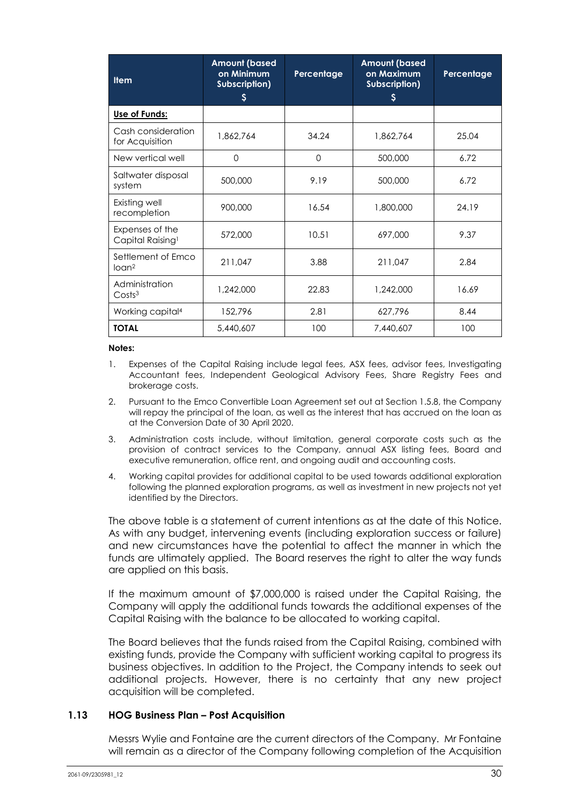| <b>Item</b>                                     | <b>Amount (based</b><br>on Minimum<br>Subscription)<br>S | Percentage | <b>Amount (based</b><br>on Maximum<br>Subscription)<br>S | Percentage |
|-------------------------------------------------|----------------------------------------------------------|------------|----------------------------------------------------------|------------|
| Use of Funds:                                   |                                                          |            |                                                          |            |
| Cash consideration<br>for Acquisition           | 1,862,764                                                | 34.24      | 1,862,764                                                | 25.04      |
| New vertical well                               | $\Omega$                                                 | $\Omega$   | 500,000                                                  | 6.72       |
| Saltwater disposal<br>system                    | 500,000                                                  | 9.19       | 500,000                                                  | 6.72       |
| Existing well<br>recompletion                   | 900,000                                                  | 16.54      | 1,800,000                                                | 24.19      |
| Expenses of the<br>Capital Raising <sup>1</sup> | 572,000                                                  | 10.51      | 697,000                                                  | 9.37       |
| Settlement of Emco<br>$Io$ can <sup>2</sup>     | 211,047                                                  | 3.88       | 211,047                                                  | 2.84       |
| Administration<br>Costs <sup>3</sup>            | 1,242,000                                                | 22.83      | 1,242,000                                                | 16.69      |
| Working capital <sup>4</sup>                    | 152,796                                                  | 2.81       | 627,796                                                  | 8.44       |
| <b>TOTAL</b>                                    | 5,440,607                                                | 100        | 7,440,607                                                | 100        |

#### **Notes:**

- 1. Expenses of the Capital Raising include legal fees, ASX fees, advisor fees, Investigating Accountant fees, Independent Geological Advisory Fees, Share Registry Fees and brokerage costs.
- 2. Pursuant to the Emco Convertible Loan Agreement set out at Section 1.5.8, the Company will repay the principal of the loan, as well as the interest that has accrued on the loan as at the Conversion Date of 30 April 2020.
- 3. Administration costs include, without limitation, general corporate costs such as the provision of contract services to the Company, annual ASX listing fees, Board and executive remuneration, office rent, and ongoing audit and accounting costs.
- 4. Working capital provides for additional capital to be used towards additional exploration following the planned exploration programs, as well as investment in new projects not yet identified by the Directors.

The above table is a statement of current intentions as at the date of this Notice. As with any budget, intervening events (including exploration success or failure) and new circumstances have the potential to affect the manner in which the funds are ultimately applied. The Board reserves the right to alter the way funds are applied on this basis.

If the maximum amount of \$7,000,000 is raised under the Capital Raising, the Company will apply the additional funds towards the additional expenses of the Capital Raising with the balance to be allocated to working capital.

The Board believes that the funds raised from the Capital Raising, combined with existing funds, provide the Company with sufficient working capital to progress its business objectives. In addition to the Project, the Company intends to seek out additional projects. However, there is no certainty that any new project acquisition will be completed.

#### **1.13 HOG Business Plan – Post Acquisition**

Messrs Wylie and Fontaine are the current directors of the Company. Mr Fontaine will remain as a director of the Company following completion of the Acquisition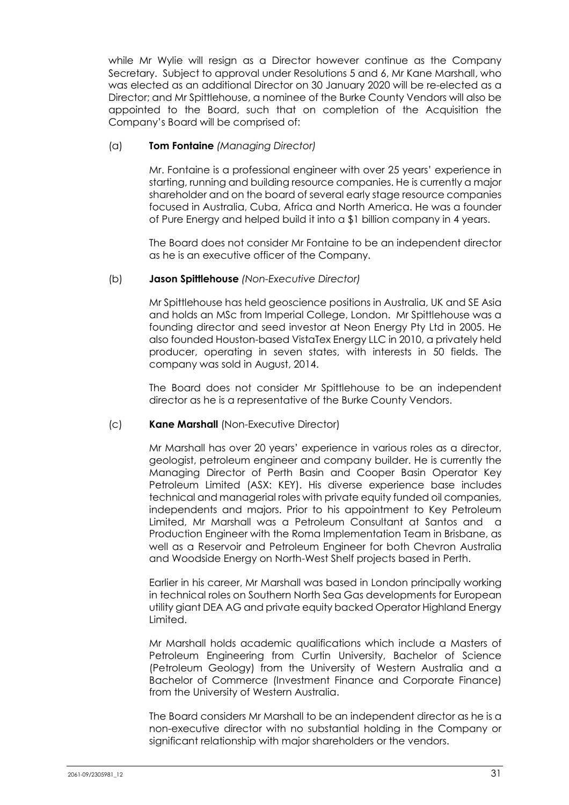while Mr Wylie will resign as a Director however continue as the Company Secretary. Subject to approval under Resolutions 5 and 6, Mr Kane Marshall, who was elected as an additional Director on 30 January 2020 will be re-elected as a Director; and Mr Spittlehouse, a nominee of the Burke County Vendors will also be appointed to the Board, such that on completion of the Acquisition the Company's Board will be comprised of:

### (a) **Tom Fontaine** *(Managing Director)*

Mr. Fontaine is a professional engineer with over 25 years' experience in starting, running and building resource companies. He is currently a major shareholder and on the board of several early stage resource companies focused in Australia, Cuba, Africa and North America. He was a founder of Pure Energy and helped build it into a \$1 billion company in 4 years.

The Board does not consider Mr Fontaine to be an independent director as he is an executive officer of the Company.

## (b) **Jason Spittlehouse** *(Non-Executive Director)*

Mr Spittlehouse has held geoscience positions in Australia, UK and SE Asia and holds an MSc from Imperial College, London. Mr Spittlehouse was a founding director and seed investor at Neon Energy Pty Ltd in 2005. He also founded Houston-based VistaTex Energy LLC in 2010, a privately held producer, operating in seven states, with interests in 50 fields. The company was sold in August, 2014.

The Board does not consider Mr Spittlehouse to be an independent director as he is a representative of the Burke County Vendors.

#### (c) **Kane Marshall** (Non-Executive Director)

Mr Marshall has over 20 years' experience in various roles as a director, geologist, petroleum engineer and company builder. He is currently the Managing Director of Perth Basin and Cooper Basin Operator Key Petroleum Limited (ASX: KEY). His diverse experience base includes technical and managerial roles with private equity funded oil companies, independents and majors. Prior to his appointment to Key Petroleum Limited, Mr Marshall was a Petroleum Consultant at Santos and a Production Engineer with the Roma Implementation Team in Brisbane, as well as a Reservoir and Petroleum Engineer for both Chevron Australia and Woodside Energy on North-West Shelf projects based in Perth.

Earlier in his career, Mr Marshall was based in London principally working in technical roles on Southern North Sea Gas developments for European utility giant DEA AG and private equity backed Operator Highland Energy Limited.

Mr Marshall holds academic qualifications which include a Masters of Petroleum Engineering from Curtin University, Bachelor of Science (Petroleum Geology) from the University of Western Australia and a Bachelor of Commerce (Investment Finance and Corporate Finance) from the University of Western Australia.

The Board considers Mr Marshall to be an independent director as he is a non-executive director with no substantial holding in the Company or significant relationship with major shareholders or the vendors.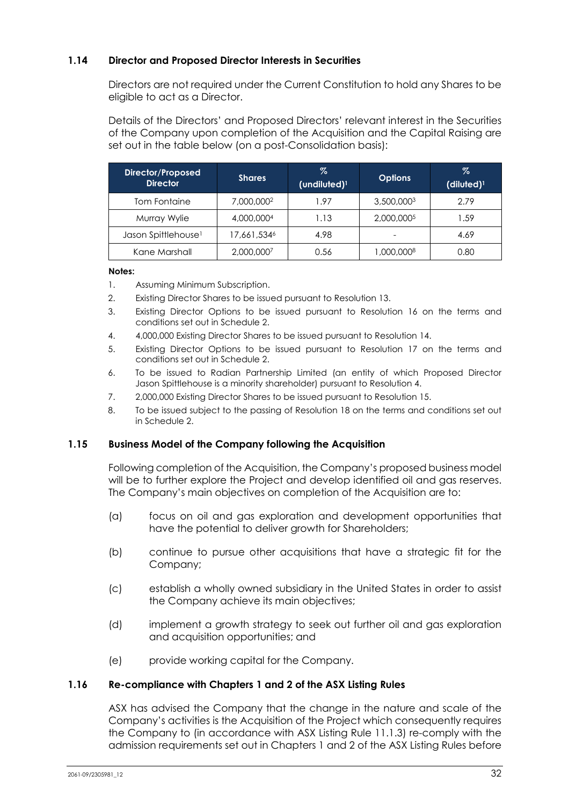## **1.14 Director and Proposed Director Interests in Securities**

Directors are not required under the Current Constitution to hold any Shares to be eligible to act as a Director.

Details of the Directors' and Proposed Directors' relevant interest in the Securities of the Company upon completion of the Acquisition and the Capital Raising are set out in the table below (on a post-Consolidation basis):

| Director/Proposed<br><b>Director</b> | <b>Shares</b>          | %<br>$(undiluted)^1$ | <b>Options</b> | %<br>$(diluted)^1$ |
|--------------------------------------|------------------------|----------------------|----------------|--------------------|
| Tom Fontaine                         | 7,000,000 <sup>2</sup> | 1.97                 | 3,500,0003     | 2.79               |
| Murray Wylie                         | 4,000,0004             | 1.13                 | 2,000,0005     | 1.59               |
| Jason Spittlehouse <sup>1</sup>      | 17,661,5346            | 4.98                 |                | 4.69               |
| Kane Marshall                        | 2,000,0007             | 0.56                 | 1,000,0008     | 0.80               |

#### **Notes:**

- 1. Assuming Minimum Subscription.
- 2. Existing Director Shares to be issued pursuant to Resolution 13.
- 3. Existing Director Options to be issued pursuant to Resolution 16 on the terms and conditions set out in Schedule 2.
- 4. 4,000,000 Existing Director Shares to be issued pursuant to Resolution 14.
- 5. Existing Director Options to be issued pursuant to Resolution 17 on the terms and conditions set out in Schedule 2.
- 6. To be issued to Radian Partnership Limited (an entity of which Proposed Director Jason Spittlehouse is a minority shareholder) pursuant to Resolution 4.
- 7. 2,000,000 Existing Director Shares to be issued pursuant to Resolution 15.
- 8. To be issued subject to the passing of Resolution 18 on the terms and conditions set out in Schedule 2.

#### **1.15 Business Model of the Company following the Acquisition**

Following completion of the Acquisition, the Company's proposed business model will be to further explore the Project and develop identified oil and gas reserves. The Company's main objectives on completion of the Acquisition are to:

- (a) focus on oil and gas exploration and development opportunities that have the potential to deliver growth for Shareholders;
- (b) continue to pursue other acquisitions that have a strategic fit for the Company;
- (c) establish a wholly owned subsidiary in the United States in order to assist the Company achieve its main objectives;
- (d) implement a growth strategy to seek out further oil and gas exploration and acquisition opportunities; and
- (e) provide working capital for the Company.

#### **1.16 Re-compliance with Chapters 1 and 2 of the ASX Listing Rules**

ASX has advised the Company that the change in the nature and scale of the Company's activities is the Acquisition of the Project which consequently requires the Company to (in accordance with ASX Listing Rule 11.1.3) re-comply with the admission requirements set out in Chapters 1 and 2 of the ASX Listing Rules before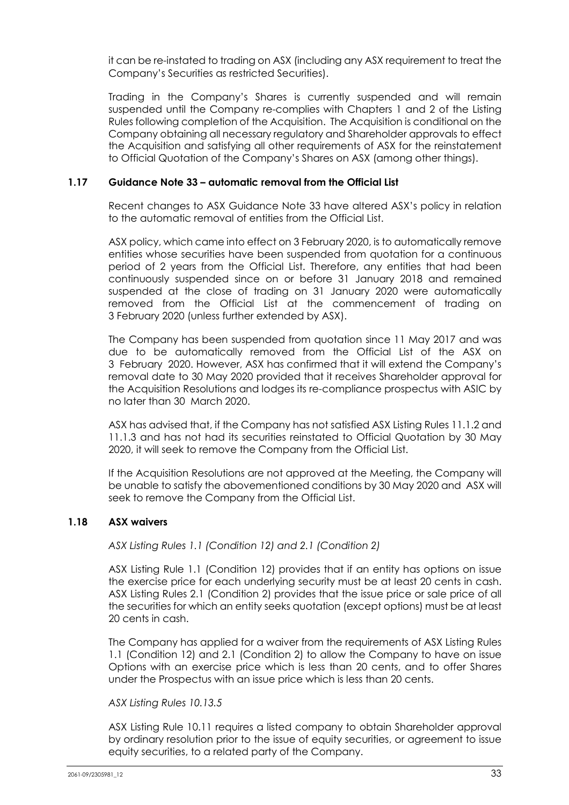it can be re-instated to trading on ASX (including any ASX requirement to treat the Company's Securities as restricted Securities).

Trading in the Company's Shares is currently suspended and will remain suspended until the Company re-complies with Chapters 1 and 2 of the Listing Rules following completion of the Acquisition. The Acquisition is conditional on the Company obtaining all necessary regulatory and Shareholder approvals to effect the Acquisition and satisfying all other requirements of ASX for the reinstatement to Official Quotation of the Company's Shares on ASX (among other things).

### **1.17 Guidance Note 33 – automatic removal from the Official List**

Recent changes to ASX Guidance Note 33 have altered ASX's policy in relation to the automatic removal of entities from the Official List.

ASX policy, which came into effect on 3 February 2020, is to automatically remove entities whose securities have been suspended from quotation for a continuous period of 2 years from the Official List. Therefore, any entities that had been continuously suspended since on or before 31 January 2018 and remained suspended at the close of trading on 31 January 2020 were automatically removed from the Official List at the commencement of trading on 3 February 2020 (unless further extended by ASX).

The Company has been suspended from quotation since 11 May 2017 and was due to be automatically removed from the Official List of the ASX on 3 February 2020. However, ASX has confirmed that it will extend the Company's removal date to 30 May 2020 provided that it receives Shareholder approval for the Acquisition Resolutions and lodges its re-compliance prospectus with ASIC by no later than 30 March 2020.

ASX has advised that, if the Company has not satisfied ASX Listing Rules 11.1.2 and 11.1.3 and has not had its securities reinstated to Official Quotation by 30 May 2020, it will seek to remove the Company from the Official List.

If the Acquisition Resolutions are not approved at the Meeting, the Company will be unable to satisfy the abovementioned conditions by 30 May 2020 and ASX will seek to remove the Company from the Official List.

## **1.18 ASX waivers**

*ASX Listing Rules 1.1 (Condition 12) and 2.1 (Condition 2)* 

ASX Listing Rule 1.1 (Condition 12) provides that if an entity has options on issue the exercise price for each underlying security must be at least 20 cents in cash. ASX Listing Rules 2.1 (Condition 2) provides that the issue price or sale price of all the securities for which an entity seeks quotation (except options) must be at least 20 cents in cash.

The Company has applied for a waiver from the requirements of ASX Listing Rules 1.1 (Condition 12) and 2.1 (Condition 2) to allow the Company to have on issue Options with an exercise price which is less than 20 cents, and to offer Shares under the Prospectus with an issue price which is less than 20 cents.

#### *ASX Listing Rules 10.13.5*

ASX Listing Rule 10.11 requires a listed company to obtain Shareholder approval by ordinary resolution prior to the issue of equity securities, or agreement to issue equity securities, to a related party of the Company.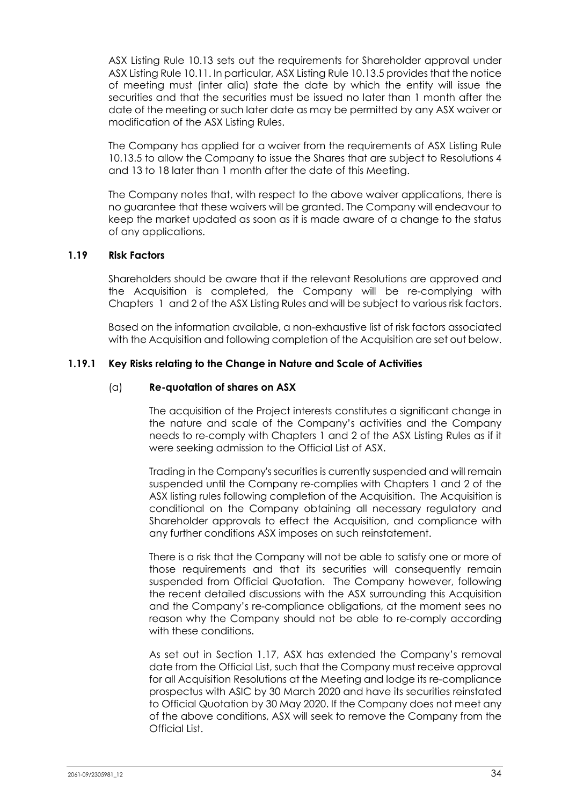ASX Listing Rule 10.13 sets out the requirements for Shareholder approval under ASX Listing Rule 10.11. In particular, ASX Listing Rule 10.13.5 provides that the notice of meeting must (inter alia) state the date by which the entity will issue the securities and that the securities must be issued no later than 1 month after the date of the meeting or such later date as may be permitted by any ASX waiver or modification of the ASX Listing Rules.

The Company has applied for a waiver from the requirements of ASX Listing Rule 10.13.5 to allow the Company to issue the Shares that are subject to Resolutions 4 and 13 to 18 later than 1 month after the date of this Meeting.

The Company notes that, with respect to the above waiver applications, there is no guarantee that these waivers will be granted. The Company will endeavour to keep the market updated as soon as it is made aware of a change to the status of any applications.

#### **1.19 Risk Factors**

Shareholders should be aware that if the relevant Resolutions are approved and the Acquisition is completed, the Company will be re-complying with Chapters 1 and 2 of the ASX Listing Rules and will be subject to various risk factors.

Based on the information available, a non-exhaustive list of risk factors associated with the Acquisition and following completion of the Acquisition are set out below.

#### **1.19.1 Key Risks relating to the Change in Nature and Scale of Activities**

#### (a) **Re-quotation of shares on ASX**

The acquisition of the Project interests constitutes a significant change in the nature and scale of the Company's activities and the Company needs to re-comply with Chapters 1 and 2 of the ASX Listing Rules as if it were seeking admission to the Official List of ASX.

Trading in the Company's securities is currently suspended and will remain suspended until the Company re-complies with Chapters 1 and 2 of the ASX listing rules following completion of the Acquisition. The Acquisition is conditional on the Company obtaining all necessary regulatory and Shareholder approvals to effect the Acquisition, and compliance with any further conditions ASX imposes on such reinstatement.

There is a risk that the Company will not be able to satisfy one or more of those requirements and that its securities will consequently remain suspended from Official Quotation. The Company however, following the recent detailed discussions with the ASX surrounding this Acquisition and the Company's re-compliance obligations, at the moment sees no reason why the Company should not be able to re-comply according with these conditions.

As set out in Section 1.17, ASX has extended the Company's removal date from the Official List, such that the Company must receive approval for all Acquisition Resolutions at the Meeting and lodge its re-compliance prospectus with ASIC by 30 March 2020 and have its securities reinstated to Official Quotation by 30 May 2020. If the Company does not meet any of the above conditions, ASX will seek to remove the Company from the Official List.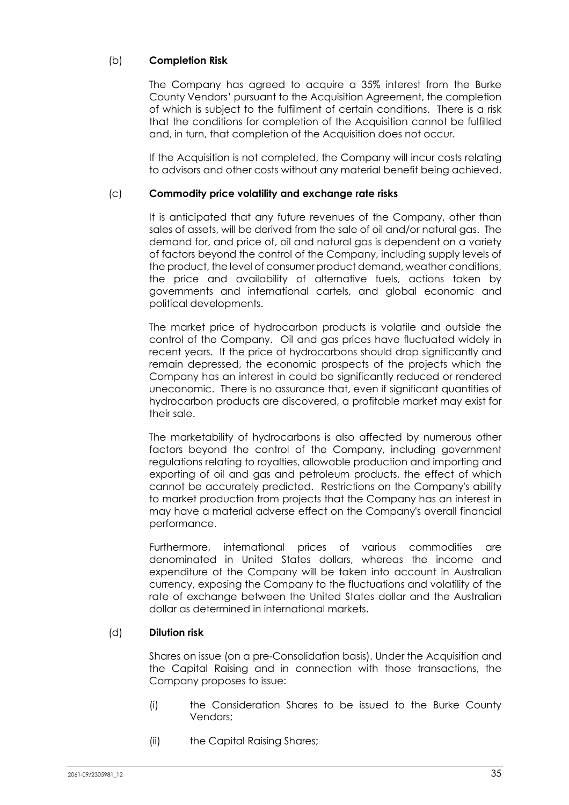## (b) **Completion Risk**

The Company has agreed to acquire a 35% interest from the Burke County Vendors' pursuant to the Acquisition Agreement, the completion of which is subject to the fulfilment of certain conditions. There is a risk that the conditions for completion of the Acquisition cannot be fulfilled and, in turn, that completion of the Acquisition does not occur.

If the Acquisition is not completed, the Company will incur costs relating to advisors and other costs without any material benefit being achieved.

#### (c) **Commodity price volatility and exchange rate risks**

It is anticipated that any future revenues of the Company, other than sales of assets, will be derived from the sale of oil and/or natural gas. The demand for, and price of, oil and natural gas is dependent on a variety of factors beyond the control of the Company, including supply levels of the product, the level of consumer product demand, weather conditions, the price and availability of alternative fuels, actions taken by governments and international cartels, and global economic and political developments.

The market price of hydrocarbon products is volatile and outside the control of the Company. Oil and gas prices have fluctuated widely in recent years. If the price of hydrocarbons should drop significantly and remain depressed, the economic prospects of the projects which the Company has an interest in could be significantly reduced or rendered uneconomic. There is no assurance that, even if significant quantities of hydrocarbon products are discovered, a profitable market may exist for their sale.

The marketability of hydrocarbons is also affected by numerous other factors beyond the control of the Company, including government regulations relating to royalties, allowable production and importing and exporting of oil and gas and petroleum products, the effect of which cannot be accurately predicted. Restrictions on the Company's ability to market production from projects that the Company has an interest in may have a material adverse effect on the Company's overall financial performance.

Furthermore, international prices of various commodities are denominated in United States dollars, whereas the income and expenditure of the Company will be taken into account in Australian currency, exposing the Company to the fluctuations and volatility of the rate of exchange between the United States dollar and the Australian dollar as determined in international markets.

#### (d) **Dilution risk**

Shares on issue (on a pre-Consolidation basis). Under the Acquisition and the Capital Raising and in connection with those transactions, the Company proposes to issue:

- (i) the Consideration Shares to be issued to the Burke County Vendors;
- (ii) the Capital Raising Shares;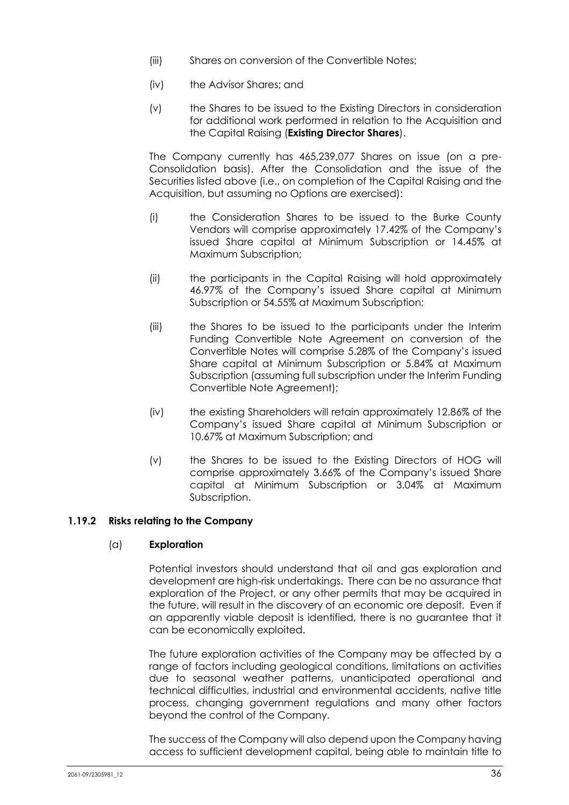- (iii) Shares on conversion of the Convertible Notes;
- (iv) the Advisor Shares; and
- (v) the Shares to be issued to the Existing Directors in consideration for additional work performed in relation to the Acquisition and the Capital Raising (**Existing Director Shares**).

The Company currently has 465,239,077 Shares on issue (on a pre-Consolidation basis). After the Consolidation and the issue of the Securities listed above (i.e., on completion of the Capital Raising and the Acquisition, but assuming no Options are exercised):

- (i) the Consideration Shares to be issued to the Burke County Vendors will comprise approximately 17.42% of the Company's issued Share capital at Minimum Subscription or 14.45% at Maximum Subscription;
- (ii) the participants in the Capital Raising will hold approximately 46.97% of the Company's issued Share capital at Minimum Subscription or 54.55% at Maximum Subscription;
- (iii) the Shares to be issued to the participants under the Interim Funding Convertible Note Agreement on conversion of the Convertible Notes will comprise 5.28% of the Company's issued Share capital at Minimum Subscription or 5.84% at Maximum Subscription (assuming full subscription under the Interim Funding Convertible Note Agreement);
- (iv) the existing Shareholders will retain approximately 12.86% of the Company's issued Share capital at Minimum Subscription or 10.67% at Maximum Subscription; and
- (v) the Shares to be issued to the Existing Directors of HOG will comprise approximately 3.66% of the Company's issued Share capital at Minimum Subscription or 3.04% at Maximum Subscription.

## **1.19.2 Risks relating to the Company**

#### (a) **Exploration**

Potential investors should understand that oil and gas exploration and development are high-risk undertakings. There can be no assurance that exploration of the Project, or any other permits that may be acquired in the future, will result in the discovery of an economic ore deposit. Even if an apparently viable deposit is identified, there is no guarantee that it can be economically exploited.

The future exploration activities of the Company may be affected by a range of factors including geological conditions, limitations on activities due to seasonal weather patterns, unanticipated operational and technical difficulties, industrial and environmental accidents, native title process, changing government regulations and many other factors beyond the control of the Company.

The success of the Company will also depend upon the Company having access to sufficient development capital, being able to maintain title to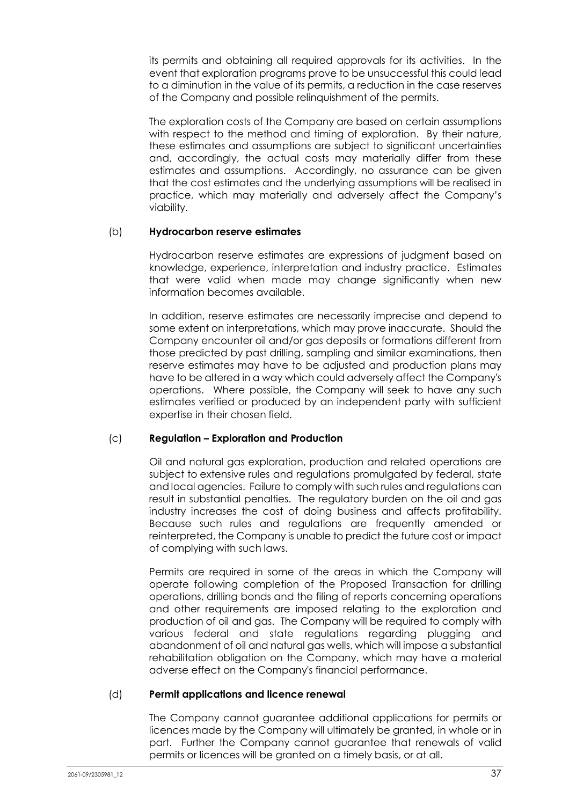its permits and obtaining all required approvals for its activities. In the event that exploration programs prove to be unsuccessful this could lead to a diminution in the value of its permits, a reduction in the case reserves of the Company and possible relinquishment of the permits.

The exploration costs of the Company are based on certain assumptions with respect to the method and timing of exploration. By their nature, these estimates and assumptions are subject to significant uncertainties and, accordingly, the actual costs may materially differ from these estimates and assumptions. Accordingly, no assurance can be given that the cost estimates and the underlying assumptions will be realised in practice, which may materially and adversely affect the Company's viability.

# (b) **Hydrocarbon reserve estimates**

Hydrocarbon reserve estimates are expressions of judgment based on knowledge, experience, interpretation and industry practice. Estimates that were valid when made may change significantly when new information becomes available.

In addition, reserve estimates are necessarily imprecise and depend to some extent on interpretations, which may prove inaccurate. Should the Company encounter oil and/or gas deposits or formations different from those predicted by past drilling, sampling and similar examinations, then reserve estimates may have to be adjusted and production plans may have to be altered in a way which could adversely affect the Company's operations. Where possible, the Company will seek to have any such estimates verified or produced by an independent party with sufficient expertise in their chosen field.

# (c) **Regulation – Exploration and Production**

Oil and natural gas exploration, production and related operations are subject to extensive rules and regulations promulgated by federal, state and local agencies. Failure to comply with such rules and regulations can result in substantial penalties. The regulatory burden on the oil and gas industry increases the cost of doing business and affects profitability. Because such rules and regulations are frequently amended or reinterpreted, the Company is unable to predict the future cost or impact of complying with such laws.

Permits are required in some of the areas in which the Company will operate following completion of the Proposed Transaction for drilling operations, drilling bonds and the filing of reports concerning operations and other requirements are imposed relating to the exploration and production of oil and gas. The Company will be required to comply with various federal and state regulations regarding plugging and abandonment of oil and natural gas wells, which will impose a substantial rehabilitation obligation on the Company, which may have a material adverse effect on the Company's financial performance.

### (d) **Permit applications and licence renewal**

The Company cannot guarantee additional applications for permits or licences made by the Company will ultimately be granted, in whole or in part. Further the Company cannot guarantee that renewals of valid permits or licences will be granted on a timely basis, or at all.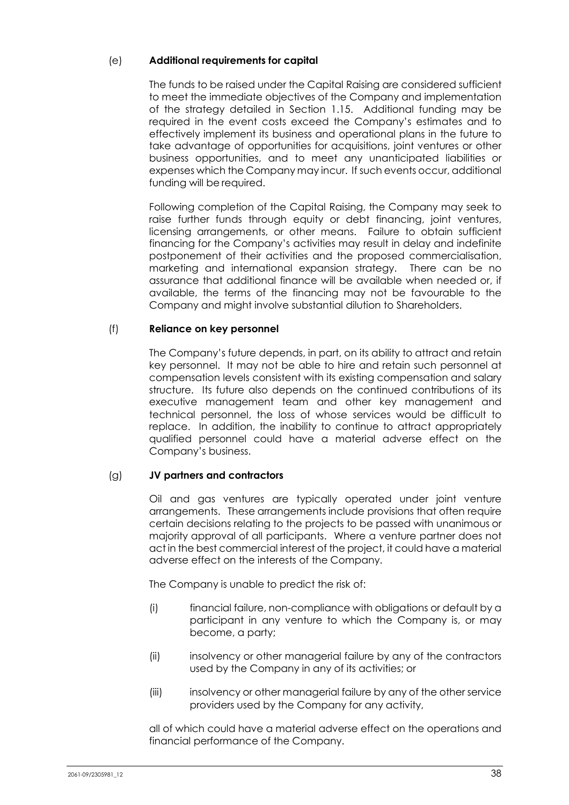# (e) **Additional requirements for capital**

The funds to be raised under the Capital Raising are considered sufficient to meet the immediate objectives of the Company and implementation of the strategy detailed in Section 1.15. Additional funding may be required in the event costs exceed the Company's estimates and to effectively implement its business and operational plans in the future to take advantage of opportunities for acquisitions, joint ventures or other business opportunities, and to meet any unanticipated liabilities or expenses which the Company may incur. If such events occur, additional funding will be required.

Following completion of the Capital Raising, the Company may seek to raise further funds through equity or debt financing, joint ventures, licensing arrangements, or other means. Failure to obtain sufficient financing for the Company's activities may result in delay and indefinite postponement of their activities and the proposed commercialisation, marketing and international expansion strategy. There can be no assurance that additional finance will be available when needed or, if available, the terms of the financing may not be favourable to the Company and might involve substantial dilution to Shareholders.

# (f) **Reliance on key personnel**

The Company's future depends, in part, on its ability to attract and retain key personnel. It may not be able to hire and retain such personnel at compensation levels consistent with its existing compensation and salary structure. Its future also depends on the continued contributions of its executive management team and other key management and technical personnel, the loss of whose services would be difficult to replace. In addition, the inability to continue to attract appropriately qualified personnel could have a material adverse effect on the Company's business.

### (g) **JV partners and contractors**

Oil and gas ventures are typically operated under joint venture arrangements. These arrangements include provisions that often require certain decisions relating to the projects to be passed with unanimous or majority approval of all participants. Where a venture partner does not act in the best commercial interest of the project, it could have a material adverse effect on the interests of the Company.

The Company is unable to predict the risk of:

- (i) financial failure, non-compliance with obligations or default by a participant in any venture to which the Company is, or may become, a party;
- (ii) insolvency or other managerial failure by any of the contractors used by the Company in any of its activities; or
- (iii) insolvency or other managerial failure by any of the other service providers used by the Company for any activity,

all of which could have a material adverse effect on the operations and financial performance of the Company.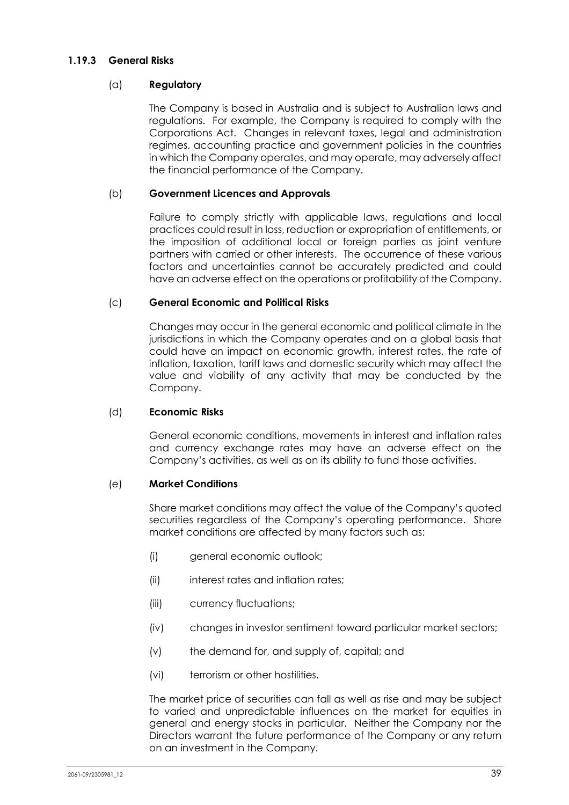### **1.19.3 General Risks**

# (a) **Regulatory**

The Company is based in Australia and is subject to Australian laws and regulations. For example, the Company is required to comply with the Corporations Act. Changes in relevant taxes, legal and administration regimes, accounting practice and government policies in the countries in which the Company operates, and may operate, may adversely affect the financial performance of the Company.

## (b) **Government Licences and Approvals**

Failure to comply strictly with applicable laws, regulations and local practices could result in loss, reduction or expropriation of entitlements, or the imposition of additional local or foreign parties as joint venture partners with carried or other interests. The occurrence of these various factors and uncertainties cannot be accurately predicted and could have an adverse effect on the operations or profitability of the Company.

# (c) **General Economic and Political Risks**

Changes may occur in the general economic and political climate in the jurisdictions in which the Company operates and on a global basis that could have an impact on economic growth, interest rates, the rate of inflation, taxation, tariff laws and domestic security which may affect the value and viability of any activity that may be conducted by the Company.

### (d) **Economic Risks**

General economic conditions, movements in interest and inflation rates and currency exchange rates may have an adverse effect on the Company's activities, as well as on its ability to fund those activities.

### (e) **Market Conditions**

Share market conditions may affect the value of the Company's quoted securities regardless of the Company's operating performance. Share market conditions are affected by many factors such as:

- (i) general economic outlook;
- (ii) interest rates and inflation rates;
- (iii) currency fluctuations;
- (iv) changes in investor sentiment toward particular market sectors;
- (v) the demand for, and supply of, capital; and
- (vi) terrorism or other hostilities.

The market price of securities can fall as well as rise and may be subject to varied and unpredictable influences on the market for equities in general and energy stocks in particular. Neither the Company nor the Directors warrant the future performance of the Company or any return on an investment in the Company.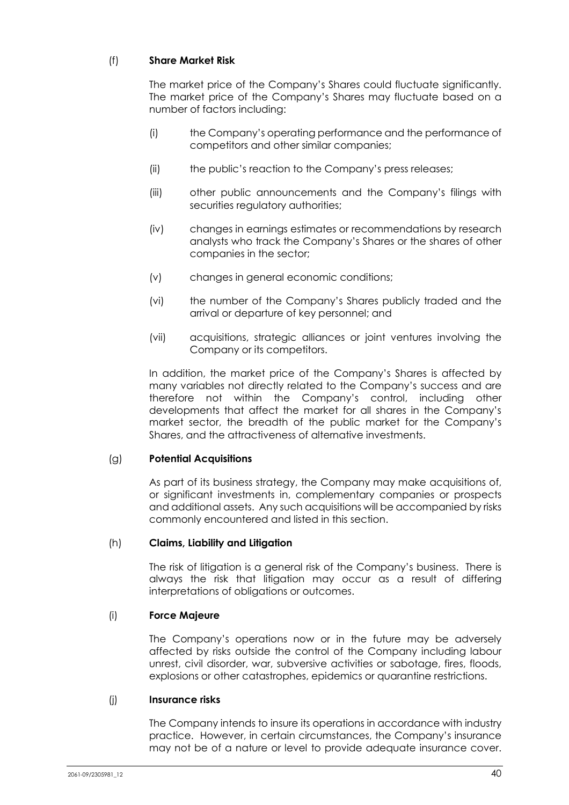# (f) **Share Market Risk**

The market price of the Company's Shares could fluctuate significantly. The market price of the Company's Shares may fluctuate based on a number of factors including:

- (i) the Company's operating performance and the performance of competitors and other similar companies;
- (ii) the public's reaction to the Company's press releases;
- (iii) other public announcements and the Company's filings with securities regulatory authorities;
- (iv) changes in earnings estimates or recommendations by research analysts who track the Company's Shares or the shares of other companies in the sector;
- (v) changes in general economic conditions;
- (vi) the number of the Company's Shares publicly traded and the arrival or departure of key personnel; and
- (vii) acquisitions, strategic alliances or joint ventures involving the Company or its competitors.

In addition, the market price of the Company's Shares is affected by many variables not directly related to the Company's success and are therefore not within the Company's control, including other developments that affect the market for all shares in the Company's market sector, the breadth of the public market for the Company's Shares, and the attractiveness of alternative investments.

# (g) **Potential Acquisitions**

As part of its business strategy, the Company may make acquisitions of, or significant investments in, complementary companies or prospects and additional assets. Any such acquisitions will be accompanied by risks commonly encountered and listed in this section.

### (h) **Claims, Liability and Litigation**

The risk of litigation is a general risk of the Company's business. There is always the risk that litigation may occur as a result of differing interpretations of obligations or outcomes.

### (i) **Force Majeure**

The Company's operations now or in the future may be adversely affected by risks outside the control of the Company including labour unrest, civil disorder, war, subversive activities or sabotage, fires, floods, explosions or other catastrophes, epidemics or quarantine restrictions.

### (j) **Insurance risks**

The Company intends to insure its operations in accordance with industry practice. However, in certain circumstances, the Company's insurance may not be of a nature or level to provide adequate insurance cover.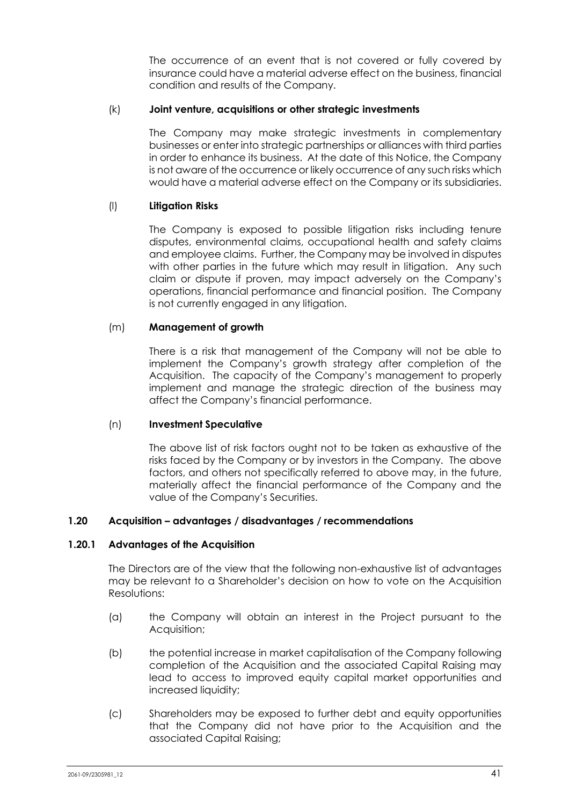The occurrence of an event that is not covered or fully covered by insurance could have a material adverse effect on the business, financial condition and results of the Company.

### (k) **Joint venture, acquisitions or other strategic investments**

The Company may make strategic investments in complementary businesses or enter into strategic partnerships or alliances with third parties in order to enhance its business. At the date of this Notice, the Company is not aware of the occurrence or likely occurrence of any such risks which would have a material adverse effect on the Company or its subsidiaries.

### (l) **Litigation Risks**

The Company is exposed to possible litigation risks including tenure disputes, environmental claims, occupational health and safety claims and employee claims. Further, the Company may be involved in disputes with other parties in the future which may result in litigation. Any such claim or dispute if proven, may impact adversely on the Company's operations, financial performance and financial position. The Company is not currently engaged in any litigation.

### (m) **Management of growth**

There is a risk that management of the Company will not be able to implement the Company's growth strategy after completion of the Acquisition. The capacity of the Company's management to properly implement and manage the strategic direction of the business may affect the Company's financial performance.

#### (n) **Investment Speculative**

The above list of risk factors ought not to be taken as exhaustive of the risks faced by the Company or by investors in the Company. The above factors, and others not specifically referred to above may, in the future, materially affect the financial performance of the Company and the value of the Company's Securities.

#### **1.20 Acquisition – advantages / disadvantages / recommendations**

#### **1.20.1 Advantages of the Acquisition**

The Directors are of the view that the following non-exhaustive list of advantages may be relevant to a Shareholder's decision on how to vote on the Acquisition Resolutions:

- (a) the Company will obtain an interest in the Project pursuant to the Acquisition;
- (b) the potential increase in market capitalisation of the Company following completion of the Acquisition and the associated Capital Raising may lead to access to improved equity capital market opportunities and increased liquidity;
- (c) Shareholders may be exposed to further debt and equity opportunities that the Company did not have prior to the Acquisition and the associated Capital Raising;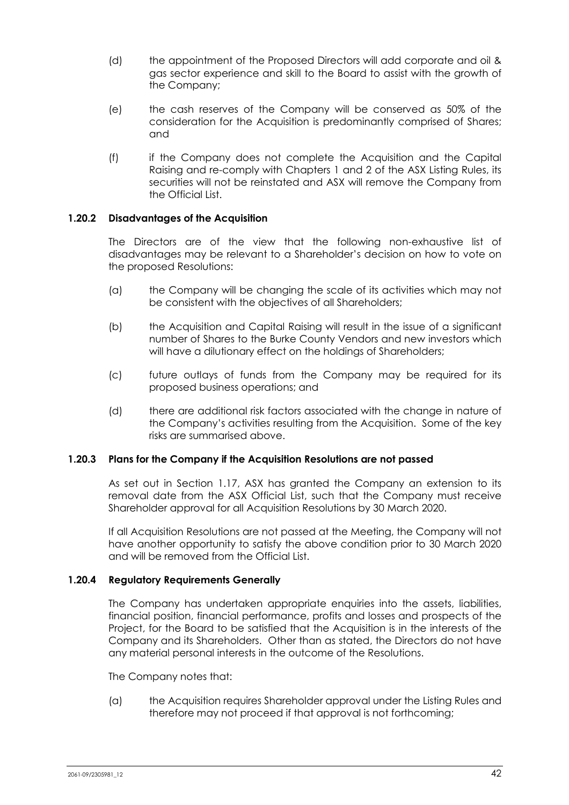- (d) the appointment of the Proposed Directors will add corporate and oil & gas sector experience and skill to the Board to assist with the growth of the Company;
- (e) the cash reserves of the Company will be conserved as 50% of the consideration for the Acquisition is predominantly comprised of Shares; and
- (f) if the Company does not complete the Acquisition and the Capital Raising and re-comply with Chapters 1 and 2 of the ASX Listing Rules, its securities will not be reinstated and ASX will remove the Company from the Official List.

### **1.20.2 Disadvantages of the Acquisition**

The Directors are of the view that the following non-exhaustive list of disadvantages may be relevant to a Shareholder's decision on how to vote on the proposed Resolutions:

- (a) the Company will be changing the scale of its activities which may not be consistent with the objectives of all Shareholders;
- (b) the Acquisition and Capital Raising will result in the issue of a significant number of Shares to the Burke County Vendors and new investors which will have a dilutionary effect on the holdings of Shareholders;
- (c) future outlays of funds from the Company may be required for its proposed business operations; and
- (d) there are additional risk factors associated with the change in nature of the Company's activities resulting from the Acquisition. Some of the key risks are summarised above.

### **1.20.3 Plans for the Company if the Acquisition Resolutions are not passed**

As set out in Section 1.17, ASX has granted the Company an extension to its removal date from the ASX Official List, such that the Company must receive Shareholder approval for all Acquisition Resolutions by 30 March 2020.

If all Acquisition Resolutions are not passed at the Meeting, the Company will not have another opportunity to satisfy the above condition prior to 30 March 2020 and will be removed from the Official List.

### **1.20.4 Regulatory Requirements Generally**

The Company has undertaken appropriate enquiries into the assets, liabilities, financial position, financial performance, profits and losses and prospects of the Project, for the Board to be satisfied that the Acquisition is in the interests of the Company and its Shareholders. Other than as stated, the Directors do not have any material personal interests in the outcome of the Resolutions.

The Company notes that:

(a) the Acquisition requires Shareholder approval under the Listing Rules and therefore may not proceed if that approval is not forthcoming;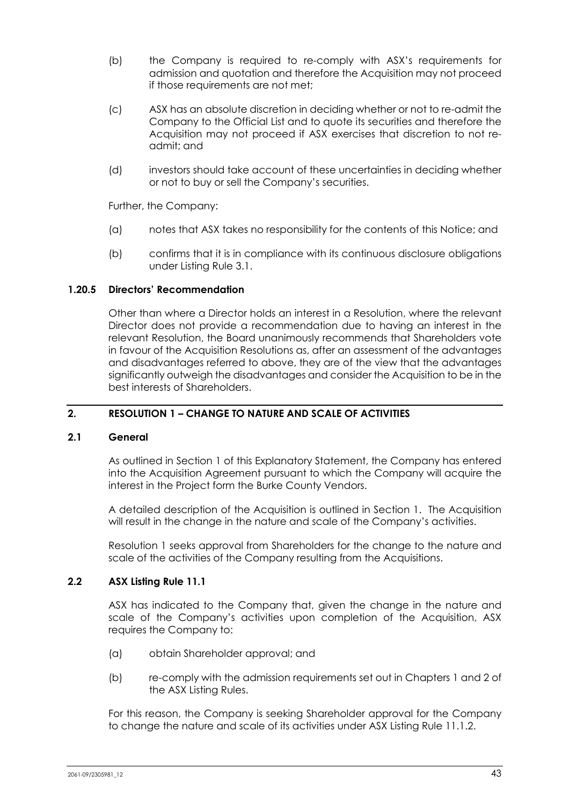- (b) the Company is required to re-comply with ASX's requirements for admission and quotation and therefore the Acquisition may not proceed if those requirements are not met;
- (c) ASX has an absolute discretion in deciding whether or not to re-admit the Company to the Official List and to quote its securities and therefore the Acquisition may not proceed if ASX exercises that discretion to not readmit; and
- (d) investors should take account of these uncertainties in deciding whether or not to buy or sell the Company's securities.

Further, the Company:

- (a) notes that ASX takes no responsibility for the contents of this Notice; and
- (b) confirms that it is in compliance with its continuous disclosure obligations under Listing Rule 3.1.

### **1.20.5 Directors' Recommendation**

Other than where a Director holds an interest in a Resolution, where the relevant Director does not provide a recommendation due to having an interest in the relevant Resolution, the Board unanimously recommends that Shareholders vote in favour of the Acquisition Resolutions as, after an assessment of the advantages and disadvantages referred to above, they are of the view that the advantages significantly outweigh the disadvantages and consider the Acquisition to be in the best interests of Shareholders.

# **2. RESOLUTION 1 – CHANGE TO NATURE AND SCALE OF ACTIVITIES**

#### **2.1 General**

As outlined in Section 1 of this Explanatory Statement, the Company has entered into the Acquisition Agreement pursuant to which the Company will acquire the interest in the Project form the Burke County Vendors.

A detailed description of the Acquisition is outlined in Section 1. The Acquisition will result in the change in the nature and scale of the Company's activities.

Resolution 1 seeks approval from Shareholders for the change to the nature and scale of the activities of the Company resulting from the Acquisitions.

# **2.2 ASX Listing Rule 11.1**

ASX has indicated to the Company that, given the change in the nature and scale of the Company's activities upon completion of the Acquisition, ASX requires the Company to:

- (a) obtain Shareholder approval; and
- (b) re-comply with the admission requirements set out in Chapters 1 and 2 of the ASX Listing Rules.

For this reason, the Company is seeking Shareholder approval for the Company to change the nature and scale of its activities under ASX Listing Rule 11.1.2.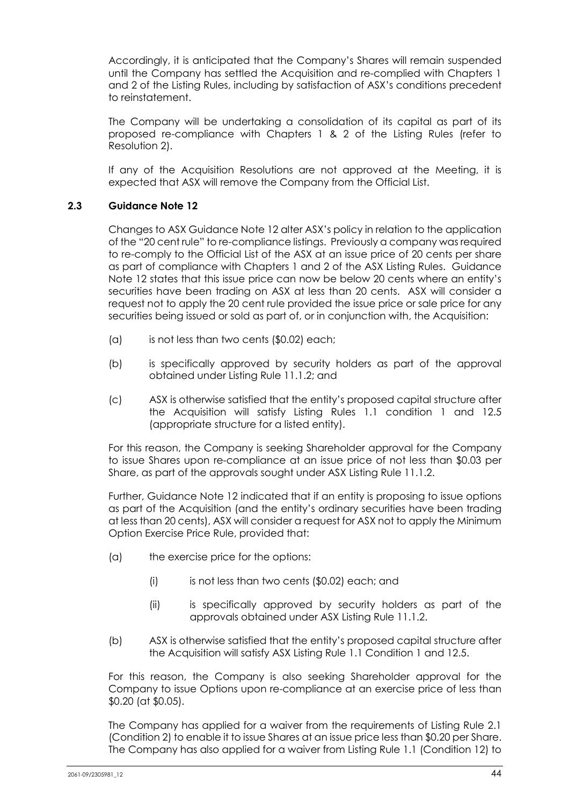Accordingly, it is anticipated that the Company's Shares will remain suspended until the Company has settled the Acquisition and re-complied with Chapters 1 and 2 of the Listing Rules, including by satisfaction of ASX's conditions precedent to reinstatement.

The Company will be undertaking a consolidation of its capital as part of its proposed re-compliance with Chapters 1 & 2 of the Listing Rules (refer to Resolution 2).

If any of the Acquisition Resolutions are not approved at the Meeting, it is expected that ASX will remove the Company from the Official List.

# **2.3 Guidance Note 12**

Changes to ASX Guidance Note 12 alter ASX's policy in relation to the application of the "20 cent rule" to re-compliance listings. Previously a company was required to re-comply to the Official List of the ASX at an issue price of 20 cents per share as part of compliance with Chapters 1 and 2 of the ASX Listing Rules. Guidance Note 12 states that this issue price can now be below 20 cents where an entity's securities have been trading on ASX at less than 20 cents. ASX will consider a request not to apply the 20 cent rule provided the issue price or sale price for any securities being issued or sold as part of, or in conjunction with, the Acquisition:

- (a) is not less than two cents (\$0.02) each;
- (b) is specifically approved by security holders as part of the approval obtained under Listing Rule 11.1.2; and
- (c) ASX is otherwise satisfied that the entity's proposed capital structure after the Acquisition will satisfy Listing Rules 1.1 condition 1 and 12.5 (appropriate structure for a listed entity).

For this reason, the Company is seeking Shareholder approval for the Company to issue Shares upon re-compliance at an issue price of not less than \$0.03 per Share, as part of the approvals sought under ASX Listing Rule 11.1.2.

Further, Guidance Note 12 indicated that if an entity is proposing to issue options as part of the Acquisition (and the entity's ordinary securities have been trading at less than 20 cents), ASX will consider a request for ASX not to apply the Minimum Option Exercise Price Rule, provided that:

- (a) the exercise price for the options:
	- (i) is not less than two cents (\$0.02) each; and
	- (ii) is specifically approved by security holders as part of the approvals obtained under ASX Listing Rule 11.1.2.
- (b) ASX is otherwise satisfied that the entity's proposed capital structure after the Acquisition will satisfy ASX Listing Rule 1.1 Condition 1 and 12.5.

For this reason, the Company is also seeking Shareholder approval for the Company to issue Options upon re-compliance at an exercise price of less than \$0.20 (at \$0.05).

The Company has applied for a waiver from the requirements of Listing Rule 2.1 (Condition 2) to enable it to issue Shares at an issue price less than \$0.20 per Share. The Company has also applied for a waiver from Listing Rule 1.1 (Condition 12) to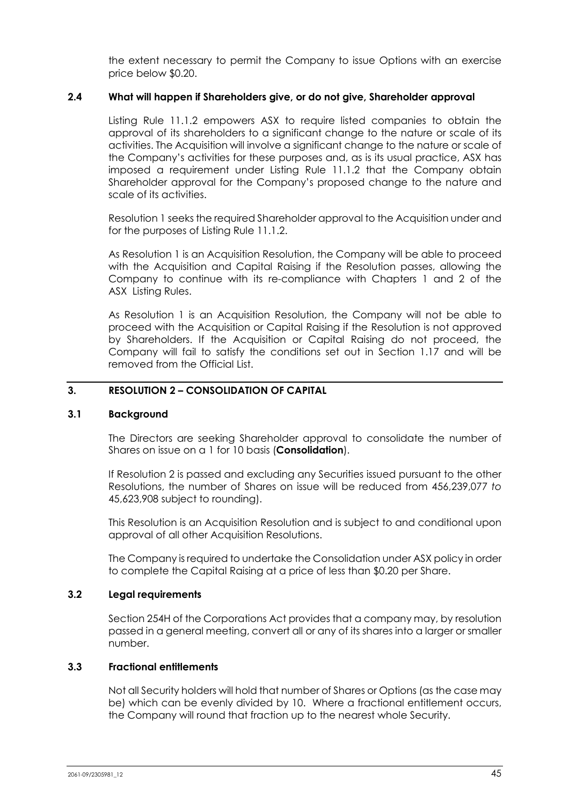the extent necessary to permit the Company to issue Options with an exercise price below \$0.20.

### **2.4 What will happen if Shareholders give, or do not give, Shareholder approval**

Listing Rule 11.1.2 empowers ASX to require listed companies to obtain the approval of its shareholders to a significant change to the nature or scale of its activities. The Acquisition will involve a significant change to the nature or scale of the Company's activities for these purposes and, as is its usual practice, ASX has imposed a requirement under Listing Rule 11.1.2 that the Company obtain Shareholder approval for the Company's proposed change to the nature and scale of its activities.

Resolution 1 seeks the required Shareholder approval to the Acquisition under and for the purposes of Listing Rule 11.1.2.

As Resolution 1 is an Acquisition Resolution, the Company will be able to proceed with the Acquisition and Capital Raising if the Resolution passes, allowing the Company to continue with its re-compliance with Chapters 1 and 2 of the ASX Listing Rules.

As Resolution 1 is an Acquisition Resolution, the Company will not be able to proceed with the Acquisition or Capital Raising if the Resolution is not approved by Shareholders. If the Acquisition or Capital Raising do not proceed, the Company will fail to satisfy the conditions set out in Section 1.17 and will be removed from the Official List.

### **3. RESOLUTION 2 – CONSOLIDATION OF CAPITAL**

#### **3.1 Background**

The Directors are seeking Shareholder approval to consolidate the number of Shares on issue on a 1 for 10 basis (**Consolidation**).

If Resolution 2 is passed and excluding any Securities issued pursuant to the other Resolutions, the number of Shares on issue will be reduced from 456,239,077 *to*  45,623,908 subject to rounding).

This Resolution is an Acquisition Resolution and is subject to and conditional upon approval of all other Acquisition Resolutions.

The Company is required to undertake the Consolidation under ASX policy in order to complete the Capital Raising at a price of less than \$0.20 per Share.

### **3.2 Legal requirements**

Section 254H of the Corporations Act provides that a company may, by resolution passed in a general meeting, convert all or any of its shares into a larger or smaller number.

### **3.3 Fractional entitlements**

Not all Security holders will hold that number of Shares or Options (as the case may be) which can be evenly divided by 10. Where a fractional entitlement occurs, the Company will round that fraction up to the nearest whole Security.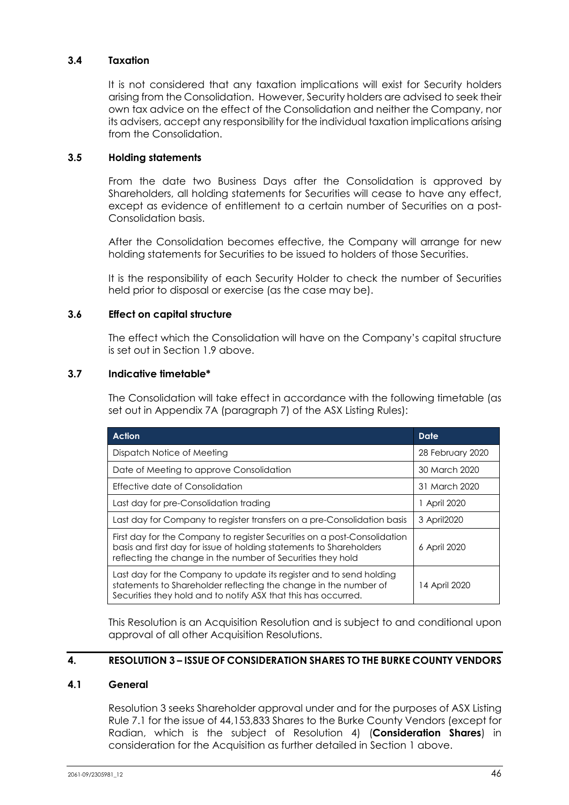# **3.4 Taxation**

It is not considered that any taxation implications will exist for Security holders arising from the Consolidation. However, Security holders are advised to seek their own tax advice on the effect of the Consolidation and neither the Company, nor its advisers, accept any responsibility for the individual taxation implications arising from the Consolidation.

## **3.5 Holding statements**

From the date two Business Days after the Consolidation is approved by Shareholders, all holding statements for Securities will cease to have any effect, except as evidence of entitlement to a certain number of Securities on a post-Consolidation basis.

After the Consolidation becomes effective, the Company will arrange for new holding statements for Securities to be issued to holders of those Securities.

It is the responsibility of each Security Holder to check the number of Securities held prior to disposal or exercise (as the case may be).

# **3.6 Effect on capital structure**

The effect which the Consolidation will have on the Company's capital structure is set out in Section 1.9 above.

### **3.7 Indicative timetable\***

The Consolidation will take effect in accordance with the following timetable (as set out in Appendix 7A (paragraph 7) of the ASX Listing Rules):

| <b>Action</b>                                                                                                                                                                                                  | Date             |
|----------------------------------------------------------------------------------------------------------------------------------------------------------------------------------------------------------------|------------------|
| Dispatch Notice of Meeting                                                                                                                                                                                     | 28 February 2020 |
| Date of Meeting to approve Consolidation                                                                                                                                                                       | 30 March 2020    |
| Effective date of Consolidation                                                                                                                                                                                | 31 March 2020    |
| Last day for pre-Consolidation trading                                                                                                                                                                         | 1 April 2020     |
| Last day for Company to register transfers on a pre-Consolidation basis                                                                                                                                        | 3 April 2020     |
| First day for the Company to register Securities on a post-Consolidation<br>basis and first day for issue of holding statements to Shareholders<br>reflecting the change in the number of Securities they hold | 6 April 2020     |
| Last day for the Company to update its register and to send holding<br>statements to Shareholder reflecting the change in the number of<br>Securities they hold and to notify ASX that this has occurred.      | 14 April 2020    |

This Resolution is an Acquisition Resolution and is subject to and conditional upon approval of all other Acquisition Resolutions.

### **4. RESOLUTION 3 – ISSUE OF CONSIDERATION SHARES TO THE BURKE COUNTY VENDORS**

### **4.1 General**

Resolution 3 seeks Shareholder approval under and for the purposes of ASX Listing Rule 7.1 for the issue of 44,153,833 Shares to the Burke County Vendors (except for Radian, which is the subject of Resolution 4) (**Consideration Shares**) in consideration for the Acquisition as further detailed in Section 1 above.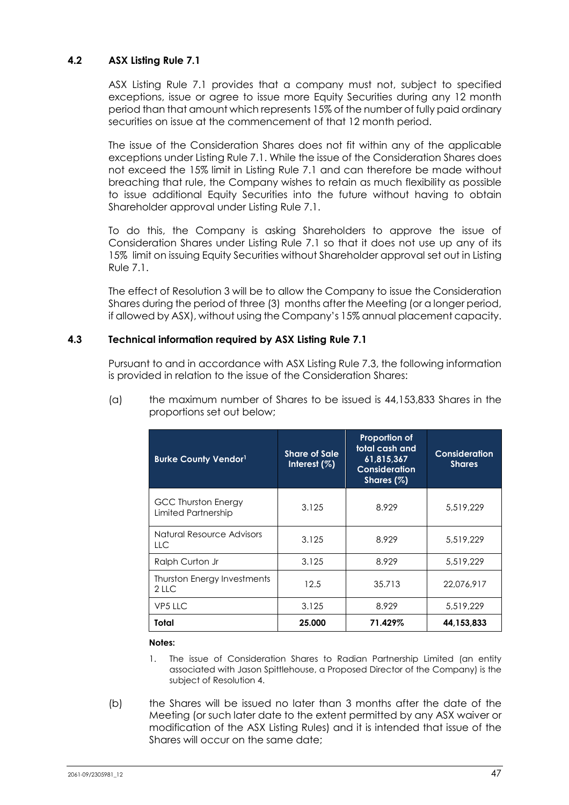# **4.2 ASX Listing Rule 7.1**

ASX Listing Rule 7.1 provides that a company must not, subject to specified exceptions, issue or agree to issue more Equity Securities during any 12 month period than that amount which represents 15% of the number of fully paid ordinary securities on issue at the commencement of that 12 month period.

The issue of the Consideration Shares does not fit within any of the applicable exceptions under Listing Rule 7.1. While the issue of the Consideration Shares does not exceed the 15% limit in Listing Rule 7.1 and can therefore be made without breaching that rule, the Company wishes to retain as much flexibility as possible to issue additional Equity Securities into the future without having to obtain Shareholder approval under Listing Rule 7.1.

To do this, the Company is asking Shareholders to approve the issue of Consideration Shares under Listing Rule 7.1 so that it does not use up any of its 15% limit on issuing Equity Securities without Shareholder approval set out in Listing Rule 7.1.

The effect of Resolution 3 will be to allow the Company to issue the Consideration Shares during the period of three (3) months after the Meeting (or a longer period, if allowed by ASX), without using the Company's 15% annual placement capacity.

## **4.3 Technical information required by ASX Listing Rule 7.1**

Pursuant to and in accordance with ASX Listing Rule 7.3, the following information is provided in relation to the issue of the Consideration Shares:

| <b>Burke County Vendor1</b>                       | <b>Share of Sale</b><br>Interest $(\%)$ | Proportion of<br>total cash and<br>61.815.367<br>Consideration<br>Shares $(\%)$ | Consideration<br><b>Shares</b> |
|---------------------------------------------------|-----------------------------------------|---------------------------------------------------------------------------------|--------------------------------|
| <b>GCC Thurston Energy</b><br>Limited Partnership | 3.125                                   | 8.929                                                                           | 5.519.229                      |
| Natural Resource Advisors<br>LLC.                 | 3.125                                   | 8.929                                                                           | 5.519.229                      |
| Ralph Curton Jr                                   | 3.125                                   | 8.929                                                                           | 5,519,229                      |
| <b>Thurston Energy Investments</b><br>2 LLC       | 12.5                                    | 35.713                                                                          | 22.076.917                     |
| VP5 LLC                                           | 3.125                                   | 8.929                                                                           | 5.519.229                      |
| Total                                             | 25.000                                  | 71.429%                                                                         | 44,153,833                     |

(a) the maximum number of Shares to be issued is 44,153,833 Shares in the proportions set out below;

#### **Notes:**

- 1. The issue of Consideration Shares to Radian Partnership Limited (an entity associated with Jason Spittlehouse, a Proposed Director of the Company) is the subject of Resolution 4.
- (b) the Shares will be issued no later than 3 months after the date of the Meeting (or such later date to the extent permitted by any ASX waiver or modification of the ASX Listing Rules) and it is intended that issue of the Shares will occur on the same date;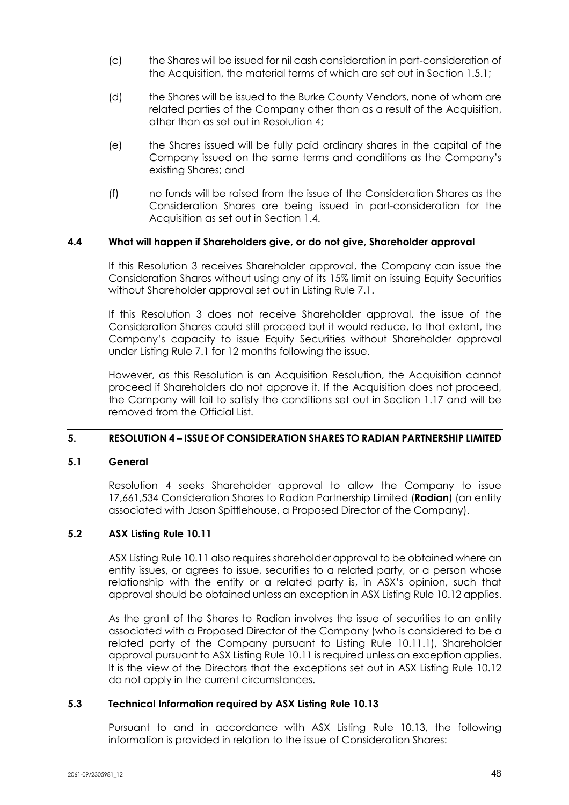- (c) the Shares will be issued for nil cash consideration in part-consideration of the Acquisition, the material terms of which are set out in Section 1.5.1;
- (d) the Shares will be issued to the Burke County Vendors, none of whom are related parties of the Company other than as a result of the Acquisition, other than as set out in Resolution 4;
- (e) the Shares issued will be fully paid ordinary shares in the capital of the Company issued on the same terms and conditions as the Company's existing Shares; and
- (f) no funds will be raised from the issue of the Consideration Shares as the Consideration Shares are being issued in part-consideration for the Acquisition as set out in Section 1.4.

### **4.4 What will happen if Shareholders give, or do not give, Shareholder approval**

If this Resolution 3 receives Shareholder approval, the Company can issue the Consideration Shares without using any of its 15% limit on issuing Equity Securities without Shareholder approval set out in Listing Rule 7.1.

If this Resolution 3 does not receive Shareholder approval, the issue of the Consideration Shares could still proceed but it would reduce, to that extent, the Company's capacity to issue Equity Securities without Shareholder approval under Listing Rule 7.1 for 12 months following the issue.

However, as this Resolution is an Acquisition Resolution, the Acquisition cannot proceed if Shareholders do not approve it. If the Acquisition does not proceed, the Company will fail to satisfy the conditions set out in Section 1.17 and will be removed from the Official List.

### **5. RESOLUTION 4 – ISSUE OF CONSIDERATION SHARES TO RADIAN PARTNERSHIP LIMITED**

### **5.1 General**

Resolution 4 seeks Shareholder approval to allow the Company to issue 17,661,534 Consideration Shares to Radian Partnership Limited (**Radian**) (an entity associated with Jason Spittlehouse, a Proposed Director of the Company).

### **5.2 ASX Listing Rule 10.11**

ASX Listing Rule 10.11 also requires shareholder approval to be obtained where an entity issues, or agrees to issue, securities to a related party, or a person whose relationship with the entity or a related party is, in ASX's opinion, such that approval should be obtained unless an exception in ASX Listing Rule 10.12 applies.

As the grant of the Shares to Radian involves the issue of securities to an entity associated with a Proposed Director of the Company (who is considered to be a related party of the Company pursuant to Listing Rule 10.11.1), Shareholder approval pursuant to ASX Listing Rule 10.11 is required unless an exception applies. It is the view of the Directors that the exceptions set out in ASX Listing Rule 10.12 do not apply in the current circumstances.

### **5.3 Technical Information required by ASX Listing Rule 10.13**

Pursuant to and in accordance with ASX Listing Rule 10.13, the following information is provided in relation to the issue of Consideration Shares: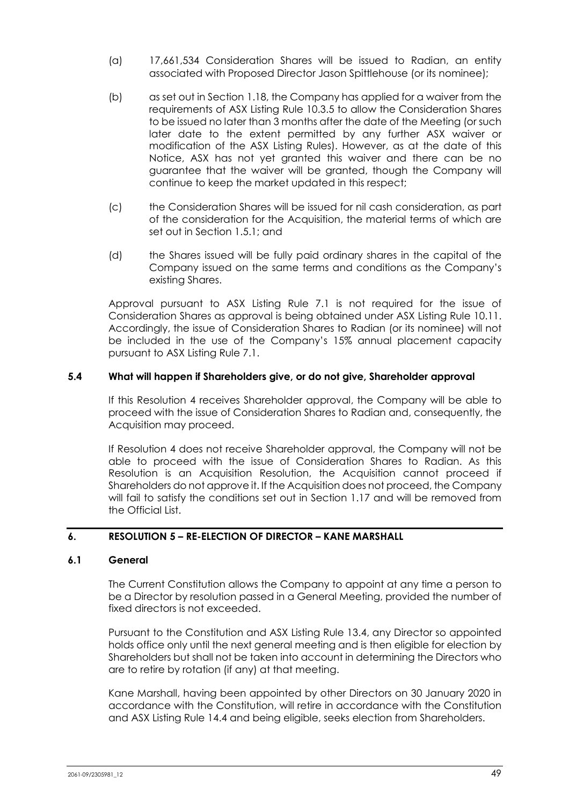- (a) 17,661,534 Consideration Shares will be issued to Radian, an entity associated with Proposed Director Jason Spittlehouse (or its nominee);
- (b) as set out in Section 1.18, the Company has applied for a waiver from the requirements of ASX Listing Rule 10.3.5 to allow the Consideration Shares to be issued no later than 3 months after the date of the Meeting (or such later date to the extent permitted by any further ASX waiver or modification of the ASX Listing Rules). However, as at the date of this Notice, ASX has not yet granted this waiver and there can be no guarantee that the waiver will be granted, though the Company will continue to keep the market updated in this respect;
- (c) the Consideration Shares will be issued for nil cash consideration, as part of the consideration for the Acquisition, the material terms of which are set out in Section 1.5.1; and
- (d) the Shares issued will be fully paid ordinary shares in the capital of the Company issued on the same terms and conditions as the Company's existing Shares.

Approval pursuant to ASX Listing Rule 7.1 is not required for the issue of Consideration Shares as approval is being obtained under ASX Listing Rule 10.11. Accordingly, the issue of Consideration Shares to Radian (or its nominee) will not be included in the use of the Company's 15% annual placement capacity pursuant to ASX Listing Rule 7.1.

### **5.4 What will happen if Shareholders give, or do not give, Shareholder approval**

If this Resolution 4 receives Shareholder approval, the Company will be able to proceed with the issue of Consideration Shares to Radian and, consequently, the Acquisition may proceed.

If Resolution 4 does not receive Shareholder approval, the Company will not be able to proceed with the issue of Consideration Shares to Radian. As this Resolution is an Acquisition Resolution, the Acquisition cannot proceed if Shareholders do not approve it. If the Acquisition does not proceed, the Company will fail to satisfy the conditions set out in Section 1.17 and will be removed from the Official List.

# **6. RESOLUTION 5 – RE-ELECTION OF DIRECTOR – KANE MARSHALL**

### **6.1 General**

The Current Constitution allows the Company to appoint at any time a person to be a Director by resolution passed in a General Meeting, provided the number of fixed directors is not exceeded.

Pursuant to the Constitution and ASX Listing Rule 13.4, any Director so appointed holds office only until the next general meeting and is then eligible for election by Shareholders but shall not be taken into account in determining the Directors who are to retire by rotation (if any) at that meeting.

Kane Marshall, having been appointed by other Directors on 30 January 2020 in accordance with the Constitution, will retire in accordance with the Constitution and ASX Listing Rule 14.4 and being eligible, seeks election from Shareholders.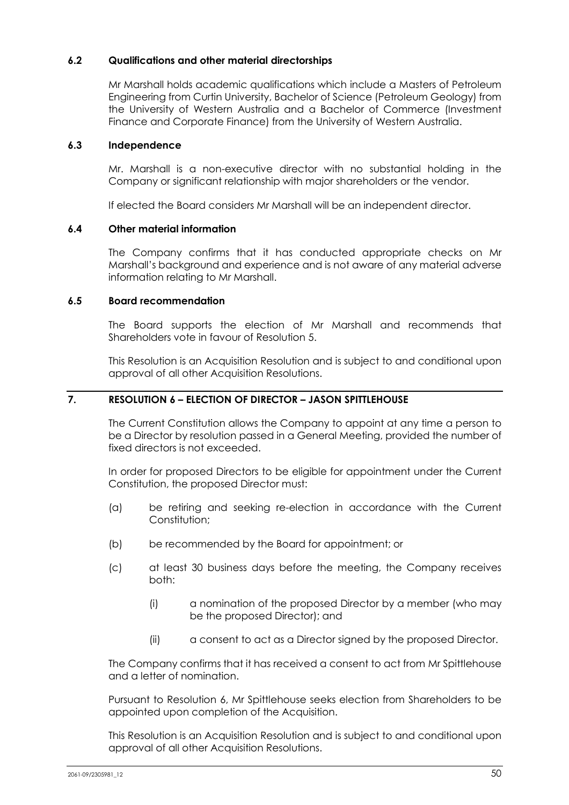## **6.2 Qualifications and other material directorships**

Mr Marshall holds academic qualifications which include a Masters of Petroleum Engineering from Curtin University, Bachelor of Science (Petroleum Geology) from the University of Western Australia and a Bachelor of Commerce (Investment Finance and Corporate Finance) from the University of Western Australia.

### **6.3 Independence**

Mr. Marshall is a non-executive director with no substantial holding in the Company or significant relationship with major shareholders or the vendor.

If elected the Board considers Mr Marshall will be an independent director.

### **6.4 Other material information**

The Company confirms that it has conducted appropriate checks on Mr Marshall's background and experience and is not aware of any material adverse information relating to Mr Marshall.

### **6.5 Board recommendation**

The Board supports the election of Mr Marshall and recommends that Shareholders vote in favour of Resolution 5.

This Resolution is an Acquisition Resolution and is subject to and conditional upon approval of all other Acquisition Resolutions.

# **7. RESOLUTION 6 – ELECTION OF DIRECTOR – JASON SPITTLEHOUSE**

The Current Constitution allows the Company to appoint at any time a person to be a Director by resolution passed in a General Meeting, provided the number of fixed directors is not exceeded.

In order for proposed Directors to be eligible for appointment under the Current Constitution, the proposed Director must:

- (a) be retiring and seeking re-election in accordance with the Current Constitution;
- (b) be recommended by the Board for appointment; or
- (c) at least 30 business days before the meeting, the Company receives both:
	- (i) a nomination of the proposed Director by a member (who may be the proposed Director); and
	- (ii) a consent to act as a Director signed by the proposed Director.

The Company confirms that it has received a consent to act from Mr Spittlehouse and a letter of nomination.

Pursuant to Resolution 6, Mr Spittlehouse seeks election from Shareholders to be appointed upon completion of the Acquisition.

This Resolution is an Acquisition Resolution and is subject to and conditional upon approval of all other Acquisition Resolutions.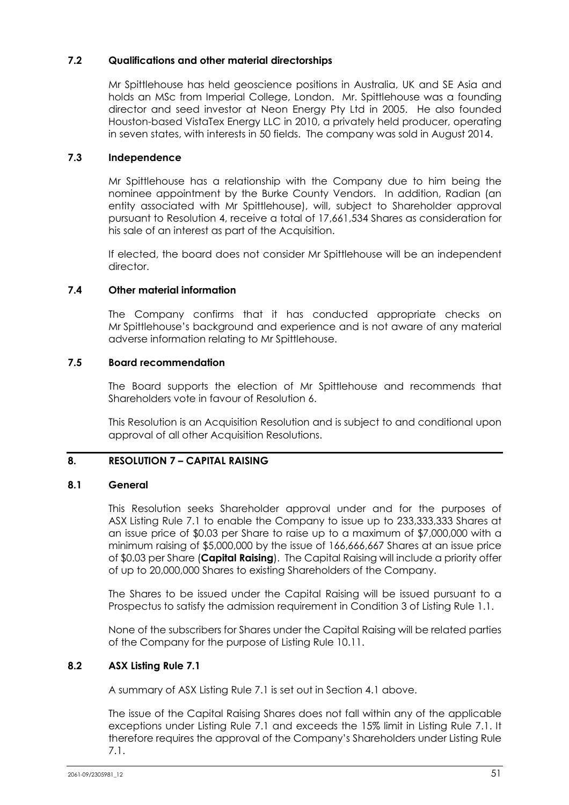# **7.2 Qualifications and other material directorships**

Mr Spittlehouse has held geoscience positions in Australia, UK and SE Asia and holds an MSc from Imperial College, London. Mr. Spittlehouse was a founding director and seed investor at Neon Energy Pty Ltd in 2005. He also founded Houston-based VistaTex Energy LLC in 2010, a privately held producer, operating in seven states, with interests in 50 fields. The company was sold in August 2014.

# **7.3 Independence**

Mr Spittlehouse has a relationship with the Company due to him being the nominee appointment by the Burke County Vendors. In addition, Radian (an entity associated with Mr Spittlehouse), will, subject to Shareholder approval pursuant to Resolution 4, receive a total of 17,661,534 Shares as consideration for his sale of an interest as part of the Acquisition.

If elected, the board does not consider Mr Spittlehouse will be an independent director.

# **7.4 Other material information**

The Company confirms that it has conducted appropriate checks on Mr Spittlehouse's background and experience and is not aware of any material adverse information relating to Mr Spittlehouse.

# **7.5 Board recommendation**

The Board supports the election of Mr Spittlehouse and recommends that Shareholders vote in favour of Resolution 6.

This Resolution is an Acquisition Resolution and is subject to and conditional upon approval of all other Acquisition Resolutions.

# **8. RESOLUTION 7 – CAPITAL RAISING**

### **8.1 General**

This Resolution seeks Shareholder approval under and for the purposes of ASX Listing Rule 7.1 to enable the Company to issue up to 233,333,333 Shares at an issue price of \$0.03 per Share to raise up to a maximum of \$7,000,000 with a minimum raising of \$5,000,000 by the issue of 166,666,667 Shares at an issue price of \$0.03 per Share (**Capital Raising**). The Capital Raising will include a priority offer of up to 20,000,000 Shares to existing Shareholders of the Company.

The Shares to be issued under the Capital Raising will be issued pursuant to a Prospectus to satisfy the admission requirement in Condition 3 of Listing Rule 1.1.

None of the subscribers for Shares under the Capital Raising will be related parties of the Company for the purpose of Listing Rule 10.11.

# **8.2 ASX Listing Rule 7.1**

A summary of ASX Listing Rule 7.1 is set out in Section 4.1 above.

The issue of the Capital Raising Shares does not fall within any of the applicable exceptions under Listing Rule 7.1 and exceeds the 15% limit in Listing Rule 7.1. It therefore requires the approval of the Company's Shareholders under Listing Rule 7.1.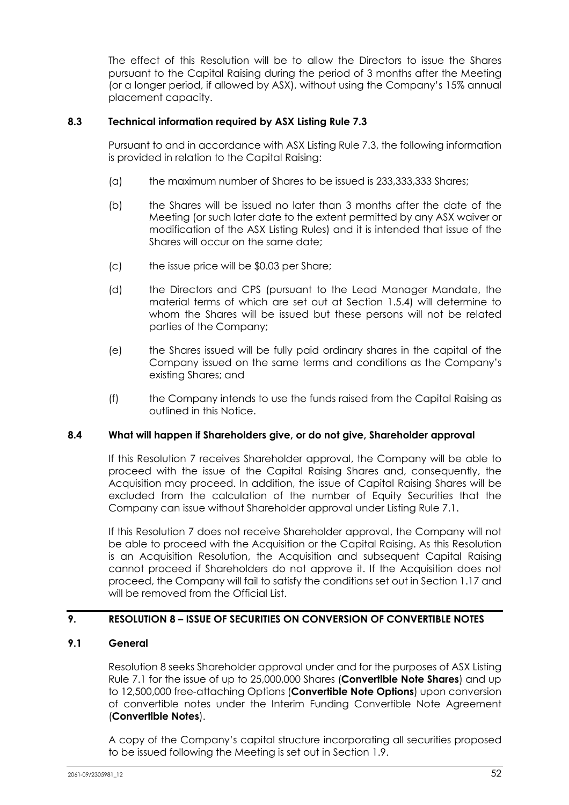The effect of this Resolution will be to allow the Directors to issue the Shares pursuant to the Capital Raising during the period of 3 months after the Meeting (or a longer period, if allowed by ASX), without using the Company's 15% annual placement capacity.

## **8.3 Technical information required by ASX Listing Rule 7.3**

Pursuant to and in accordance with ASX Listing Rule 7.3, the following information is provided in relation to the Capital Raising:

- (a) the maximum number of Shares to be issued is 233,333,333 Shares;
- (b) the Shares will be issued no later than 3 months after the date of the Meeting (or such later date to the extent permitted by any ASX waiver or modification of the ASX Listing Rules) and it is intended that issue of the Shares will occur on the same date;
- (c) the issue price will be \$0.03 per Share;
- (d) the Directors and CPS (pursuant to the Lead Manager Mandate, the material terms of which are set out at Section 1.5.4) will determine to whom the Shares will be issued but these persons will not be related parties of the Company;
- (e) the Shares issued will be fully paid ordinary shares in the capital of the Company issued on the same terms and conditions as the Company's existing Shares; and
- (f) the Company intends to use the funds raised from the Capital Raising as outlined in this Notice.

### **8.4 What will happen if Shareholders give, or do not give, Shareholder approval**

If this Resolution 7 receives Shareholder approval, the Company will be able to proceed with the issue of the Capital Raising Shares and, consequently, the Acquisition may proceed. In addition, the issue of Capital Raising Shares will be excluded from the calculation of the number of Equity Securities that the Company can issue without Shareholder approval under Listing Rule 7.1.

If this Resolution 7 does not receive Shareholder approval, the Company will not be able to proceed with the Acquisition or the Capital Raising. As this Resolution is an Acquisition Resolution, the Acquisition and subsequent Capital Raising cannot proceed if Shareholders do not approve it. If the Acquisition does not proceed, the Company will fail to satisfy the conditions set out in Section 1.17 and will be removed from the Official List.

# **9. RESOLUTION 8 – ISSUE OF SECURITIES ON CONVERSION OF CONVERTIBLE NOTES**

## **9.1 General**

Resolution 8 seeks Shareholder approval under and for the purposes of ASX Listing Rule 7.1 for the issue of up to 25,000,000 Shares (**Convertible Note Shares**) and up to 12,500,000 free-attaching Options (**Convertible Note Options**) upon conversion of convertible notes under the Interim Funding Convertible Note Agreement (**Convertible Notes**).

A copy of the Company's capital structure incorporating all securities proposed to be issued following the Meeting is set out in Section 1.9.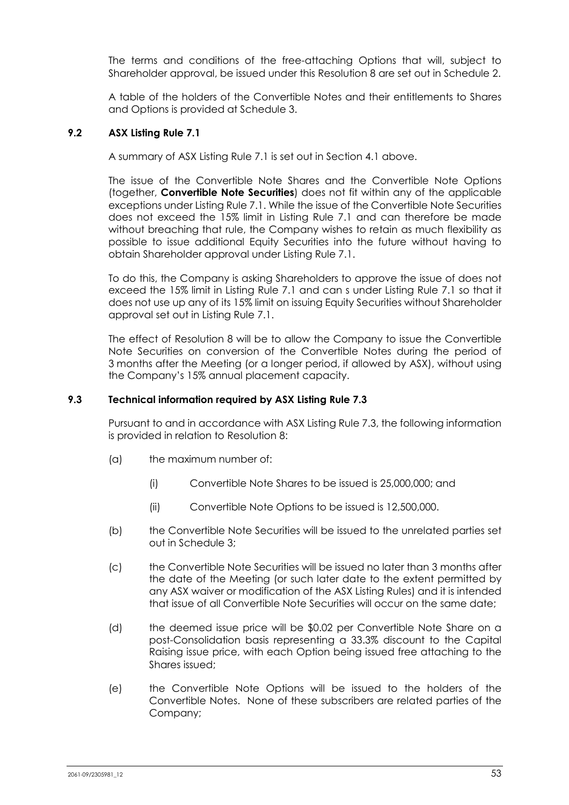The terms and conditions of the free-attaching Options that will, subject to Shareholder approval, be issued under this Resolution 8 are set out in Schedule 2.

A table of the holders of the Convertible Notes and their entitlements to Shares and Options is provided at Schedule 3.

## **9.2 ASX Listing Rule 7.1**

A summary of ASX Listing Rule 7.1 is set out in Section 4.1 above.

The issue of the Convertible Note Shares and the Convertible Note Options (together, **Convertible Note Securities**) does not fit within any of the applicable exceptions under Listing Rule 7.1. While the issue of the Convertible Note Securities does not exceed the 15% limit in Listing Rule 7.1 and can therefore be made without breaching that rule, the Company wishes to retain as much flexibility as possible to issue additional Equity Securities into the future without having to obtain Shareholder approval under Listing Rule 7.1.

To do this, the Company is asking Shareholders to approve the issue of does not exceed the 15% limit in Listing Rule 7.1 and can s under Listing Rule 7.1 so that it does not use up any of its 15% limit on issuing Equity Securities without Shareholder approval set out in Listing Rule 7.1.

The effect of Resolution 8 will be to allow the Company to issue the Convertible Note Securities on conversion of the Convertible Notes during the period of 3 months after the Meeting (or a longer period, if allowed by ASX), without using the Company's 15% annual placement capacity.

### **9.3 Technical information required by ASX Listing Rule 7.3**

Pursuant to and in accordance with ASX Listing Rule 7.3, the following information is provided in relation to Resolution 8:

- (a) the maximum number of:
	- (i) Convertible Note Shares to be issued is 25,000,000; and
	- (ii) Convertible Note Options to be issued is 12,500,000.
- (b) the Convertible Note Securities will be issued to the unrelated parties set out in Schedule 3;
- (c) the Convertible Note Securities will be issued no later than 3 months after the date of the Meeting (or such later date to the extent permitted by any ASX waiver or modification of the ASX Listing Rules) and it is intended that issue of all Convertible Note Securities will occur on the same date;
- (d) the deemed issue price will be \$0.02 per Convertible Note Share on a post-Consolidation basis representing a 33.3% discount to the Capital Raising issue price, with each Option being issued free attaching to the Shares issued;
- (e) the Convertible Note Options will be issued to the holders of the Convertible Notes. None of these subscribers are related parties of the Company;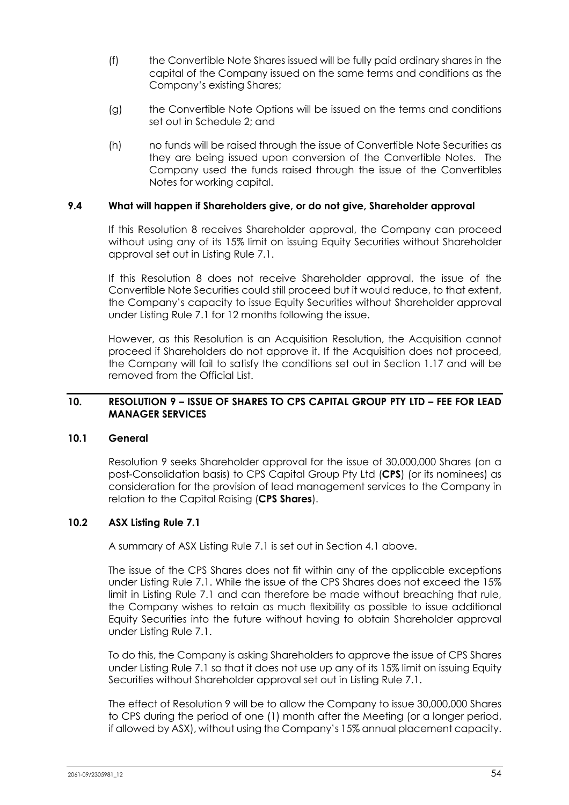- (f) the Convertible Note Shares issued will be fully paid ordinary shares in the capital of the Company issued on the same terms and conditions as the Company's existing Shares;
- (g) the Convertible Note Options will be issued on the terms and conditions set out in Schedule 2; and
- (h) no funds will be raised through the issue of Convertible Note Securities as they are being issued upon conversion of the Convertible Notes. The Company used the funds raised through the issue of the Convertibles Notes for working capital.

## **9.4 What will happen if Shareholders give, or do not give, Shareholder approval**

If this Resolution 8 receives Shareholder approval, the Company can proceed without using any of its 15% limit on issuing Equity Securities without Shareholder approval set out in Listing Rule 7.1.

If this Resolution 8 does not receive Shareholder approval, the issue of the Convertible Note Securities could still proceed but it would reduce, to that extent, the Company's capacity to issue Equity Securities without Shareholder approval under Listing Rule 7.1 for 12 months following the issue.

However, as this Resolution is an Acquisition Resolution, the Acquisition cannot proceed if Shareholders do not approve it. If the Acquisition does not proceed, the Company will fail to satisfy the conditions set out in Section 1.17 and will be removed from the Official List.

### **10. RESOLUTION 9 – ISSUE OF SHARES TO CPS CAPITAL GROUP PTY LTD – FEE FOR LEAD MANAGER SERVICES**

#### **10.1 General**

Resolution 9 seeks Shareholder approval for the issue of 30,000,000 Shares (on a post-Consolidation basis) to CPS Capital Group Pty Ltd (**CPS**) (or its nominees) as consideration for the provision of lead management services to the Company in relation to the Capital Raising (**CPS Shares**).

# **10.2 ASX Listing Rule 7.1**

A summary of ASX Listing Rule 7.1 is set out in Section 4.1 above.

The issue of the CPS Shares does not fit within any of the applicable exceptions under Listing Rule 7.1. While the issue of the CPS Shares does not exceed the 15% limit in Listing Rule 7.1 and can therefore be made without breaching that rule, the Company wishes to retain as much flexibility as possible to issue additional Equity Securities into the future without having to obtain Shareholder approval under Listing Rule 7.1.

To do this, the Company is asking Shareholders to approve the issue of CPS Shares under Listing Rule 7.1 so that it does not use up any of its 15% limit on issuing Equity Securities without Shareholder approval set out in Listing Rule 7.1.

The effect of Resolution 9 will be to allow the Company to issue 30,000,000 Shares to CPS during the period of one (1) month after the Meeting (or a longer period, if allowed by ASX), without using the Company's 15% annual placement capacity.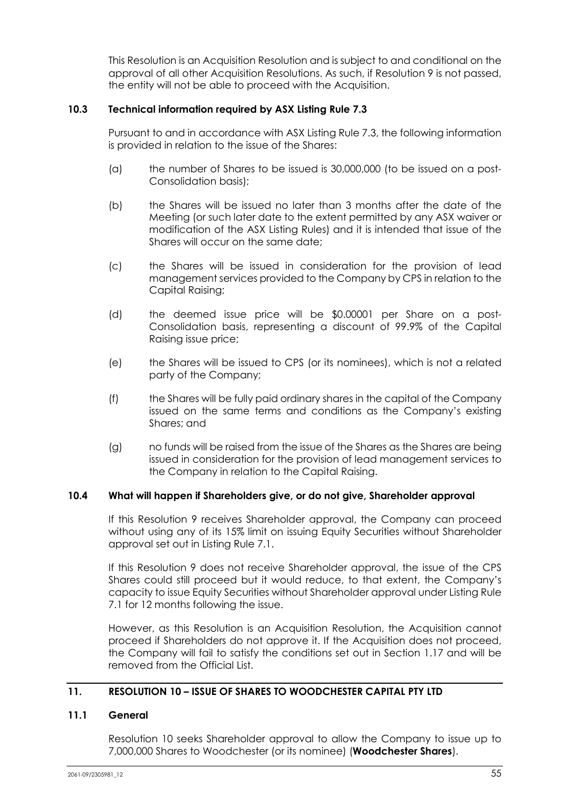This Resolution is an Acquisition Resolution and is subject to and conditional on the approval of all other Acquisition Resolutions. As such, if Resolution 9 is not passed, the entity will not be able to proceed with the Acquisition.

### **10.3 Technical information required by ASX Listing Rule 7.3**

Pursuant to and in accordance with ASX Listing Rule 7.3, the following information is provided in relation to the issue of the Shares:

- (a) the number of Shares to be issued is 30,000,000 (to be issued on a post-Consolidation basis);
- (b) the Shares will be issued no later than 3 months after the date of the Meeting (or such later date to the extent permitted by any ASX waiver or modification of the ASX Listing Rules) and it is intended that issue of the Shares will occur on the same date;
- (c) the Shares will be issued in consideration for the provision of lead management services provided to the Company by CPS in relation to the Capital Raising;
- (d) the deemed issue price will be \$0.00001 per Share on a post-Consolidation basis, representing a discount of 99.9% of the Capital Raising issue price;
- (e) the Shares will be issued to CPS (or its nominees), which is not a related party of the Company;
- (f) the Shares will be fully paid ordinary shares in the capital of the Company issued on the same terms and conditions as the Company's existing Shares; and
- (g) no funds will be raised from the issue of the Shares as the Shares are being issued in consideration for the provision of lead management services to the Company in relation to the Capital Raising.

### **10.4 What will happen if Shareholders give, or do not give, Shareholder approval**

If this Resolution 9 receives Shareholder approval, the Company can proceed without using any of its 15% limit on issuing Equity Securities without Shareholder approval set out in Listing Rule 7.1.

If this Resolution 9 does not receive Shareholder approval, the issue of the CPS Shares could still proceed but it would reduce, to that extent, the Company's capacity to issue Equity Securities without Shareholder approval under Listing Rule 7.1 for 12 months following the issue.

However, as this Resolution is an Acquisition Resolution, the Acquisition cannot proceed if Shareholders do not approve it. If the Acquisition does not proceed, the Company will fail to satisfy the conditions set out in Section 1.17 and will be removed from the Official List.

# **11. RESOLUTION 10 – ISSUE OF SHARES TO WOODCHESTER CAPITAL PTY LTD**

#### **11.1 General**

Resolution 10 seeks Shareholder approval to allow the Company to issue up to 7,000,000 Shares to Woodchester (or its nominee) (**Woodchester Shares**).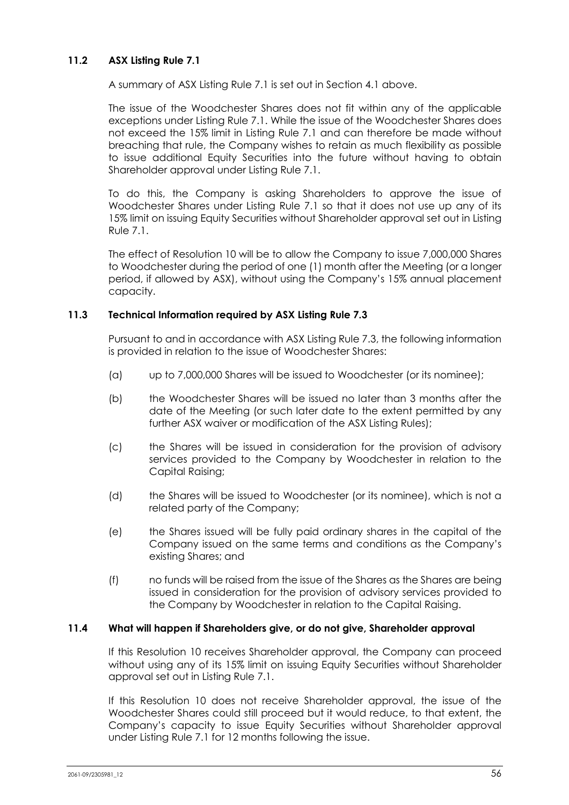# **11.2 ASX Listing Rule 7.1**

A summary of ASX Listing Rule 7.1 is set out in Section 4.1 above.

The issue of the Woodchester Shares does not fit within any of the applicable exceptions under Listing Rule 7.1. While the issue of the Woodchester Shares does not exceed the 15% limit in Listing Rule 7.1 and can therefore be made without breaching that rule, the Company wishes to retain as much flexibility as possible to issue additional Equity Securities into the future without having to obtain Shareholder approval under Listing Rule 7.1.

To do this, the Company is asking Shareholders to approve the issue of Woodchester Shares under Listing Rule 7.1 so that it does not use up any of its 15% limit on issuing Equity Securities without Shareholder approval set out in Listing Rule 7.1.

The effect of Resolution 10 will be to allow the Company to issue 7,000,000 Shares to Woodchester during the period of one (1) month after the Meeting (or a longer period, if allowed by ASX), without using the Company's 15% annual placement capacity.

### **11.3 Technical Information required by ASX Listing Rule 7.3**

Pursuant to and in accordance with ASX Listing Rule 7.3, the following information is provided in relation to the issue of Woodchester Shares:

- (a) up to 7,000,000 Shares will be issued to Woodchester (or its nominee);
- (b) the Woodchester Shares will be issued no later than 3 months after the date of the Meeting (or such later date to the extent permitted by any further ASX waiver or modification of the ASX Listing Rules);
- (c) the Shares will be issued in consideration for the provision of advisory services provided to the Company by Woodchester in relation to the Capital Raising;
- (d) the Shares will be issued to Woodchester (or its nominee), which is not a related party of the Company;
- (e) the Shares issued will be fully paid ordinary shares in the capital of the Company issued on the same terms and conditions as the Company's existing Shares; and
- (f) no funds will be raised from the issue of the Shares as the Shares are being issued in consideration for the provision of advisory services provided to the Company by Woodchester in relation to the Capital Raising.

#### **11.4 What will happen if Shareholders give, or do not give, Shareholder approval**

If this Resolution 10 receives Shareholder approval, the Company can proceed without using any of its 15% limit on issuing Equity Securities without Shareholder approval set out in Listing Rule 7.1.

If this Resolution 10 does not receive Shareholder approval, the issue of the Woodchester Shares could still proceed but it would reduce, to that extent, the Company's capacity to issue Equity Securities without Shareholder approval under Listing Rule 7.1 for 12 months following the issue.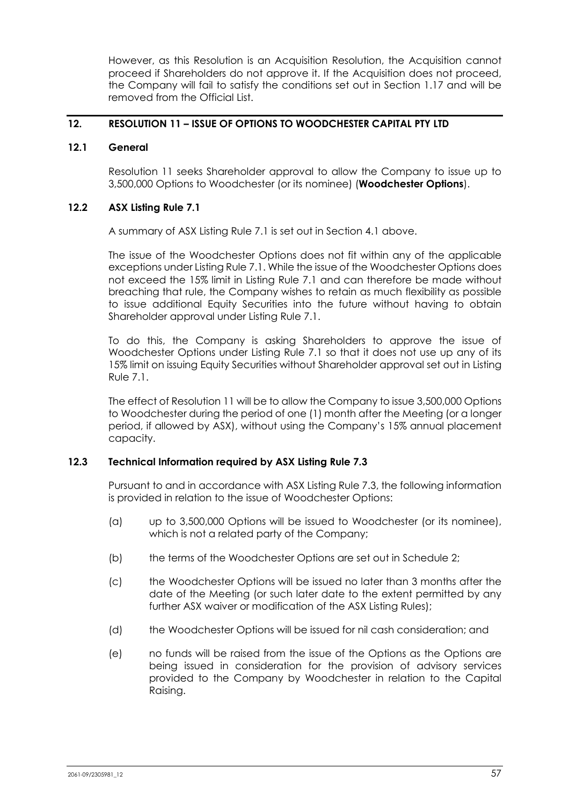However, as this Resolution is an Acquisition Resolution, the Acquisition cannot proceed if Shareholders do not approve it. If the Acquisition does not proceed, the Company will fail to satisfy the conditions set out in Section 1.17 and will be removed from the Official List.

## **12. RESOLUTION 11 – ISSUE OF OPTIONS TO WOODCHESTER CAPITAL PTY LTD**

### **12.1 General**

Resolution 11 seeks Shareholder approval to allow the Company to issue up to 3,500,000 Options to Woodchester (or its nominee) (**Woodchester Options**).

### **12.2 ASX Listing Rule 7.1**

A summary of ASX Listing Rule 7.1 is set out in Section 4.1 above.

The issue of the Woodchester Options does not fit within any of the applicable exceptions under Listing Rule 7.1. While the issue of the Woodchester Options does not exceed the 15% limit in Listing Rule 7.1 and can therefore be made without breaching that rule, the Company wishes to retain as much flexibility as possible to issue additional Equity Securities into the future without having to obtain Shareholder approval under Listing Rule 7.1.

To do this, the Company is asking Shareholders to approve the issue of Woodchester Options under Listing Rule 7.1 so that it does not use up any of its 15% limit on issuing Equity Securities without Shareholder approval set out in Listing Rule 7.1.

The effect of Resolution 11 will be to allow the Company to issue 3,500,000 Options to Woodchester during the period of one (1) month after the Meeting (or a longer period, if allowed by ASX), without using the Company's 15% annual placement capacity.

### **12.3 Technical Information required by ASX Listing Rule 7.3**

Pursuant to and in accordance with ASX Listing Rule 7.3, the following information is provided in relation to the issue of Woodchester Options:

- (a) up to 3,500,000 Options will be issued to Woodchester (or its nominee), which is not a related party of the Company;
- (b) the terms of the Woodchester Options are set out in Schedule 2;
- (c) the Woodchester Options will be issued no later than 3 months after the date of the Meeting (or such later date to the extent permitted by any further ASX waiver or modification of the ASX Listing Rules);
- (d) the Woodchester Options will be issued for nil cash consideration; and
- (e) no funds will be raised from the issue of the Options as the Options are being issued in consideration for the provision of advisory services provided to the Company by Woodchester in relation to the Capital Raising.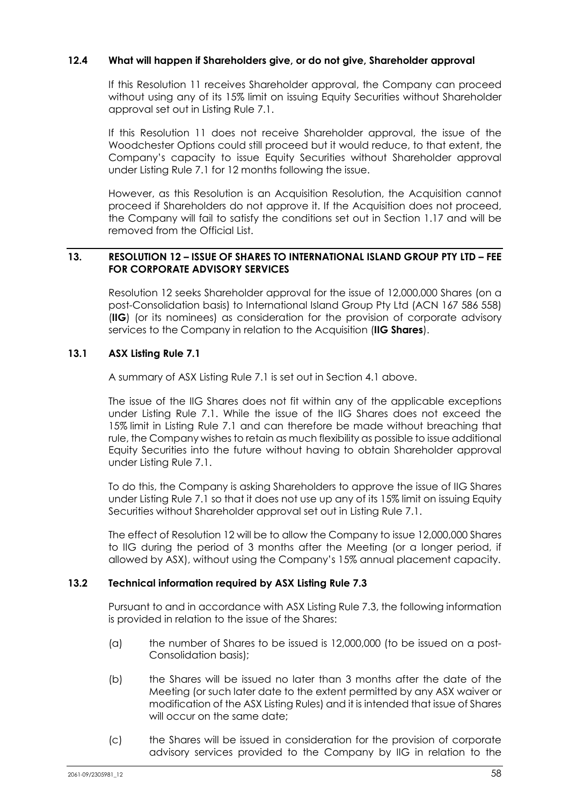## **12.4 What will happen if Shareholders give, or do not give, Shareholder approval**

If this Resolution 11 receives Shareholder approval, the Company can proceed without using any of its 15% limit on issuing Equity Securities without Shareholder approval set out in Listing Rule 7.1.

If this Resolution 11 does not receive Shareholder approval, the issue of the Woodchester Options could still proceed but it would reduce, to that extent, the Company's capacity to issue Equity Securities without Shareholder approval under Listing Rule 7.1 for 12 months following the issue.

However, as this Resolution is an Acquisition Resolution, the Acquisition cannot proceed if Shareholders do not approve it. If the Acquisition does not proceed, the Company will fail to satisfy the conditions set out in Section 1.17 and will be removed from the Official List.

### **13. RESOLUTION 12 – ISSUE OF SHARES TO INTERNATIONAL ISLAND GROUP PTY LTD – FEE FOR CORPORATE ADVISORY SERVICES**

Resolution 12 seeks Shareholder approval for the issue of 12,000,000 Shares (on a post-Consolidation basis) to International Island Group Pty Ltd (ACN 167 586 558) (**IIG**) (or its nominees) as consideration for the provision of corporate advisory services to the Company in relation to the Acquisition (**IIG Shares**).

# **13.1 ASX Listing Rule 7.1**

A summary of ASX Listing Rule 7.1 is set out in Section 4.1 above.

The issue of the IIG Shares does not fit within any of the applicable exceptions under Listing Rule 7.1. While the issue of the IIG Shares does not exceed the 15% limit in Listing Rule 7.1 and can therefore be made without breaching that rule, the Company wishes to retain as much flexibility as possible to issue additional Equity Securities into the future without having to obtain Shareholder approval under Listing Rule 7.1.

To do this, the Company is asking Shareholders to approve the issue of IIG Shares under Listing Rule 7.1 so that it does not use up any of its 15% limit on issuing Equity Securities without Shareholder approval set out in Listing Rule 7.1.

The effect of Resolution 12 will be to allow the Company to issue 12,000,000 Shares to IIG during the period of 3 months after the Meeting (or a longer period, if allowed by ASX), without using the Company's 15% annual placement capacity.

### **13.2 Technical information required by ASX Listing Rule 7.3**

Pursuant to and in accordance with ASX Listing Rule 7.3, the following information is provided in relation to the issue of the Shares:

- (a) the number of Shares to be issued is 12,000,000 (to be issued on a post-Consolidation basis);
- (b) the Shares will be issued no later than 3 months after the date of the Meeting (or such later date to the extent permitted by any ASX waiver or modification of the ASX Listing Rules) and it is intended that issue of Shares will occur on the same date;
- (c) the Shares will be issued in consideration for the provision of corporate advisory services provided to the Company by IIG in relation to the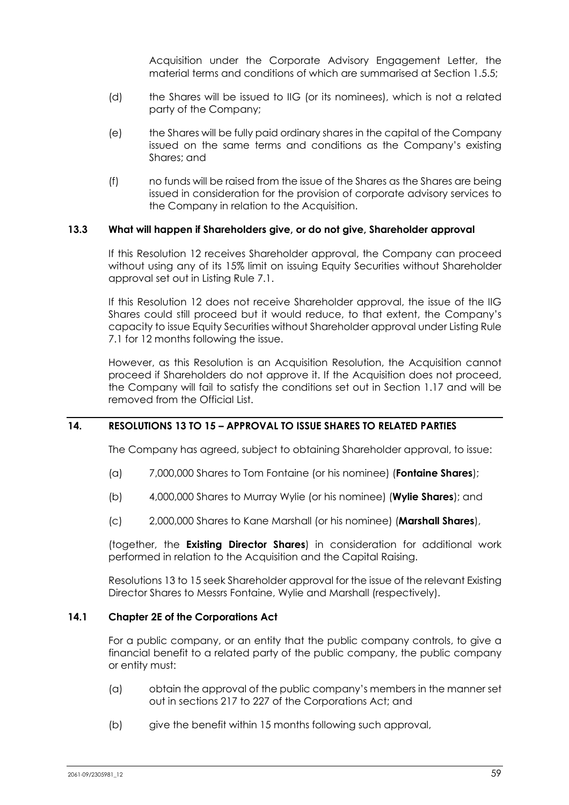Acquisition under the Corporate Advisory Engagement Letter, the material terms and conditions of which are summarised at Section 1.5.5;

- (d) the Shares will be issued to IIG (or its nominees), which is not a related party of the Company;
- (e) the Shares will be fully paid ordinary shares in the capital of the Company issued on the same terms and conditions as the Company's existing Shares; and
- (f) no funds will be raised from the issue of the Shares as the Shares are being issued in consideration for the provision of corporate advisory services to the Company in relation to the Acquisition.

### **13.3 What will happen if Shareholders give, or do not give, Shareholder approval**

If this Resolution 12 receives Shareholder approval, the Company can proceed without using any of its 15% limit on issuing Equity Securities without Shareholder approval set out in Listing Rule 7.1.

If this Resolution 12 does not receive Shareholder approval, the issue of the IIG Shares could still proceed but it would reduce, to that extent, the Company's capacity to issue Equity Securities without Shareholder approval under Listing Rule 7.1 for 12 months following the issue.

However, as this Resolution is an Acquisition Resolution, the Acquisition cannot proceed if Shareholders do not approve it. If the Acquisition does not proceed, the Company will fail to satisfy the conditions set out in Section 1.17 and will be removed from the Official List.

# **14. RESOLUTIONS 13 TO 15 – APPROVAL TO ISSUE SHARES TO RELATED PARTIES**

The Company has agreed, subject to obtaining Shareholder approval, to issue:

- (a) 7,000,000 Shares to Tom Fontaine (or his nominee) (**Fontaine Shares**);
- (b) 4,000,000 Shares to Murray Wylie (or his nominee) (**Wylie Shares**); and
- (c) 2,000,000 Shares to Kane Marshall (or his nominee) (**Marshall Shares**),

(together, the **Existing Director Shares**) in consideration for additional work performed in relation to the Acquisition and the Capital Raising.

Resolutions 13 to 15 seek Shareholder approval for the issue of the relevant Existing Director Shares to Messrs Fontaine, Wylie and Marshall (respectively).

#### **14.1 Chapter 2E of the Corporations Act**

For a public company, or an entity that the public company controls, to give a financial benefit to a related party of the public company, the public company or entity must:

- (a) obtain the approval of the public company's members in the manner set out in sections 217 to 227 of the Corporations Act; and
- (b) give the benefit within 15 months following such approval,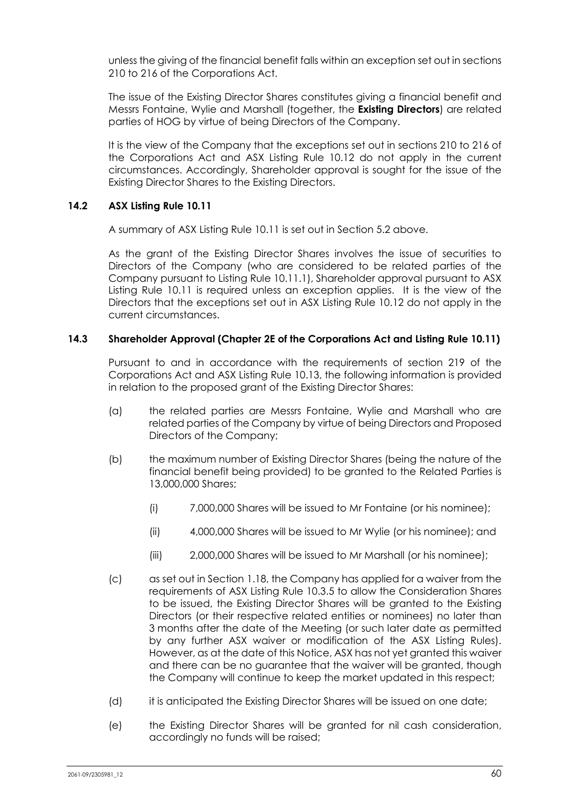unless the giving of the financial benefit falls within an exception set out in sections 210 to 216 of the Corporations Act.

The issue of the Existing Director Shares constitutes giving a financial benefit and Messrs Fontaine, Wylie and Marshall (together, the **Existing Directors**) are related parties of HOG by virtue of being Directors of the Company.

It is the view of the Company that the exceptions set out in sections 210 to 216 of the Corporations Act and ASX Listing Rule 10.12 do not apply in the current circumstances. Accordingly, Shareholder approval is sought for the issue of the Existing Director Shares to the Existing Directors.

## **14.2 ASX Listing Rule 10.11**

A summary of ASX Listing Rule 10.11 is set out in Section 5.2 above.

As the grant of the Existing Director Shares involves the issue of securities to Directors of the Company (who are considered to be related parties of the Company pursuant to Listing Rule 10.11.1), Shareholder approval pursuant to ASX Listing Rule 10.11 is required unless an exception applies. It is the view of the Directors that the exceptions set out in ASX Listing Rule 10.12 do not apply in the current circumstances.

# **14.3 Shareholder Approval (Chapter 2E of the Corporations Act and Listing Rule 10.11)**

Pursuant to and in accordance with the requirements of section 219 of the Corporations Act and ASX Listing Rule 10.13, the following information is provided in relation to the proposed grant of the Existing Director Shares:

- (a) the related parties are Messrs Fontaine, Wylie and Marshall who are related parties of the Company by virtue of being Directors and Proposed Directors of the Company;
- (b) the maximum number of Existing Director Shares (being the nature of the financial benefit being provided) to be granted to the Related Parties is 13,000,000 Shares;
	- (i) 7,000,000 Shares will be issued to Mr Fontaine (or his nominee);
	- (ii) 4,000,000 Shares will be issued to Mr Wylie (or his nominee); and
	- (iii) 2,000,000 Shares will be issued to Mr Marshall (or his nominee);
- (c) as set out in Section 1.18, the Company has applied for a waiver from the requirements of ASX Listing Rule 10.3.5 to allow the Consideration Shares to be issued, the Existing Director Shares will be granted to the Existing Directors (or their respective related entities or nominees) no later than 3 months after the date of the Meeting (or such later date as permitted by any further ASX waiver or modification of the ASX Listing Rules). However, as at the date of this Notice, ASX has not yet granted this waiver and there can be no guarantee that the waiver will be granted, though the Company will continue to keep the market updated in this respect;
- (d) it is anticipated the Existing Director Shares will be issued on one date;
- (e) the Existing Director Shares will be granted for nil cash consideration, accordingly no funds will be raised;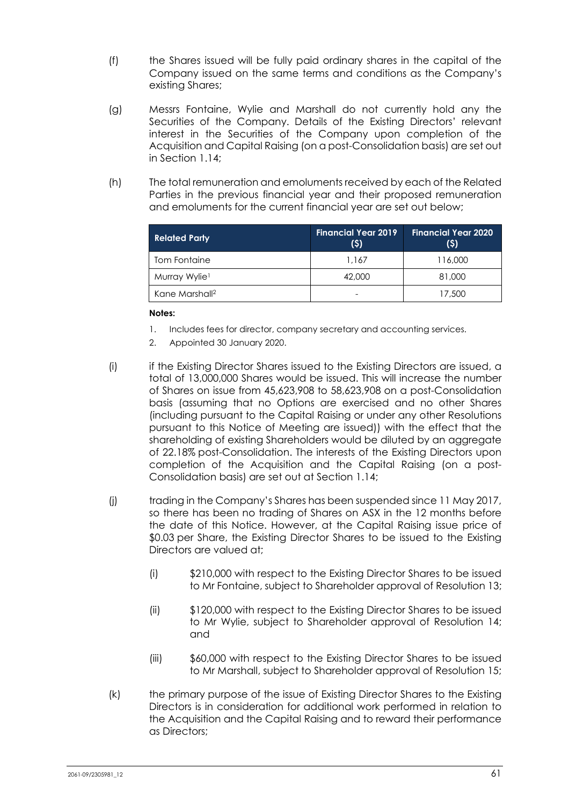- (f) the Shares issued will be fully paid ordinary shares in the capital of the Company issued on the same terms and conditions as the Company's existing Shares;
- (g) Messrs Fontaine, Wylie and Marshall do not currently hold any the Securities of the Company. Details of the Existing Directors' relevant interest in the Securities of the Company upon completion of the Acquisition and Capital Raising (on a post-Consolidation basis) are set out in Section 1.14;
- (h) The total remuneration and emoluments received by each of the Related Parties in the previous financial year and their proposed remuneration and emoluments for the current financial year are set out below;

| <b>Related Party</b>       | Financial Year 2019<br>(5) | <b>Financial Year 2020</b><br>(5) |
|----------------------------|----------------------------|-----------------------------------|
| Tom Fontaine               | 1.167                      | 116,000                           |
| Murray Wylie <sup>1</sup>  | 42,000                     | 81,000                            |
| Kane Marshall <sup>2</sup> |                            | 17,500                            |

### **Notes:**

- 1. Includes fees for director, company secretary and accounting services.
- 2. Appointed 30 January 2020.
- (i) if the Existing Director Shares issued to the Existing Directors are issued, a total of 13,000,000 Shares would be issued. This will increase the number of Shares on issue from 45,623,908 to 58,623,908 on a post-Consolidation basis (assuming that no Options are exercised and no other Shares (including pursuant to the Capital Raising or under any other Resolutions pursuant to this Notice of Meeting are issued)) with the effect that the shareholding of existing Shareholders would be diluted by an aggregate of 22.18% post-Consolidation. The interests of the Existing Directors upon completion of the Acquisition and the Capital Raising (on a post-Consolidation basis) are set out at Section 1.14;
- (j) trading in the Company's Shares has been suspended since 11 May 2017, so there has been no trading of Shares on ASX in the 12 months before the date of this Notice. However, at the Capital Raising issue price of \$0.03 per Share, the Existing Director Shares to be issued to the Existing Directors are valued at;
	- (i) \$210,000 with respect to the Existing Director Shares to be issued to Mr Fontaine, subject to Shareholder approval of Resolution 13;
	- (ii) \$120,000 with respect to the Existing Director Shares to be issued to Mr Wylie, subject to Shareholder approval of Resolution 14; and
	- (iii) \$60,000 with respect to the Existing Director Shares to be issued to Mr Marshall, subject to Shareholder approval of Resolution 15;
- (k) the primary purpose of the issue of Existing Director Shares to the Existing Directors is in consideration for additional work performed in relation to the Acquisition and the Capital Raising and to reward their performance as Directors;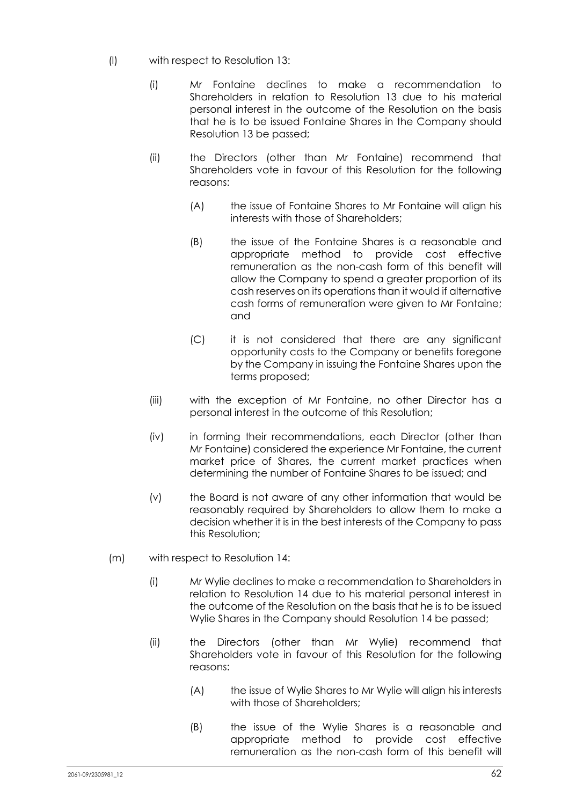- (l) with respect to Resolution 13:
	- (i) Mr Fontaine declines to make a recommendation to Shareholders in relation to Resolution 13 due to his material personal interest in the outcome of the Resolution on the basis that he is to be issued Fontaine Shares in the Company should Resolution 13 be passed;
	- (ii) the Directors (other than Mr Fontaine) recommend that Shareholders vote in favour of this Resolution for the following reasons:
		- (A) the issue of Fontaine Shares to Mr Fontaine will align his interests with those of Shareholders;
		- (B) the issue of the Fontaine Shares is a reasonable and appropriate method to provide cost effective remuneration as the non-cash form of this benefit will allow the Company to spend a greater proportion of its cash reserves on its operations than it would if alternative cash forms of remuneration were given to Mr Fontaine; and
		- (C) it is not considered that there are any significant opportunity costs to the Company or benefits foregone by the Company in issuing the Fontaine Shares upon the terms proposed;
	- (iii) with the exception of Mr Fontaine, no other Director has a personal interest in the outcome of this Resolution;
	- (iv) in forming their recommendations, each Director (other than Mr Fontaine) considered the experience Mr Fontaine, the current market price of Shares, the current market practices when determining the number of Fontaine Shares to be issued; and
	- (v) the Board is not aware of any other information that would be reasonably required by Shareholders to allow them to make a decision whether it is in the best interests of the Company to pass this Resolution;
- (m) with respect to Resolution 14:
	- (i) Mr Wylie declines to make a recommendation to Shareholders in relation to Resolution 14 due to his material personal interest in the outcome of the Resolution on the basis that he is to be issued Wylie Shares in the Company should Resolution 14 be passed;
	- (ii) the Directors (other than Mr Wylie) recommend that Shareholders vote in favour of this Resolution for the following reasons:
		- (A) the issue of Wylie Shares to Mr Wylie will align his interests with those of Shareholders:
		- (B) the issue of the Wylie Shares is a reasonable and appropriate method to provide cost effective remuneration as the non-cash form of this benefit will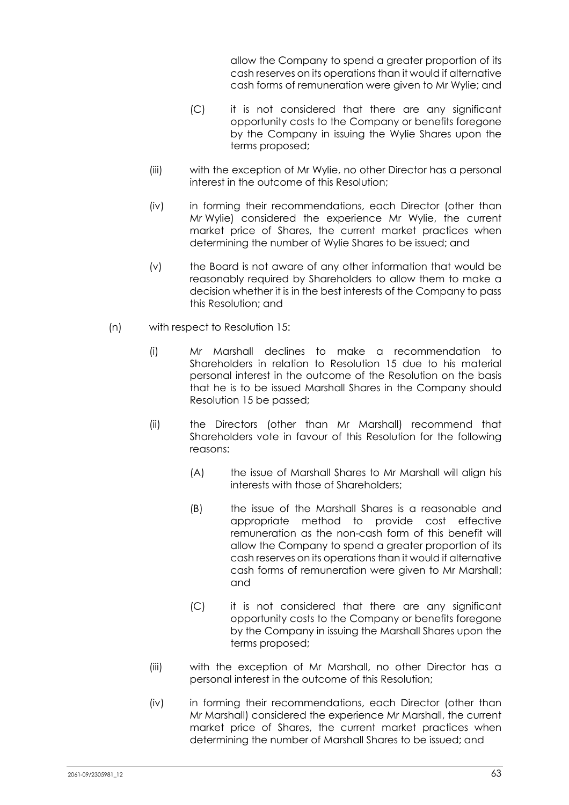allow the Company to spend a greater proportion of its cash reserves on its operations than it would if alternative cash forms of remuneration were given to Mr Wylie; and

- (C) it is not considered that there are any significant opportunity costs to the Company or benefits foregone by the Company in issuing the Wylie Shares upon the terms proposed;
- (iii) with the exception of Mr Wylie, no other Director has a personal interest in the outcome of this Resolution;
- (iv) in forming their recommendations, each Director (other than Mr Wylie) considered the experience Mr Wylie, the current market price of Shares, the current market practices when determining the number of Wylie Shares to be issued; and
- (v) the Board is not aware of any other information that would be reasonably required by Shareholders to allow them to make a decision whether it is in the best interests of the Company to pass this Resolution; and
- (n) with respect to Resolution 15:
	- (i) Mr Marshall declines to make a recommendation to Shareholders in relation to Resolution 15 due to his material personal interest in the outcome of the Resolution on the basis that he is to be issued Marshall Shares in the Company should Resolution 15 be passed;
	- (ii) the Directors (other than Mr Marshall) recommend that Shareholders vote in favour of this Resolution for the following reasons:
		- (A) the issue of Marshall Shares to Mr Marshall will align his interests with those of Shareholders;
		- (B) the issue of the Marshall Shares is a reasonable and appropriate method to provide cost effective remuneration as the non-cash form of this benefit will allow the Company to spend a greater proportion of its cash reserves on its operations than it would if alternative cash forms of remuneration were given to Mr Marshall; and
		- (C) it is not considered that there are any significant opportunity costs to the Company or benefits foregone by the Company in issuing the Marshall Shares upon the terms proposed;
	- (iii) with the exception of Mr Marshall, no other Director has a personal interest in the outcome of this Resolution;
	- (iv) in forming their recommendations, each Director (other than Mr Marshall) considered the experience Mr Marshall, the current market price of Shares, the current market practices when determining the number of Marshall Shares to be issued; and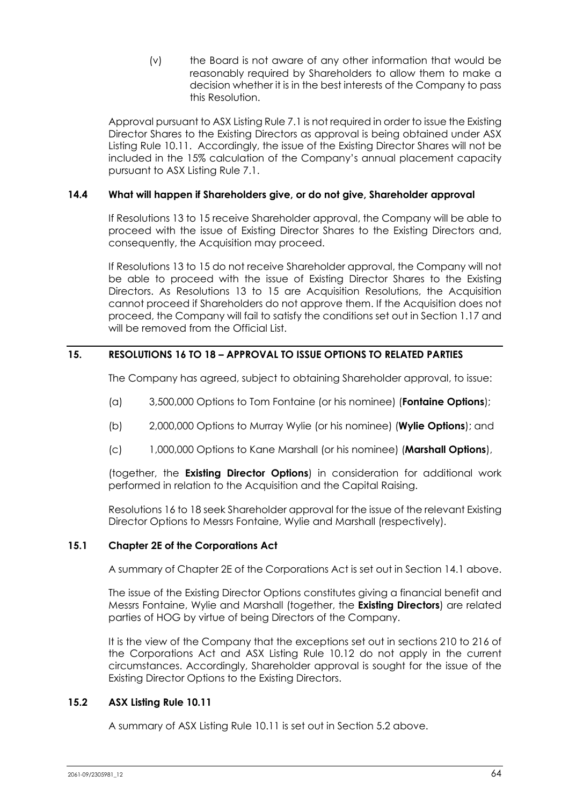(v) the Board is not aware of any other information that would be reasonably required by Shareholders to allow them to make a decision whether it is in the best interests of the Company to pass this Resolution.

Approval pursuant to ASX Listing Rule 7.1 is not required in order to issue the Existing Director Shares to the Existing Directors as approval is being obtained under ASX Listing Rule 10.11. Accordingly, the issue of the Existing Director Shares will not be included in the 15% calculation of the Company's annual placement capacity pursuant to ASX Listing Rule 7.1.

# **14.4 What will happen if Shareholders give, or do not give, Shareholder approval**

If Resolutions 13 to 15 receive Shareholder approval, the Company will be able to proceed with the issue of Existing Director Shares to the Existing Directors and, consequently, the Acquisition may proceed.

If Resolutions 13 to 15 do not receive Shareholder approval, the Company will not be able to proceed with the issue of Existing Director Shares to the Existing Directors. As Resolutions 13 to 15 are Acquisition Resolutions, the Acquisition cannot proceed if Shareholders do not approve them. If the Acquisition does not proceed, the Company will fail to satisfy the conditions set out in Section 1.17 and will be removed from the Official List.

# **15. RESOLUTIONS 16 TO 18 – APPROVAL TO ISSUE OPTIONS TO RELATED PARTIES**

The Company has agreed, subject to obtaining Shareholder approval, to issue:

- (a) 3,500,000 Options to Tom Fontaine (or his nominee) (**Fontaine Options**);
- (b) 2,000,000 Options to Murray Wylie (or his nominee) (**Wylie Options**); and
- (c) 1,000,000 Options to Kane Marshall (or his nominee) (**Marshall Options**),

(together, the **Existing Director Options**) in consideration for additional work performed in relation to the Acquisition and the Capital Raising.

Resolutions 16 to 18 seek Shareholder approval for the issue of the relevant Existing Director Options to Messrs Fontaine, Wylie and Marshall (respectively).

### **15.1 Chapter 2E of the Corporations Act**

A summary of Chapter 2E of the Corporations Act is set out in Section 14.1 above.

The issue of the Existing Director Options constitutes giving a financial benefit and Messrs Fontaine, Wylie and Marshall (together, the **Existing Directors**) are related parties of HOG by virtue of being Directors of the Company.

It is the view of the Company that the exceptions set out in sections 210 to 216 of the Corporations Act and ASX Listing Rule 10.12 do not apply in the current circumstances. Accordingly, Shareholder approval is sought for the issue of the Existing Director Options to the Existing Directors.

### **15.2 ASX Listing Rule 10.11**

A summary of ASX Listing Rule 10.11 is set out in Section 5.2 above.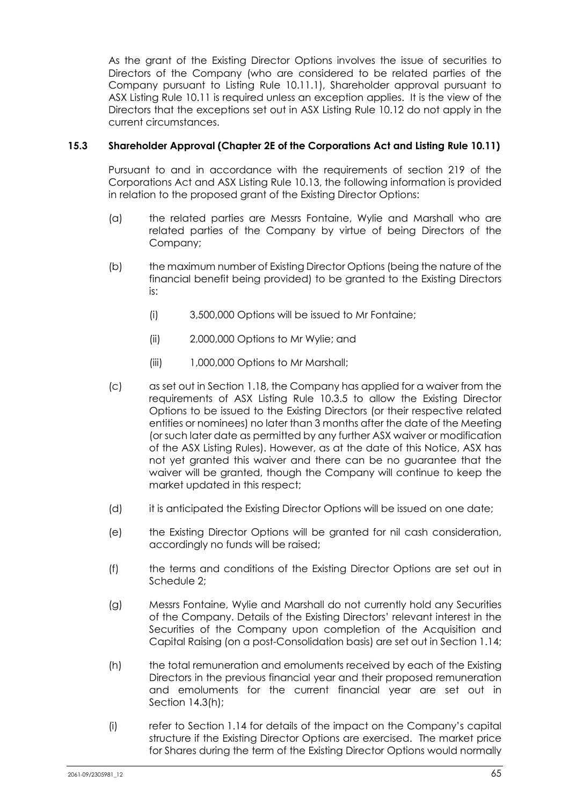As the grant of the Existing Director Options involves the issue of securities to Directors of the Company (who are considered to be related parties of the Company pursuant to Listing Rule 10.11.1), Shareholder approval pursuant to ASX Listing Rule 10.11 is required unless an exception applies. It is the view of the Directors that the exceptions set out in ASX Listing Rule 10.12 do not apply in the current circumstances.

## **15.3 Shareholder Approval (Chapter 2E of the Corporations Act and Listing Rule 10.11)**

Pursuant to and in accordance with the requirements of section 219 of the Corporations Act and ASX Listing Rule 10.13, the following information is provided in relation to the proposed grant of the Existing Director Options:

- (a) the related parties are Messrs Fontaine, Wylie and Marshall who are related parties of the Company by virtue of being Directors of the Company;
- (b) the maximum number of Existing Director Options (being the nature of the financial benefit being provided) to be granted to the Existing Directors is:
	- (i) 3,500,000 Options will be issued to Mr Fontaine;
	- (ii) 2,000,000 Options to Mr Wylie; and
	- (iii) 1,000,000 Options to Mr Marshall;
- (c) as set out in Section 1.18, the Company has applied for a waiver from the requirements of ASX Listing Rule 10.3.5 to allow the Existing Director Options to be issued to the Existing Directors (or their respective related entities or nominees) no later than 3 months after the date of the Meeting (or such later date as permitted by any further ASX waiver or modification of the ASX Listing Rules). However, as at the date of this Notice, ASX has not yet granted this waiver and there can be no guarantee that the waiver will be granted, though the Company will continue to keep the market updated in this respect;
- (d) it is anticipated the Existing Director Options will be issued on one date;
- (e) the Existing Director Options will be granted for nil cash consideration, accordingly no funds will be raised;
- (f) the terms and conditions of the Existing Director Options are set out in Schedule 2;
- (g) Messrs Fontaine, Wylie and Marshall do not currently hold any Securities of the Company. Details of the Existing Directors' relevant interest in the Securities of the Company upon completion of the Acquisition and Capital Raising (on a post-Consolidation basis) are set out in Section 1.14;
- (h) the total remuneration and emoluments received by each of the Existing Directors in the previous financial year and their proposed remuneration and emoluments for the current financial year are set out in Section 14.3(h);
- (i) refer to Section 1.14 for details of the impact on the Company's capital structure if the Existing Director Options are exercised. The market price for Shares during the term of the Existing Director Options would normally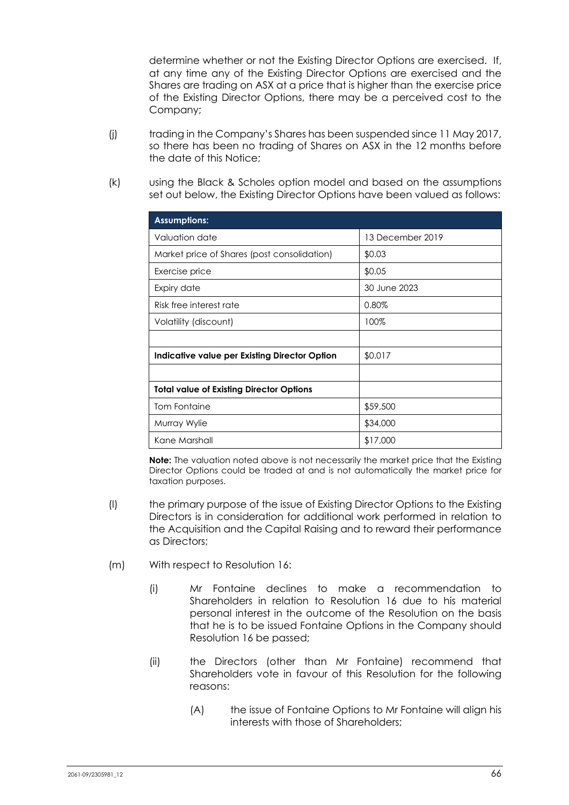determine whether or not the Existing Director Options are exercised. If, at any time any of the Existing Director Options are exercised and the Shares are trading on ASX at a price that is higher than the exercise price of the Existing Director Options, there may be a perceived cost to the Company;

- (j) trading in the Company's Shares has been suspended since 11 May 2017, so there has been no trading of Shares on ASX in the 12 months before the date of this Notice;
- (k) using the Black & Scholes option model and based on the assumptions set out below, the Existing Director Options have been valued as follows:

| <b>Assumptions:</b>                             |                  |
|-------------------------------------------------|------------------|
| Valuation date                                  | 13 December 2019 |
| Market price of Shares (post consolidation)     | \$0.03           |
| Exercise price                                  | \$0.05           |
| Expiry date                                     | 30 June 2023     |
| Risk free interest rate                         | 0.80%            |
| Volatility (discount)                           | 100%             |
|                                                 |                  |
| Indicative value per Existing Director Option   | \$0.017          |
|                                                 |                  |
| <b>Total value of Existing Director Options</b> |                  |
| <b>Tom Fontaine</b>                             | \$59,500         |
| Murray Wylie                                    | \$34,000         |
| Kane Marshall                                   | \$17,000         |

**Note:** The valuation noted above is not necessarily the market price that the Existing Director Options could be traded at and is not automatically the market price for taxation purposes.

- (l) the primary purpose of the issue of Existing Director Options to the Existing Directors is in consideration for additional work performed in relation to the Acquisition and the Capital Raising and to reward their performance as Directors;
- (m) With respect to Resolution 16:
	- (i) Mr Fontaine declines to make a recommendation to Shareholders in relation to Resolution 16 due to his material personal interest in the outcome of the Resolution on the basis that he is to be issued Fontaine Options in the Company should Resolution 16 be passed;
	- (ii) the Directors (other than Mr Fontaine) recommend that Shareholders vote in favour of this Resolution for the following reasons:
		- (A) the issue of Fontaine Options to Mr Fontaine will align his interests with those of Shareholders;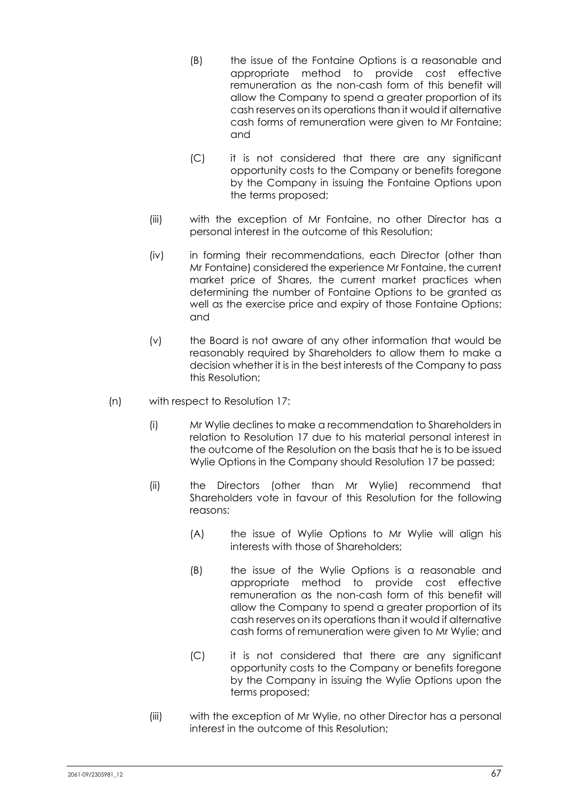- (B) the issue of the Fontaine Options is a reasonable and appropriate method to provide cost effective remuneration as the non-cash form of this benefit will allow the Company to spend a greater proportion of its cash reserves on its operations than it would if alternative cash forms of remuneration were given to Mr Fontaine; and
- (C) it is not considered that there are any significant opportunity costs to the Company or benefits foregone by the Company in issuing the Fontaine Options upon the terms proposed;
- (iii) with the exception of Mr Fontaine, no other Director has a personal interest in the outcome of this Resolution;
- (iv) in forming their recommendations, each Director (other than Mr Fontaine) considered the experience Mr Fontaine, the current market price of Shares, the current market practices when determining the number of Fontaine Options to be granted as well as the exercise price and expiry of those Fontaine Options; and
- (v) the Board is not aware of any other information that would be reasonably required by Shareholders to allow them to make a decision whether it is in the best interests of the Company to pass this Resolution;
- (n) with respect to Resolution 17:
	- (i) Mr Wylie declines to make a recommendation to Shareholders in relation to Resolution 17 due to his material personal interest in the outcome of the Resolution on the basis that he is to be issued Wylie Options in the Company should Resolution 17 be passed;
	- (ii) the Directors (other than Mr Wylie) recommend that Shareholders vote in favour of this Resolution for the following reasons:
		- (A) the issue of Wylie Options to Mr Wylie will align his interests with those of Shareholders;
		- (B) the issue of the Wylie Options is a reasonable and appropriate method to provide cost effective remuneration as the non-cash form of this benefit will allow the Company to spend a greater proportion of its cash reserves on its operations than it would if alternative cash forms of remuneration were given to Mr Wylie; and
		- (C) it is not considered that there are any significant opportunity costs to the Company or benefits foregone by the Company in issuing the Wylie Options upon the terms proposed;
	- (iii) with the exception of Mr Wylie, no other Director has a personal interest in the outcome of this Resolution;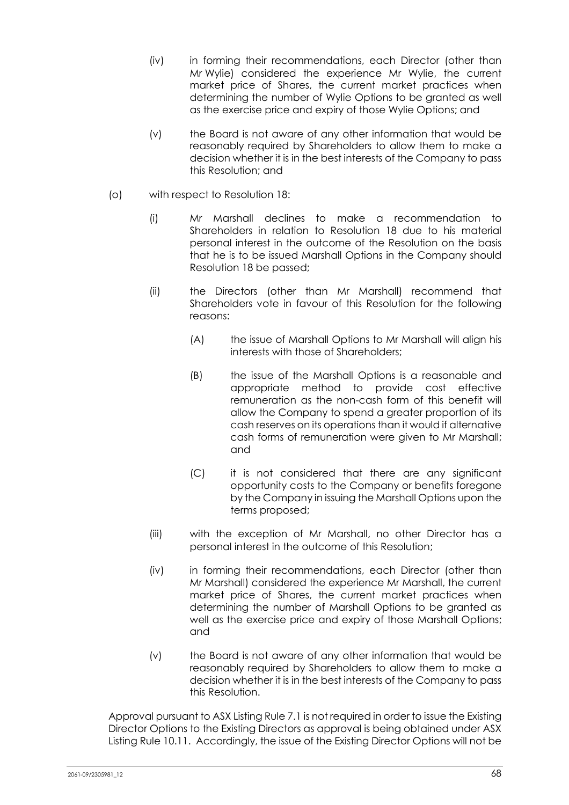- (iv) in forming their recommendations, each Director (other than Mr Wylie) considered the experience Mr Wylie, the current market price of Shares, the current market practices when determining the number of Wylie Options to be granted as well as the exercise price and expiry of those Wylie Options; and
- (v) the Board is not aware of any other information that would be reasonably required by Shareholders to allow them to make a decision whether it is in the best interests of the Company to pass this Resolution; and
- (o) with respect to Resolution 18:
	- (i) Mr Marshall declines to make a recommendation to Shareholders in relation to Resolution 18 due to his material personal interest in the outcome of the Resolution on the basis that he is to be issued Marshall Options in the Company should Resolution 18 be passed;
	- (ii) the Directors (other than Mr Marshall) recommend that Shareholders vote in favour of this Resolution for the following reasons:
		- (A) the issue of Marshall Options to Mr Marshall will align his interests with those of Shareholders;
		- (B) the issue of the Marshall Options is a reasonable and appropriate method to provide cost effective remuneration as the non-cash form of this benefit will allow the Company to spend a greater proportion of its cash reserves on its operations than it would if alternative cash forms of remuneration were given to Mr Marshall; and
		- (C) it is not considered that there are any significant opportunity costs to the Company or benefits foregone by the Company in issuing the Marshall Options upon the terms proposed;
	- (iii) with the exception of Mr Marshall, no other Director has a personal interest in the outcome of this Resolution;
	- (iv) in forming their recommendations, each Director (other than Mr Marshall) considered the experience Mr Marshall, the current market price of Shares, the current market practices when determining the number of Marshall Options to be granted as well as the exercise price and expiry of those Marshall Options; and
	- (v) the Board is not aware of any other information that would be reasonably required by Shareholders to allow them to make a decision whether it is in the best interests of the Company to pass this Resolution.

Approval pursuant to ASX Listing Rule 7.1 is not required in order to issue the Existing Director Options to the Existing Directors as approval is being obtained under ASX Listing Rule 10.11. Accordingly, the issue of the Existing Director Options will not be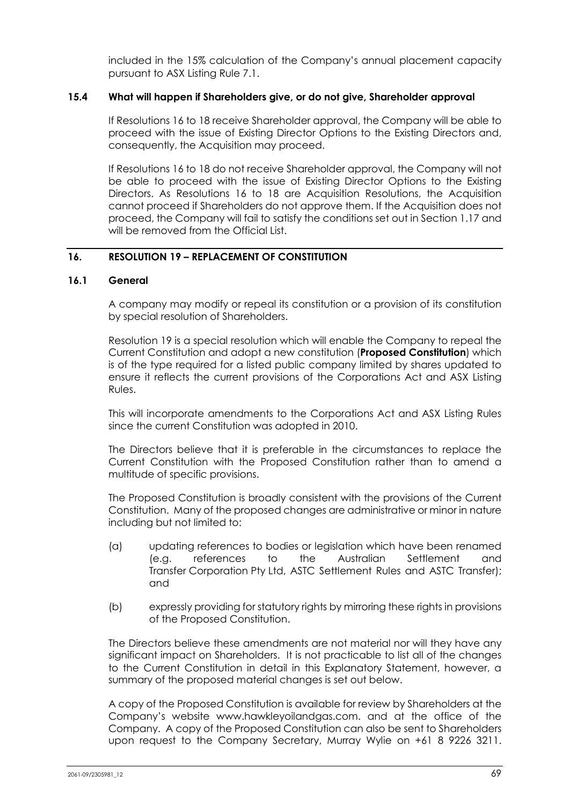included in the 15% calculation of the Company's annual placement capacity pursuant to ASX Listing Rule 7.1.

### **15.4 What will happen if Shareholders give, or do not give, Shareholder approval**

If Resolutions 16 to 18 receive Shareholder approval, the Company will be able to proceed with the issue of Existing Director Options to the Existing Directors and, consequently, the Acquisition may proceed.

If Resolutions 16 to 18 do not receive Shareholder approval, the Company will not be able to proceed with the issue of Existing Director Options to the Existing Directors. As Resolutions 16 to 18 are Acquisition Resolutions, the Acquisition cannot proceed if Shareholders do not approve them. If the Acquisition does not proceed, the Company will fail to satisfy the conditions set out in Section 1.17 and will be removed from the Official List.

# **16. RESOLUTION 19 – REPLACEMENT OF CONSTITUTION**

#### **16.1 General**

A company may modify or repeal its constitution or a provision of its constitution by special resolution of Shareholders.

Resolution 19 is a special resolution which will enable the Company to repeal the Current Constitution and adopt a new constitution (**Proposed Constitution**) which is of the type required for a listed public company limited by shares updated to ensure it reflects the current provisions of the Corporations Act and ASX Listing Rules.

This will incorporate amendments to the Corporations Act and ASX Listing Rules since the current Constitution was adopted in 2010.

The Directors believe that it is preferable in the circumstances to replace the Current Constitution with the Proposed Constitution rather than to amend a multitude of specific provisions.

The Proposed Constitution is broadly consistent with the provisions of the Current Constitution. Many of the proposed changes are administrative or minor in nature including but not limited to:

- (a) updating references to bodies or legislation which have been renamed (e.g. references to the Australian Settlement and Transfer Corporation Pty Ltd, ASTC Settlement Rules and ASTC Transfer); and
- (b) expressly providing for statutory rights by mirroring these rights in provisions of the Proposed Constitution.

The Directors believe these amendments are not material nor will they have any significant impact on Shareholders. It is not practicable to list all of the changes to the Current Constitution in detail in this Explanatory Statement, however, a summary of the proposed material changes is set out below.

A copy of the Proposed Constitution is available for review by Shareholders at the Company's website www.hawkleyoilandgas.com. and at the office of the Company. A copy of the Proposed Constitution can also be sent to Shareholders upon request to the Company Secretary, Murray Wylie on +61 8 9226 3211.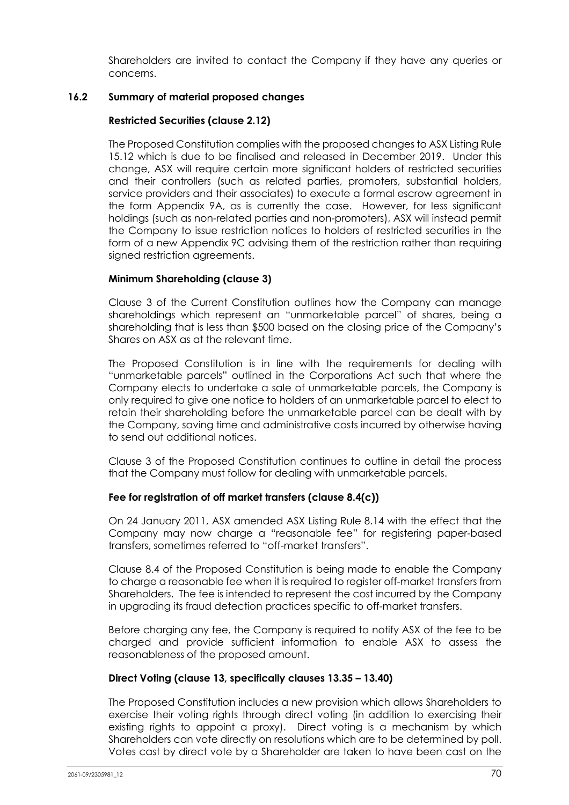Shareholders are invited to contact the Company if they have any queries or concerns.

# **16.2 Summary of material proposed changes**

## **Restricted Securities (clause 2.12)**

The Proposed Constitution complies with the proposed changes to ASX Listing Rule 15.12 which is due to be finalised and released in December 2019. Under this change, ASX will require certain more significant holders of restricted securities and their controllers (such as related parties, promoters, substantial holders, service providers and their associates) to execute a formal escrow agreement in the form Appendix 9A, as is currently the case. However, for less significant holdings (such as non-related parties and non-promoters), ASX will instead permit the Company to issue restriction notices to holders of restricted securities in the form of a new Appendix 9C advising them of the restriction rather than requiring signed restriction agreements.

### **Minimum Shareholding (clause 3)**

Clause 3 of the Current Constitution outlines how the Company can manage shareholdings which represent an "unmarketable parcel" of shares, being a shareholding that is less than \$500 based on the closing price of the Company's Shares on ASX as at the relevant time.

The Proposed Constitution is in line with the requirements for dealing with "unmarketable parcels" outlined in the Corporations Act such that where the Company elects to undertake a sale of unmarketable parcels, the Company is only required to give one notice to holders of an unmarketable parcel to elect to retain their shareholding before the unmarketable parcel can be dealt with by the Company, saving time and administrative costs incurred by otherwise having to send out additional notices.

Clause 3 of the Proposed Constitution continues to outline in detail the process that the Company must follow for dealing with unmarketable parcels.

### **Fee for registration of off market transfers (clause 8.4(c))**

On 24 January 2011, ASX amended ASX Listing Rule 8.14 with the effect that the Company may now charge a "reasonable fee" for registering paper-based transfers, sometimes referred to "off-market transfers".

Clause 8.4 of the Proposed Constitution is being made to enable the Company to charge a reasonable fee when it is required to register off-market transfers from Shareholders. The fee is intended to represent the cost incurred by the Company in upgrading its fraud detection practices specific to off-market transfers.

Before charging any fee, the Company is required to notify ASX of the fee to be charged and provide sufficient information to enable ASX to assess the reasonableness of the proposed amount.

### **Direct Voting (clause 13, specifically clauses 13.35 – 13.40)**

The Proposed Constitution includes a new provision which allows Shareholders to exercise their voting rights through direct voting (in addition to exercising their existing rights to appoint a proxy). Direct voting is a mechanism by which Shareholders can vote directly on resolutions which are to be determined by poll. Votes cast by direct vote by a Shareholder are taken to have been cast on the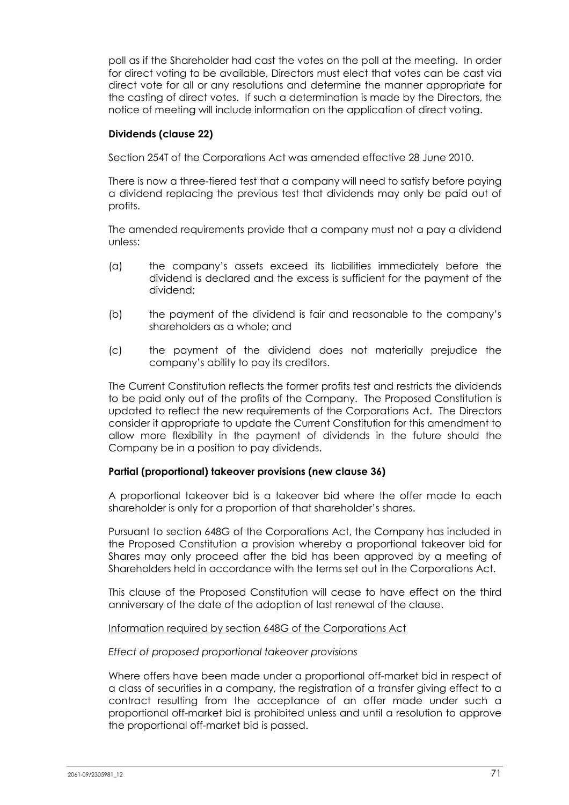poll as if the Shareholder had cast the votes on the poll at the meeting. In order for direct voting to be available, Directors must elect that votes can be cast via direct vote for all or any resolutions and determine the manner appropriate for the casting of direct votes. If such a determination is made by the Directors, the notice of meeting will include information on the application of direct voting.

# **Dividends (clause 22)**

Section 254T of the Corporations Act was amended effective 28 June 2010.

There is now a three-tiered test that a company will need to satisfy before paying a dividend replacing the previous test that dividends may only be paid out of profits.

The amended requirements provide that a company must not a pay a dividend unless:

- (a) the company's assets exceed its liabilities immediately before the dividend is declared and the excess is sufficient for the payment of the dividend;
- (b) the payment of the dividend is fair and reasonable to the company's shareholders as a whole; and
- (c) the payment of the dividend does not materially prejudice the company's ability to pay its creditors.

The Current Constitution reflects the former profits test and restricts the dividends to be paid only out of the profits of the Company. The Proposed Constitution is updated to reflect the new requirements of the Corporations Act. The Directors consider it appropriate to update the Current Constitution for this amendment to allow more flexibility in the payment of dividends in the future should the Company be in a position to pay dividends.

### **Partial (proportional) takeover provisions (new clause 36)**

A proportional takeover bid is a takeover bid where the offer made to each shareholder is only for a proportion of that shareholder's shares.

Pursuant to section 648G of the Corporations Act, the Company has included in the Proposed Constitution a provision whereby a proportional takeover bid for Shares may only proceed after the bid has been approved by a meeting of Shareholders held in accordance with the terms set out in the Corporations Act.

This clause of the Proposed Constitution will cease to have effect on the third anniversary of the date of the adoption of last renewal of the clause.

### Information required by section 648G of the Corporations Act

### *Effect of proposed proportional takeover provisions*

Where offers have been made under a proportional off-market bid in respect of a class of securities in a company, the registration of a transfer giving effect to a contract resulting from the acceptance of an offer made under such a proportional off-market bid is prohibited unless and until a resolution to approve the proportional off-market bid is passed.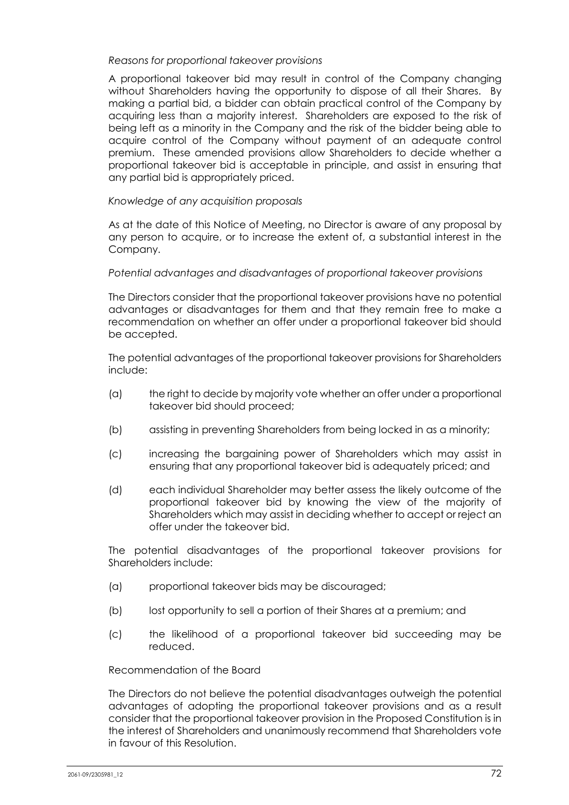## *Reasons for proportional takeover provisions*

A proportional takeover bid may result in control of the Company changing without Shareholders having the opportunity to dispose of all their Shares. By making a partial bid, a bidder can obtain practical control of the Company by acquiring less than a majority interest. Shareholders are exposed to the risk of being left as a minority in the Company and the risk of the bidder being able to acquire control of the Company without payment of an adequate control premium. These amended provisions allow Shareholders to decide whether a proportional takeover bid is acceptable in principle, and assist in ensuring that any partial bid is appropriately priced.

# *Knowledge of any acquisition proposals*

As at the date of this Notice of Meeting, no Director is aware of any proposal by any person to acquire, or to increase the extent of, a substantial interest in the Company.

### *Potential advantages and disadvantages of proportional takeover provisions*

The Directors consider that the proportional takeover provisions have no potential advantages or disadvantages for them and that they remain free to make a recommendation on whether an offer under a proportional takeover bid should be accepted.

The potential advantages of the proportional takeover provisions for Shareholders include:

- (a) the right to decide by majority vote whether an offer under a proportional takeover bid should proceed;
- (b) assisting in preventing Shareholders from being locked in as a minority;
- (c) increasing the bargaining power of Shareholders which may assist in ensuring that any proportional takeover bid is adequately priced; and
- (d) each individual Shareholder may better assess the likely outcome of the proportional takeover bid by knowing the view of the majority of Shareholders which may assist in deciding whether to accept or reject an offer under the takeover bid.

The potential disadvantages of the proportional takeover provisions for Shareholders include:

- (a) proportional takeover bids may be discouraged;
- (b) lost opportunity to sell a portion of their Shares at a premium; and
- (c) the likelihood of a proportional takeover bid succeeding may be reduced.

## Recommendation of the Board

The Directors do not believe the potential disadvantages outweigh the potential advantages of adopting the proportional takeover provisions and as a result consider that the proportional takeover provision in the Proposed Constitution is in the interest of Shareholders and unanimously recommend that Shareholders vote in favour of this Resolution.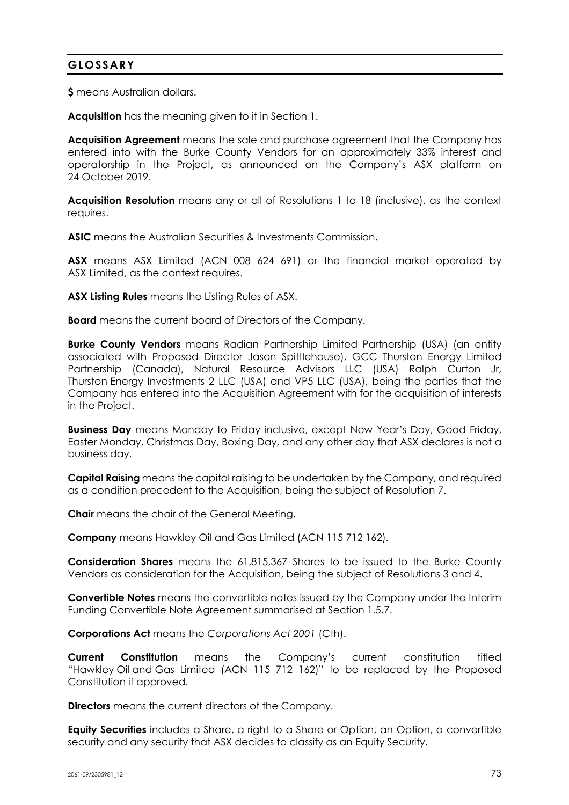## **GLOSSARY**

**\$** means Australian dollars.

**Acquisition** has the meaning given to it in Section 1.

**Acquisition Agreement** means the sale and purchase agreement that the Company has entered into with the Burke County Vendors for an approximately 33% interest and operatorship in the Project, as announced on the Company's ASX platform on 24 October 2019.

**Acquisition Resolution** means any or all of Resolutions 1 to 18 (inclusive), as the context requires.

**ASIC** means the Australian Securities & Investments Commission.

**ASX** means ASX Limited (ACN 008 624 691) or the financial market operated by ASX Limited, as the context requires.

**ASX Listing Rules** means the Listing Rules of ASX.

**Board** means the current board of Directors of the Company.

**Burke County Vendors** means Radian Partnership Limited Partnership (USA) (an entity associated with Proposed Director Jason Spittlehouse), GCC Thurston Energy Limited Partnership (Canada), Natural Resource Advisors LLC (USA) Ralph Curton Jr, Thurston Energy Investments 2 LLC (USA) and VP5 LLC (USA), being the parties that the Company has entered into the Acquisition Agreement with for the acquisition of interests in the Project.

**Business Day** means Monday to Friday inclusive, except New Year's Day, Good Friday, Easter Monday, Christmas Day, Boxing Day, and any other day that ASX declares is not a business day.

**Capital Raising** means the capital raising to be undertaken by the Company, and required as a condition precedent to the Acquisition, being the subject of Resolution 7.

**Chair** means the chair of the General Meeting.

**Company** means Hawkley Oil and Gas Limited (ACN 115 712 162).

**Consideration Shares** means the 61,815,367 Shares to be issued to the Burke County Vendors as consideration for the Acquisition, being the subject of Resolutions 3 and 4.

**Convertible Notes** means the convertible notes issued by the Company under the Interim Funding Convertible Note Agreement summarised at Section 1.5.7.

**Corporations Act** means the *Corporations Act 2001* (Cth).

**Current Constitution** means the Company's current constitution titled "Hawkley Oil and Gas Limited (ACN 115 712 162)" to be replaced by the Proposed Constitution if approved.

**Directors** means the current directors of the Company.

**Equity Securities** includes a Share, a right to a Share or Option, an Option, a convertible security and any security that ASX decides to classify as an Equity Security.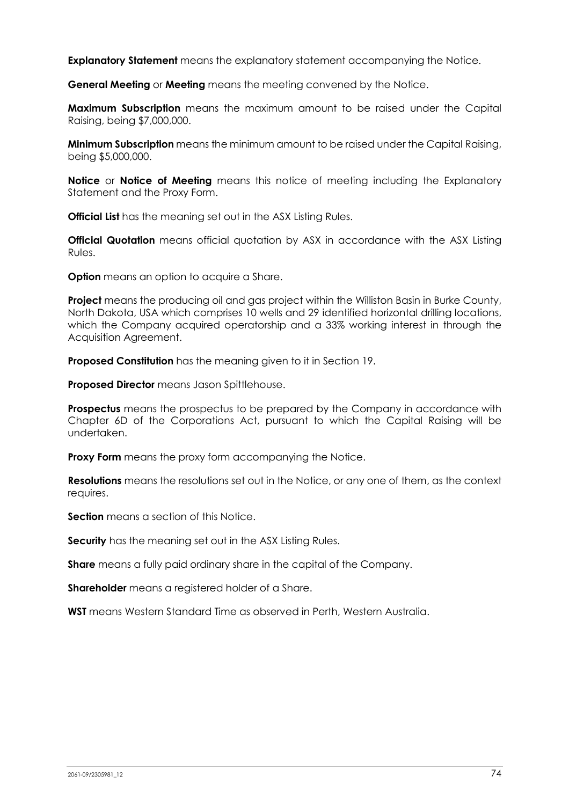**Explanatory Statement** means the explanatory statement accompanying the Notice.

**General Meeting** or **Meeting** means the meeting convened by the Notice.

**Maximum Subscription** means the maximum amount to be raised under the Capital Raising, being \$7,000,000.

**Minimum Subscription** means the minimum amount to be raised under the Capital Raising, being \$5,000,000.

**Notice** or **Notice of Meeting** means this notice of meeting including the Explanatory Statement and the Proxy Form.

**Official List** has the meaning set out in the ASX Listing Rules.

**Official Quotation** means official quotation by ASX in accordance with the ASX Listing Rules.

**Option** means an option to acquire a Share.

**Project** means the producing oil and gas project within the Williston Basin in Burke County, North Dakota, USA which comprises 10 wells and 29 identified horizontal drilling locations, which the Company acquired operatorship and a 33% working interest in through the Acquisition Agreement.

**Proposed Constitution** has the meaning given to it in Section 19.

**Proposed Director** means Jason Spittlehouse.

**Prospectus** means the prospectus to be prepared by the Company in accordance with Chapter 6D of the Corporations Act, pursuant to which the Capital Raising will be undertaken.

**Proxy Form** means the proxy form accompanying the Notice.

**Resolutions** means the resolutions set out in the Notice, or any one of them, as the context requires.

**Section** means a section of this Notice.

**Security** has the meaning set out in the ASX Listing Rules.

**Share** means a fully paid ordinary share in the capital of the Company.

**Shareholder** means a registered holder of a Share.

**WST** means Western Standard Time as observed in Perth, Western Australia.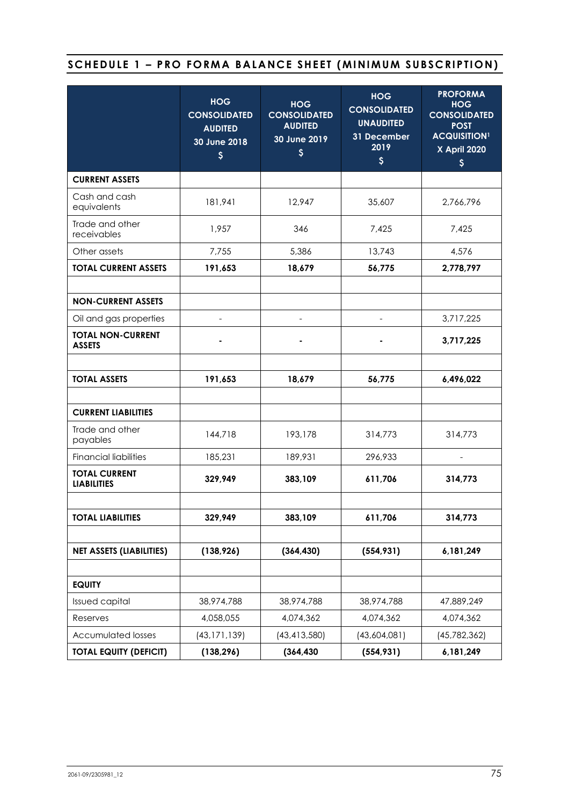# SCHEDULE 1 - PRO FORMA BALANCE SHEET (MINIMUM SUBSCRIPTION)

|                                            | <b>HOG</b><br><b>CONSOLIDATED</b><br><b>AUDITED</b><br>30 June 2018<br>$\boldsymbol{\xi}$ | <b>HOG</b><br><b>CONSOLIDATED</b><br><b>AUDITED</b><br>30 June 2019<br>$\boldsymbol{\xi}$ | <b>HOG</b><br><b>CONSOLIDATED</b><br><b>UNAUDITED</b><br>31 December<br>2019<br>$\boldsymbol{\zeta}$ | <b>PROFORMA</b><br><b>HOG</b><br><b>CONSOLIDATED</b><br><b>POST</b><br><b>ACQUISITION1</b><br><b>X</b> April 2020<br>\$ |  |
|--------------------------------------------|-------------------------------------------------------------------------------------------|-------------------------------------------------------------------------------------------|------------------------------------------------------------------------------------------------------|-------------------------------------------------------------------------------------------------------------------------|--|
| <b>CURRENT ASSETS</b>                      |                                                                                           |                                                                                           |                                                                                                      |                                                                                                                         |  |
| Cash and cash<br>equivalents               | 181,941                                                                                   | 12,947                                                                                    | 35,607                                                                                               | 2,766,796                                                                                                               |  |
| Trade and other<br>receivables             | 1,957                                                                                     | 346                                                                                       | 7,425                                                                                                | 7,425                                                                                                                   |  |
| Other assets                               | 7,755                                                                                     | 5,386                                                                                     | 13,743                                                                                               | 4,576                                                                                                                   |  |
| <b>TOTAL CURRENT ASSETS</b>                | 191,653                                                                                   | 18,679                                                                                    | 56,775                                                                                               | 2,778,797                                                                                                               |  |
|                                            |                                                                                           |                                                                                           |                                                                                                      |                                                                                                                         |  |
| <b>NON-CURRENT ASSETS</b>                  |                                                                                           |                                                                                           |                                                                                                      |                                                                                                                         |  |
| Oil and gas properties                     |                                                                                           |                                                                                           | 3,717,225                                                                                            |                                                                                                                         |  |
| <b>TOTAL NON-CURRENT</b><br><b>ASSETS</b>  |                                                                                           |                                                                                           |                                                                                                      | 3,717,225                                                                                                               |  |
|                                            |                                                                                           |                                                                                           |                                                                                                      |                                                                                                                         |  |
| <b>TOTAL ASSETS</b>                        | 191,653                                                                                   | 18,679                                                                                    | 56,775                                                                                               | 6,496,022                                                                                                               |  |
|                                            |                                                                                           |                                                                                           |                                                                                                      |                                                                                                                         |  |
| <b>CURRENT LIABILITIES</b>                 |                                                                                           |                                                                                           |                                                                                                      |                                                                                                                         |  |
| Trade and other<br>payables                | 144,718                                                                                   | 193,178                                                                                   | 314,773                                                                                              | 314,773                                                                                                                 |  |
| <b>Financial liabilities</b>               | 185,231                                                                                   | 189,931                                                                                   | 296,933                                                                                              |                                                                                                                         |  |
| <b>TOTAL CURRENT</b><br><b>LIABILITIES</b> | 329,949                                                                                   | 383,109                                                                                   | 611,706<br>314,773                                                                                   |                                                                                                                         |  |
|                                            |                                                                                           |                                                                                           |                                                                                                      |                                                                                                                         |  |
| <b>TOTAL LIABILITIES</b>                   | 329,949                                                                                   | 383,109                                                                                   | 611,706                                                                                              | 314,773                                                                                                                 |  |
|                                            |                                                                                           |                                                                                           |                                                                                                      |                                                                                                                         |  |
| <b>NET ASSETS (LIABILITIES)</b>            | (138, 926)                                                                                | (364, 430)                                                                                | (554, 931)                                                                                           | 6,181,249                                                                                                               |  |
|                                            |                                                                                           |                                                                                           |                                                                                                      |                                                                                                                         |  |
| <b>EQUITY</b>                              |                                                                                           |                                                                                           |                                                                                                      |                                                                                                                         |  |
| <b>Issued capital</b>                      | 38,974,788                                                                                | 38,974,788                                                                                | 38,974,788                                                                                           | 47,889,249                                                                                                              |  |
| Reserves                                   | 4,058,055                                                                                 | 4,074,362                                                                                 | 4,074,362                                                                                            | 4,074,362                                                                                                               |  |
| <b>Accumulated losses</b>                  | (43, 171, 139)                                                                            | (43, 413, 580)                                                                            | (43,604,081)                                                                                         | (45, 782, 362)                                                                                                          |  |
| <b>TOTAL EQUITY (DEFICIT)</b>              | (138, 296)                                                                                | (364, 430)                                                                                | (554, 931)<br>6, 181, 249                                                                            |                                                                                                                         |  |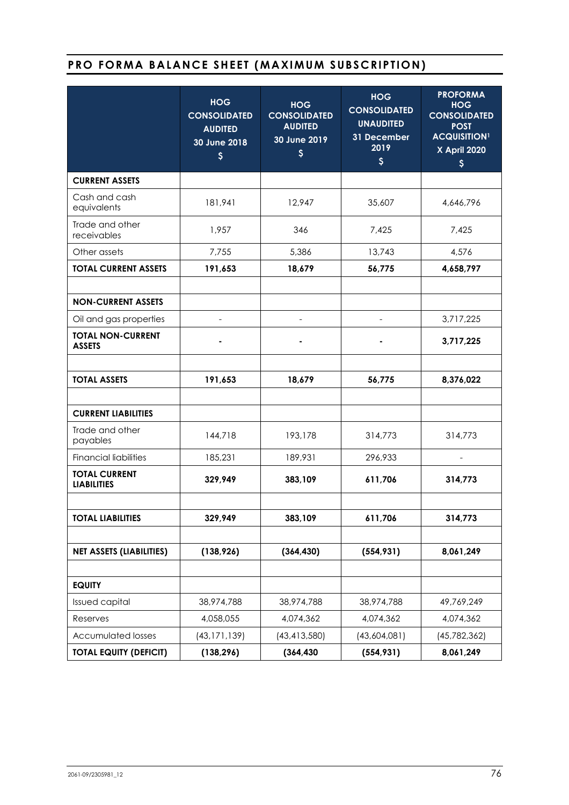# **PRO FORMA BALANCE SHEET (MAXIMUM SUBSCRIPTION)**

|                                            | <b>HOG</b><br><b>CONSOLIDATED</b><br><b>AUDITED</b><br>30 June 2018<br>\$ | <b>HOG</b><br><b>CONSOLIDATED</b><br><b>AUDITED</b><br>30 June 2019<br>\$ | <b>HOG</b><br><b>CONSOLIDATED</b><br><b>UNAUDITED</b><br>31 December<br>2019<br>$\boldsymbol{\zeta}$ | <b>PROFORMA</b><br><b>HOG</b><br><b>CONSOLIDATED</b><br><b>POST</b><br><b>ACQUISITION1</b><br><b>X April 2020</b><br>\$ |  |
|--------------------------------------------|---------------------------------------------------------------------------|---------------------------------------------------------------------------|------------------------------------------------------------------------------------------------------|-------------------------------------------------------------------------------------------------------------------------|--|
| <b>CURRENT ASSETS</b>                      |                                                                           |                                                                           |                                                                                                      |                                                                                                                         |  |
| Cash and cash<br>equivalents               | 181,941                                                                   | 12,947                                                                    | 35,607                                                                                               | 4,646,796                                                                                                               |  |
| Trade and other<br>receivables             | 1,957                                                                     | 346                                                                       | 7,425                                                                                                | 7,425                                                                                                                   |  |
| Other assets                               | 7,755                                                                     | 5,386                                                                     | 13,743                                                                                               | 4,576                                                                                                                   |  |
| <b>TOTAL CURRENT ASSETS</b>                | 191,653                                                                   | 18,679                                                                    | 56,775                                                                                               | 4,658,797                                                                                                               |  |
|                                            |                                                                           |                                                                           |                                                                                                      |                                                                                                                         |  |
| <b>NON-CURRENT ASSETS</b>                  |                                                                           |                                                                           |                                                                                                      |                                                                                                                         |  |
| Oil and gas properties                     |                                                                           |                                                                           |                                                                                                      | 3,717,225                                                                                                               |  |
| <b>TOTAL NON-CURRENT</b><br><b>ASSETS</b>  |                                                                           |                                                                           |                                                                                                      | 3,717,225                                                                                                               |  |
|                                            |                                                                           |                                                                           |                                                                                                      |                                                                                                                         |  |
| <b>TOTAL ASSETS</b>                        | 191,653                                                                   | 18,679                                                                    | 56,775                                                                                               | 8,376,022                                                                                                               |  |
|                                            |                                                                           |                                                                           |                                                                                                      |                                                                                                                         |  |
| <b>CURRENT LIABILITIES</b>                 |                                                                           |                                                                           |                                                                                                      |                                                                                                                         |  |
| Trade and other<br>payables                | 144,718                                                                   | 193,178                                                                   | 314,773                                                                                              | 314,773                                                                                                                 |  |
| <b>Financial liabilities</b>               | 185,231                                                                   | 189,931                                                                   | 296,933                                                                                              |                                                                                                                         |  |
| <b>TOTAL CURRENT</b><br><b>LIABILITIES</b> | 329,949                                                                   | 383,109                                                                   | 611,706                                                                                              | 314,773                                                                                                                 |  |
|                                            |                                                                           |                                                                           |                                                                                                      |                                                                                                                         |  |
| <b>TOTAL LIABILITIES</b>                   | 329,949                                                                   | 383,109                                                                   | 611,706                                                                                              | 314,773                                                                                                                 |  |
|                                            |                                                                           |                                                                           |                                                                                                      |                                                                                                                         |  |
| <b>NET ASSETS (LIABILITIES)</b>            | (138, 926)                                                                | (364, 430)                                                                | (554, 931)                                                                                           | 8,061,249                                                                                                               |  |
|                                            |                                                                           |                                                                           |                                                                                                      |                                                                                                                         |  |
| <b>EQUITY</b>                              |                                                                           |                                                                           |                                                                                                      |                                                                                                                         |  |
| <b>Issued capital</b>                      | 38,974,788                                                                | 38,974,788                                                                | 38,974,788                                                                                           | 49,769,249                                                                                                              |  |
| Reserves                                   | 4,058,055                                                                 | 4,074,362                                                                 | 4,074,362                                                                                            | 4,074,362                                                                                                               |  |
| <b>Accumulated losses</b>                  | (43, 171, 139)                                                            | (43, 413, 580)                                                            | (43,604,081)                                                                                         | (45, 782, 362)                                                                                                          |  |
| <b>TOTAL EQUITY (DEFICIT)</b>              | (138, 296)                                                                | (364, 430)                                                                | (554, 931)<br>8,061,249                                                                              |                                                                                                                         |  |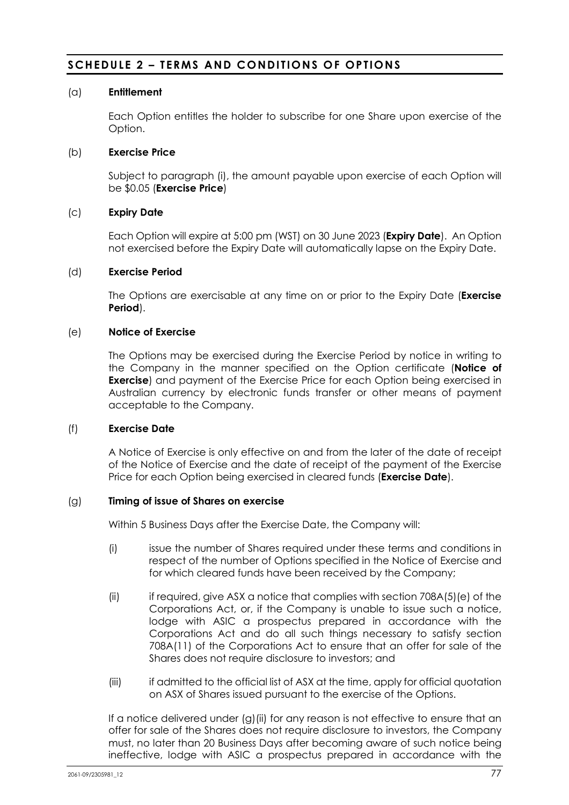## **SCHEDULE 2 – TERMS AND CONDITIONS OF OPTIONS**

#### (a) **Entitlement**

Each Option entitles the holder to subscribe for one Share upon exercise of the Option.

#### (b) **Exercise Price**

Subject to paragraph (i), the amount payable upon exercise of each Option will be \$0.05 (**Exercise Price**)

## (c) **Expiry Date**

Each Option will expire at 5:00 pm (WST) on 30 June 2023 (**Expiry Date**). An Option not exercised before the Expiry Date will automatically lapse on the Expiry Date.

#### (d) **Exercise Period**

The Options are exercisable at any time on or prior to the Expiry Date (**Exercise Period**).

## (e) **Notice of Exercise**

The Options may be exercised during the Exercise Period by notice in writing to the Company in the manner specified on the Option certificate (**Notice of Exercise**) and payment of the Exercise Price for each Option being exercised in Australian currency by electronic funds transfer or other means of payment acceptable to the Company.

#### (f) **Exercise Date**

A Notice of Exercise is only effective on and from the later of the date of receipt of the Notice of Exercise and the date of receipt of the payment of the Exercise Price for each Option being exercised in cleared funds (**Exercise Date**).

## (g) **Timing of issue of Shares on exercise**

Within 5 Business Days after the Exercise Date, the Company will:

- (i) issue the number of Shares required under these terms and conditions in respect of the number of Options specified in the Notice of Exercise and for which cleared funds have been received by the Company;
- (ii) if required, give ASX a notice that complies with section  $708A(5)(e)$  of the Corporations Act, or, if the Company is unable to issue such a notice, lodge with ASIC a prospectus prepared in accordance with the Corporations Act and do all such things necessary to satisfy section 708A(11) of the Corporations Act to ensure that an offer for sale of the Shares does not require disclosure to investors; and
- (iii) if admitted to the official list of ASX at the time, apply for official quotation on ASX of Shares issued pursuant to the exercise of the Options.

If a notice delivered under (g)(ii) for any reason is not effective to ensure that an offer for sale of the Shares does not require disclosure to investors, the Company must, no later than 20 Business Days after becoming aware of such notice being ineffective, lodge with ASIC a prospectus prepared in accordance with the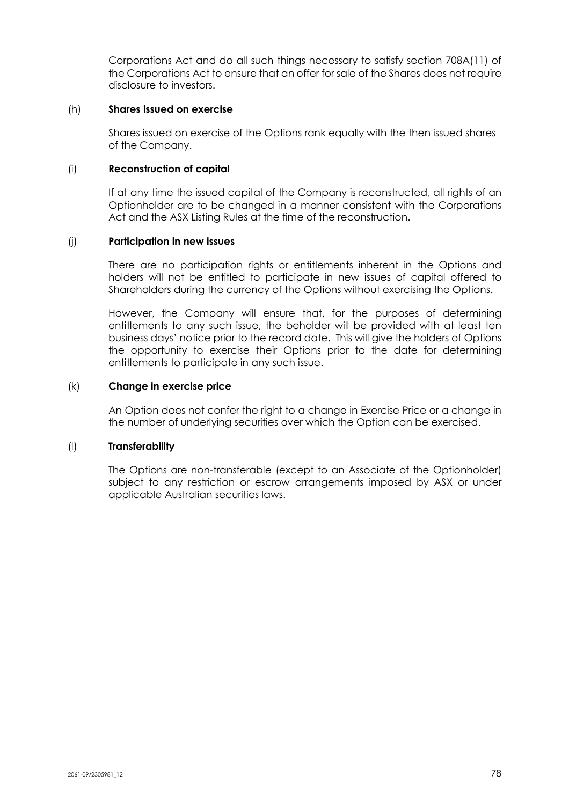Corporations Act and do all such things necessary to satisfy section 708A(11) of the Corporations Act to ensure that an offer for sale of the Shares does not require disclosure to investors.

### (h) **Shares issued on exercise**

Shares issued on exercise of the Options rank equally with the then issued shares of the Company.

#### (i) **Reconstruction of capital**

If at any time the issued capital of the Company is reconstructed, all rights of an Optionholder are to be changed in a manner consistent with the Corporations Act and the ASX Listing Rules at the time of the reconstruction.

#### (j) **Participation in new issues**

There are no participation rights or entitlements inherent in the Options and holders will not be entitled to participate in new issues of capital offered to Shareholders during the currency of the Options without exercising the Options.

However, the Company will ensure that, for the purposes of determining entitlements to any such issue, the beholder will be provided with at least ten business days' notice prior to the record date. This will give the holders of Options the opportunity to exercise their Options prior to the date for determining entitlements to participate in any such issue.

#### (k) **Change in exercise price**

An Option does not confer the right to a change in Exercise Price or a change in the number of underlying securities over which the Option can be exercised.

## (l) **Transferability**

The Options are non-transferable (except to an Associate of the Optionholder) subject to any restriction or escrow arrangements imposed by ASX or under applicable Australian securities laws.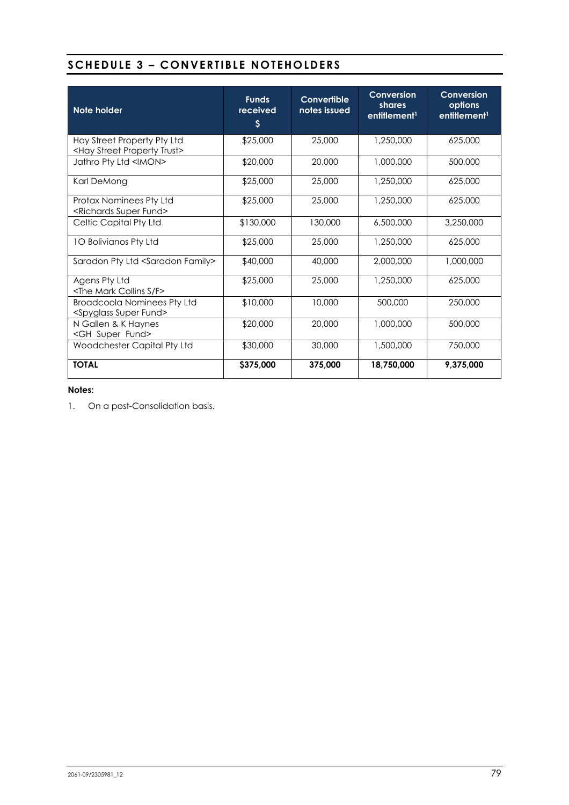## **SCHEDULE 3 – CONVERTIBLE NOTEHOLDERS**

| Note holder                                                                  | <b>Funds</b><br>received<br>$\boldsymbol{\mathsf{S}}$ | Convertible<br>notes issued | Conversion<br>shares<br>entitlement <sup>1</sup> | Conversion<br>options<br>entitlement <sup>1</sup> |
|------------------------------------------------------------------------------|-------------------------------------------------------|-----------------------------|--------------------------------------------------|---------------------------------------------------|
| Hay Street Property Pty Ltd<br><hay property="" street="" trust=""></hay>    | \$25,000                                              | 25,000                      | 1,250,000                                        | 625,000                                           |
| Jathro Pty Ltd <imon></imon>                                                 | \$20,000                                              | 20,000                      | 1,000,000                                        | 500,000                                           |
| Karl DeMong                                                                  | \$25,000                                              | 25,000                      | 1,250,000                                        | 625,000                                           |
| Protax Nominees Pty Ltd<br><richards fund="" super=""></richards>            | \$25,000                                              | 25,000                      | 1,250,000                                        | 625,000                                           |
| Celtic Capital Pty Ltd                                                       | \$130,000                                             | 130,000                     | 6,500,000                                        | 3,250,000                                         |
| 10 Bolivianos Pty Ltd                                                        | \$25,000                                              | 25,000                      | 1,250,000                                        | 625,000                                           |
| Saradon Pty Ltd <saradon family=""></saradon>                                | \$40,000                                              | 40,000                      | 2,000,000                                        | 1,000,000                                         |
| Agens Pty Ltd<br><the collins="" f="" mark="" s=""></the>                    | \$25,000                                              | 25,000                      | 1,250,000                                        | 625,000                                           |
| <b>Broadcoola Nominees Pty Ltd</b><br><spyglass fund="" super=""></spyglass> | \$10,000                                              | 10,000                      | 500,000                                          | 250,000                                           |
| N Gallen & K Haynes<br><gh fund="" super=""></gh>                            | \$20,000                                              | 20,000                      | 1,000,000                                        | 500,000                                           |
| Woodchester Capital Pty Ltd                                                  | \$30,000                                              | 30,000                      | 1,500,000                                        | 750,000                                           |
| <b>TOTAL</b>                                                                 | \$375,000                                             | 375,000                     | 18,750,000                                       | 9,375,000                                         |

#### **Notes:**

1. On a post-Consolidation basis.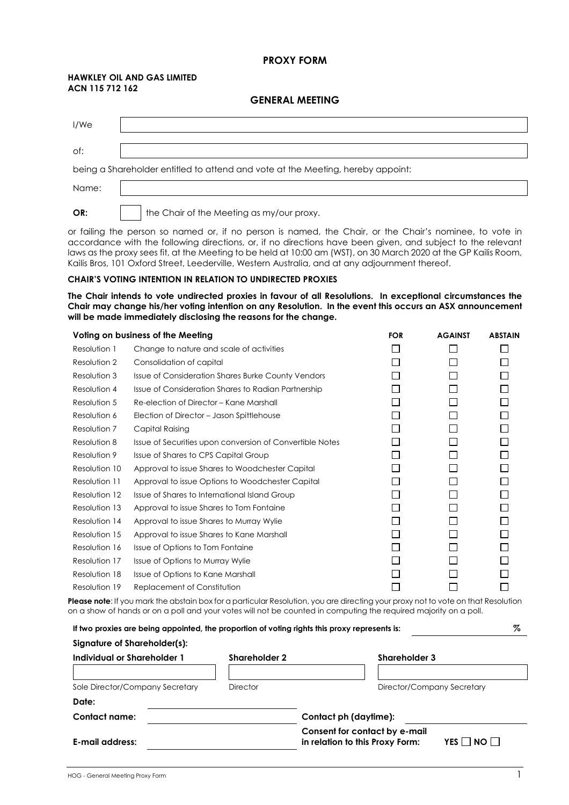#### **PROXY FORM**

#### **HAWKLEY OIL AND GAS LIMITED ACN 115 712 162**

#### **GENERAL MEETING**

| I/We  |                                                                                 |
|-------|---------------------------------------------------------------------------------|
| of:   |                                                                                 |
|       | being a Shareholder entitled to attend and vote at the Meeting, hereby appoint: |
| Name: |                                                                                 |
| OR:   | the Chair of the Meeting as my/our proxy.                                       |

or failing the person so named or, if no person is named, the Chair, or the Chair's nominee, to vote in accordance with the following directions, or, if no directions have been given, and subject to the relevant laws as the proxy sees fit, at the Meeting to be held at 10:00 am (WST), on 30 March 2020 at the GP Kailis Room, Kailis Bros, 101 Oxford Street, Leederville, Western Australia, and at any adjournment thereof.

#### **CHAIR'S VOTING INTENTION IN RELATION TO UNDIRECTED PROXIES**

**The Chair intends to vote undirected proxies in favour of all Resolutions. In exceptional circumstances the Chair may change his/her voting intention on any Resolution. In the event this occurs an ASX announcement will be made immediately disclosing the reasons for the change.** 

|               | Voting on business of the Meeting                         | <b>FOR</b> | <b>AGAINST</b> | <b>ABSTAIN</b> |
|---------------|-----------------------------------------------------------|------------|----------------|----------------|
| Resolution 1  | Change to nature and scale of activities                  |            |                |                |
| Resolution 2  | Consolidation of capital                                  |            |                |                |
| Resolution 3  | <b>Issue of Consideration Shares Burke County Vendors</b> |            |                |                |
| Resolution 4  | Issue of Consideration Shares to Radian Partnership       |            |                |                |
| Resolution 5  | Re-election of Director - Kane Marshall                   |            |                |                |
| Resolution 6  | Election of Director - Jason Spittlehouse                 |            |                |                |
| Resolution 7  | Capital Raising                                           |            |                |                |
| Resolution 8  | Issue of Securities upon conversion of Convertible Notes  |            |                |                |
| Resolution 9  | Issue of Shares to CPS Capital Group                      |            |                |                |
| Resolution 10 | Approval to issue Shares to Woodchester Capital           |            |                |                |
| Resolution 11 | Approval to issue Options to Woodchester Capital          |            |                |                |
| Resolution 12 | Issue of Shares to International Island Group             |            |                |                |
| Resolution 13 | Approval to issue Shares to Tom Fontaine                  |            |                |                |
| Resolution 14 | Approval to issue Shares to Murray Wylie                  |            |                |                |
| Resolution 15 | Approval to issue Shares to Kane Marshall                 |            |                |                |
| Resolution 16 | Issue of Options to Tom Fontaine                          |            |                |                |
| Resolution 17 | Issue of Options to Murray Wylie                          |            |                |                |
| Resolution 18 | Issue of Options to Kane Marshall                         |            |                |                |
| Resolution 19 | Replacement of Constitution                               |            |                |                |
|               |                                                           |            |                |                |

**Please note**: If you mark the abstain box for a particular Resolution, you are directing your proxy not to vote on that Resolution on a show of hands or on a poll and your votes will not be counted in computing the required majority on a poll.

| %<br>If two proxies are being appointed, the proportion of voting rights this proxy represents is: |                      |                                                                                    |  |  |
|----------------------------------------------------------------------------------------------------|----------------------|------------------------------------------------------------------------------------|--|--|
| Signature of Shareholder(s):                                                                       |                      |                                                                                    |  |  |
| Individual or Shareholder 1                                                                        | <b>Shareholder 2</b> | Shareholder 3                                                                      |  |  |
|                                                                                                    |                      |                                                                                    |  |  |
| Sole Director/Company Secretary                                                                    | <b>Director</b>      | Director/Company Secretary                                                         |  |  |
| Date:                                                                                              |                      |                                                                                    |  |  |
| Contact name:                                                                                      |                      | Contact ph (daytime):                                                              |  |  |
| E-mail address:                                                                                    |                      | Consent for contact by e-mail<br>YES     NO    <br>in relation to this Proxy Form: |  |  |